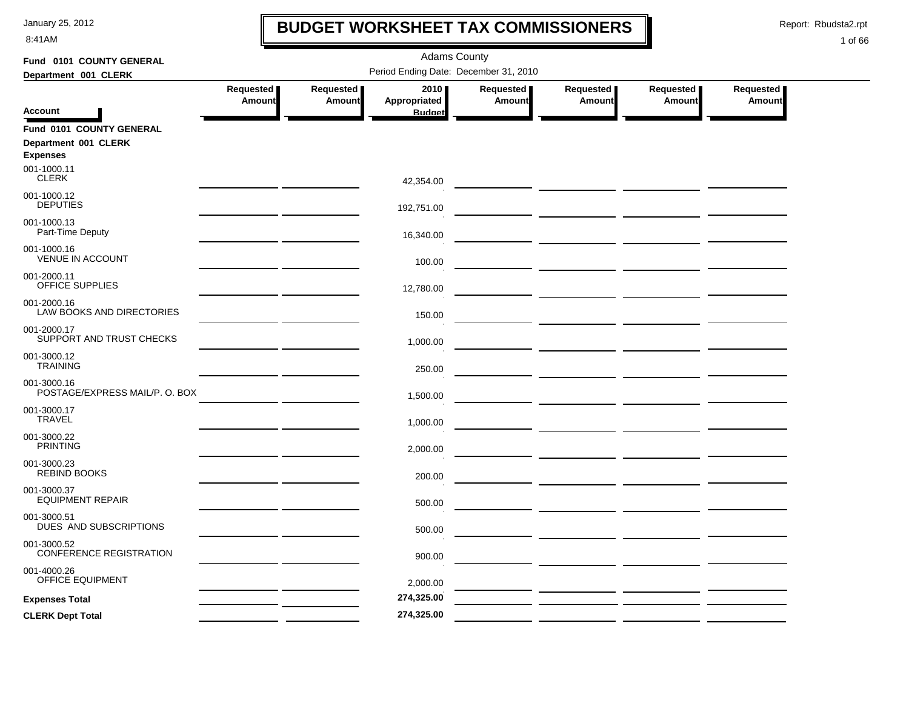8:41AM

### **BUDGET WORKSHEET TAX COMMISSIONERS**

Report: Rbudsta2.rpt

 $\mathbf l$ 

| Fund 0101 COUNTY GENERAL                      |                                       |           |               |               |                                                                                                                                                                                                                                      |           |               |  |  |
|-----------------------------------------------|---------------------------------------|-----------|---------------|---------------|--------------------------------------------------------------------------------------------------------------------------------------------------------------------------------------------------------------------------------------|-----------|---------------|--|--|
| Department 001 CLERK                          | Period Ending Date: December 31, 2010 |           |               |               |                                                                                                                                                                                                                                      |           |               |  |  |
|                                               | Requested                             | Requested | 2010          | Requested     | Requested                                                                                                                                                                                                                            | Requested | Requested     |  |  |
|                                               | Amount                                | Amount    | Appropriated  | <b>Amount</b> | <b>Amount</b>                                                                                                                                                                                                                        | Amount    | <b>Amount</b> |  |  |
| <b>Account</b>                                |                                       |           | <b>Budget</b> |               |                                                                                                                                                                                                                                      |           |               |  |  |
| Fund 0101 COUNTY GENERAL                      |                                       |           |               |               |                                                                                                                                                                                                                                      |           |               |  |  |
| Department 001 CLERK<br><b>Expenses</b>       |                                       |           |               |               |                                                                                                                                                                                                                                      |           |               |  |  |
| 001-1000.11<br><b>CLERK</b>                   |                                       |           | 42,354.00     |               |                                                                                                                                                                                                                                      |           |               |  |  |
| 001-1000.12<br><b>DEPUTIES</b>                |                                       |           | 192,751.00    |               |                                                                                                                                                                                                                                      |           |               |  |  |
| 001-1000.13<br>Part-Time Deputy               |                                       |           | 16,340.00     |               | <u> The Common State of the Common State of the Common State of the Common State of the Common State of the Common State of the Common State of the Common State of the Common State of the Common State of the Common State of </u> |           |               |  |  |
| 001-1000.16<br><b>VENUE IN ACCOUNT</b>        |                                       |           | 100.00        |               |                                                                                                                                                                                                                                      |           |               |  |  |
| 001-2000.11<br>OFFICE SUPPLIES                |                                       |           | 12,780.00     |               |                                                                                                                                                                                                                                      |           |               |  |  |
| 001-2000.16<br>LAW BOOKS AND DIRECTORIES      |                                       |           | 150.00        |               |                                                                                                                                                                                                                                      |           |               |  |  |
| 001-2000.17<br>SUPPORT AND TRUST CHECKS       |                                       |           | 1,000.00      |               | <u> 1999 - Johann Barbara, martin amerikan</u>                                                                                                                                                                                       |           |               |  |  |
| 001-3000.12<br><b>TRAINING</b>                |                                       |           | 250.00        |               |                                                                                                                                                                                                                                      |           |               |  |  |
| 001-3000.16<br>POSTAGE/EXPRESS MAIL/P. O. BOX |                                       |           | 1,500.00      |               |                                                                                                                                                                                                                                      |           |               |  |  |
| 001-3000.17<br><b>TRAVEL</b>                  |                                       |           | 1,000.00      |               | <u> 1999 - Alexandr Alexandr III, prima populație de la provincia de la provincia de la provincia de la provincia</u>                                                                                                                |           |               |  |  |
| 001-3000.22<br><b>PRINTING</b>                |                                       |           | 2,000.00      |               |                                                                                                                                                                                                                                      |           |               |  |  |
| 001-3000.23<br><b>REBIND BOOKS</b>            |                                       |           | 200.00        |               | $\overline{\phantom{a}}$ and $\overline{\phantom{a}}$ and $\overline{\phantom{a}}$                                                                                                                                                   |           |               |  |  |
| 001-3000.37<br><b>EQUIPMENT REPAIR</b>        |                                       |           | 500.00        |               |                                                                                                                                                                                                                                      |           |               |  |  |
| 001-3000.51<br>DUES AND SUBSCRIPTIONS         |                                       |           | 500.00        |               |                                                                                                                                                                                                                                      |           |               |  |  |
| 001-3000.52<br><b>CONFERENCE REGISTRATION</b> |                                       |           | 900.00        |               |                                                                                                                                                                                                                                      |           |               |  |  |
| 001-4000.26<br><b>OFFICE EQUIPMENT</b>        |                                       |           | 2,000.00      |               |                                                                                                                                                                                                                                      |           |               |  |  |
| <b>Expenses Total</b>                         |                                       |           | 274,325.00    |               |                                                                                                                                                                                                                                      |           |               |  |  |
| <b>CLERK Dept Total</b>                       |                                       |           | 274,325.00    |               |                                                                                                                                                                                                                                      |           |               |  |  |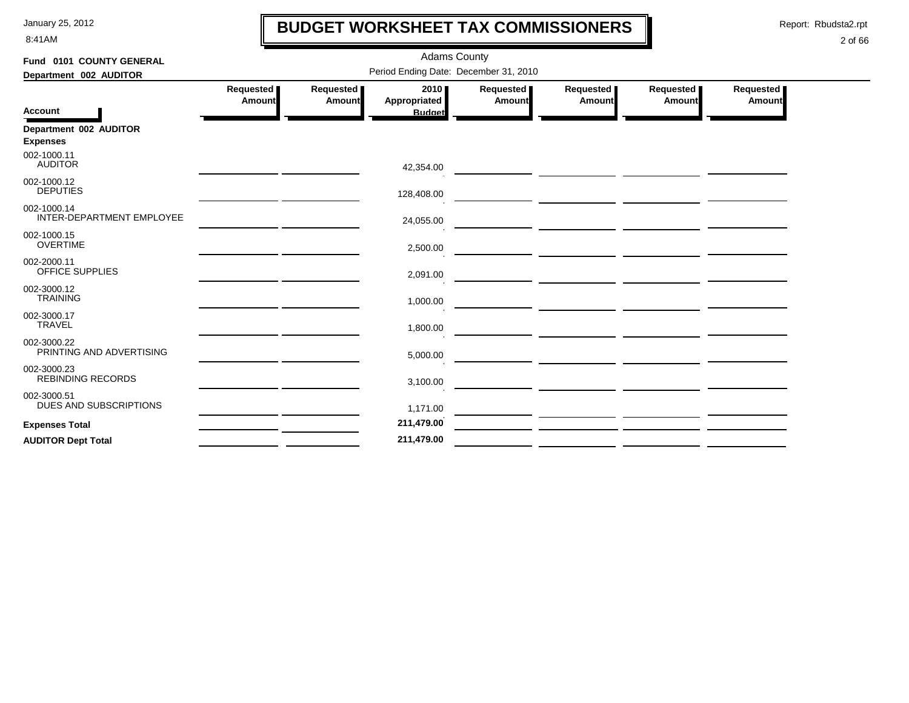8:41AM

# **BUDGET WORKSHEET TAX COMMISSIONERS**

Report: Rbudsta2.rpt

 $\mathbf l$ 

| Fund 0101 COUNTY GENERAL                 |                            |                     | <b>Adams County</b>                   |                            |                                                                                                                       |                            |                            |
|------------------------------------------|----------------------------|---------------------|---------------------------------------|----------------------------|-----------------------------------------------------------------------------------------------------------------------|----------------------------|----------------------------|
| Department 002 AUDITOR                   |                            |                     | Period Ending Date: December 31, 2010 |                            |                                                                                                                       |                            |                            |
|                                          | Requested<br><b>Amount</b> | Requested<br>Amount | 2010<br>Appropriated                  | Requested<br><b>Amount</b> | Requested<br>Amount                                                                                                   | Requested<br><b>Amount</b> | Requested<br><b>Amount</b> |
| <b>Account</b>                           |                            |                     | <b>Budget</b>                         |                            |                                                                                                                       |                            |                            |
| Department 002 AUDITOR                   |                            |                     |                                       |                            |                                                                                                                       |                            |                            |
| <b>Expenses</b>                          |                            |                     |                                       |                            |                                                                                                                       |                            |                            |
| 002-1000.11<br><b>AUDITOR</b>            |                            |                     | 42,354.00                             |                            | <u> Alban a shekara ta 1999 a shekara ta 1999 a shekara ta 1999 a shekara ta 1999 a shekara ta 1999 a shekara t</u>   |                            |                            |
| 002-1000.12<br><b>DEPUTIES</b>           |                            |                     |                                       |                            |                                                                                                                       |                            |                            |
|                                          |                            |                     | 128,408.00                            |                            | <u> The Common Section of the Common Section of the Common Section of the Common Section of the Common Section of</u> |                            |                            |
| 002-1000.14<br>INTER-DEPARTMENT EMPLOYEE |                            |                     | 24,055.00                             |                            |                                                                                                                       |                            |                            |
| 002-1000.15<br><b>OVERTIME</b>           |                            |                     | 2,500.00                              |                            |                                                                                                                       |                            |                            |
| 002-2000.11                              |                            |                     |                                       |                            |                                                                                                                       |                            |                            |
| OFFICE SUPPLIES                          |                            |                     | 2,091.00                              |                            |                                                                                                                       |                            |                            |
| 002-3000.12<br><b>TRAINING</b>           |                            |                     | 1,000.00                              |                            |                                                                                                                       |                            |                            |
| 002-3000.17                              |                            |                     |                                       |                            |                                                                                                                       |                            |                            |
| <b>TRAVEL</b>                            |                            |                     | 1,800.00                              |                            | <u> Alban a shekara ta 1999 a shekara ta 1999 a shekara ta 1999 a shekara ta 1999 a shekara ta 1999 a shekara t</u>   |                            |                            |
| 002-3000.22<br>PRINTING AND ADVERTISING  |                            |                     | 5,000.00                              |                            |                                                                                                                       |                            |                            |
| 002-3000.23<br><b>REBINDING RECORDS</b>  |                            |                     | 3,100.00                              |                            |                                                                                                                       |                            |                            |
| 002-3000.51                              |                            |                     |                                       |                            |                                                                                                                       |                            |                            |
| DUES AND SUBSCRIPTIONS                   |                            |                     | 1,171.00                              |                            |                                                                                                                       |                            |                            |
| <b>Expenses Total</b>                    |                            |                     | 211,479.00                            |                            |                                                                                                                       |                            |                            |
| <b>AUDITOR Dept Total</b>                |                            |                     | 211,479.00                            |                            |                                                                                                                       |                            |                            |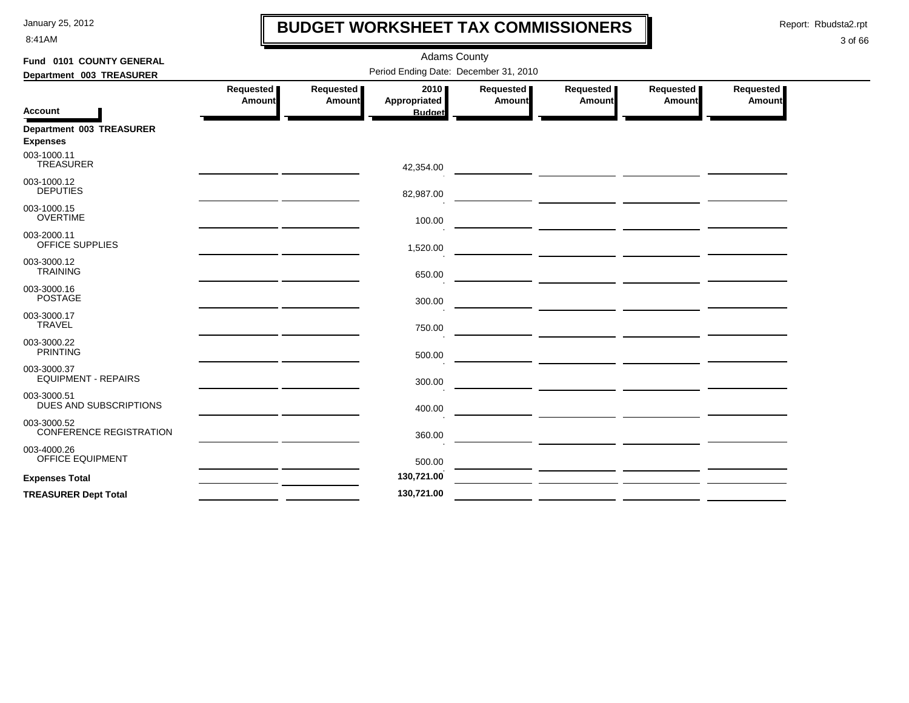8:41AM

# **BUDGET WORKSHEET TAX COMMISSIONERS**

Report: Rbudsta2.rpt

 $\mathbf l$ 

| Fund 0101 COUNTY GENERAL                      |                            |                            | <b>Adams County</b>                   |                     |                                                                                                                         |                              |                            |
|-----------------------------------------------|----------------------------|----------------------------|---------------------------------------|---------------------|-------------------------------------------------------------------------------------------------------------------------|------------------------------|----------------------------|
| Department 003 TREASURER                      |                            |                            | Period Ending Date: December 31, 2010 |                     |                                                                                                                         |                              |                            |
|                                               | Requested<br><b>Amount</b> | Requested<br><b>Amount</b> | 2010<br><b>Appropriated</b>           | Requested<br>Amount | Requested  <br><b>Amount</b>                                                                                            | Requested  <br><b>Amount</b> | Requested<br><b>Amount</b> |
| <b>Account</b>                                |                            |                            | <b>Budget</b>                         |                     |                                                                                                                         |                              |                            |
| Department 003 TREASURER                      |                            |                            |                                       |                     |                                                                                                                         |                              |                            |
| <b>Expenses</b>                               |                            |                            |                                       |                     |                                                                                                                         |                              |                            |
| 003-1000.11<br><b>TREASURER</b>               |                            |                            | 42,354.00                             |                     |                                                                                                                         |                              |                            |
| 003-1000.12                                   |                            |                            |                                       |                     |                                                                                                                         |                              |                            |
| <b>DEPUTIES</b>                               |                            |                            | 82,987.00                             |                     |                                                                                                                         |                              |                            |
| 003-1000.15<br><b>OVERTIME</b>                |                            |                            | 100.00                                |                     | — <u>— — — — — — — — — — — —</u>                                                                                        |                              |                            |
| 003-2000.11                                   |                            |                            |                                       |                     |                                                                                                                         |                              |                            |
| <b>OFFICE SUPPLIES</b>                        |                            |                            | 1,520.00                              |                     | <u> The Common State of the Common State of the Common State of the Common State of the Common State of the Common</u>  |                              |                            |
| 003-3000.12<br><b>TRAINING</b>                |                            |                            | 650.00                                |                     |                                                                                                                         |                              |                            |
| 003-3000.16                                   |                            |                            |                                       |                     |                                                                                                                         |                              |                            |
| <b>POSTAGE</b>                                |                            |                            | 300.00                                |                     | — <u>— — — — — — — — — — — — — — — —</u>                                                                                |                              |                            |
| 003-3000.17                                   |                            |                            |                                       |                     |                                                                                                                         |                              |                            |
| <b>TRAVEL</b>                                 |                            |                            | 750.00                                |                     |                                                                                                                         |                              |                            |
| 003-3000.22                                   |                            |                            |                                       |                     |                                                                                                                         |                              |                            |
| <b>PRINTING</b>                               |                            |                            | 500.00                                |                     |                                                                                                                         |                              |                            |
| 003-3000.37                                   |                            |                            |                                       |                     |                                                                                                                         |                              |                            |
| <b>EQUIPMENT - REPAIRS</b>                    |                            |                            | 300.00                                |                     | <u> The Communication of the Communication of the Communication of the Communication of the Communication of the Co</u> |                              |                            |
| 003-3000.51<br>DUES AND SUBSCRIPTIONS         |                            |                            |                                       |                     |                                                                                                                         |                              |                            |
|                                               |                            |                            | 400.00                                |                     |                                                                                                                         |                              |                            |
| 003-3000.52<br><b>CONFERENCE REGISTRATION</b> |                            |                            |                                       |                     |                                                                                                                         |                              |                            |
|                                               |                            |                            | 360.00                                |                     |                                                                                                                         |                              |                            |
| 003-4000.26<br>OFFICE EQUIPMENT               |                            |                            |                                       |                     |                                                                                                                         |                              |                            |
|                                               |                            |                            | 500.00                                |                     |                                                                                                                         |                              |                            |
| <b>Expenses Total</b>                         |                            |                            | 130,721.00                            |                     |                                                                                                                         |                              |                            |
| <b>TREASURER Dept Total</b>                   |                            |                            | 130,721.00                            |                     |                                                                                                                         |                              |                            |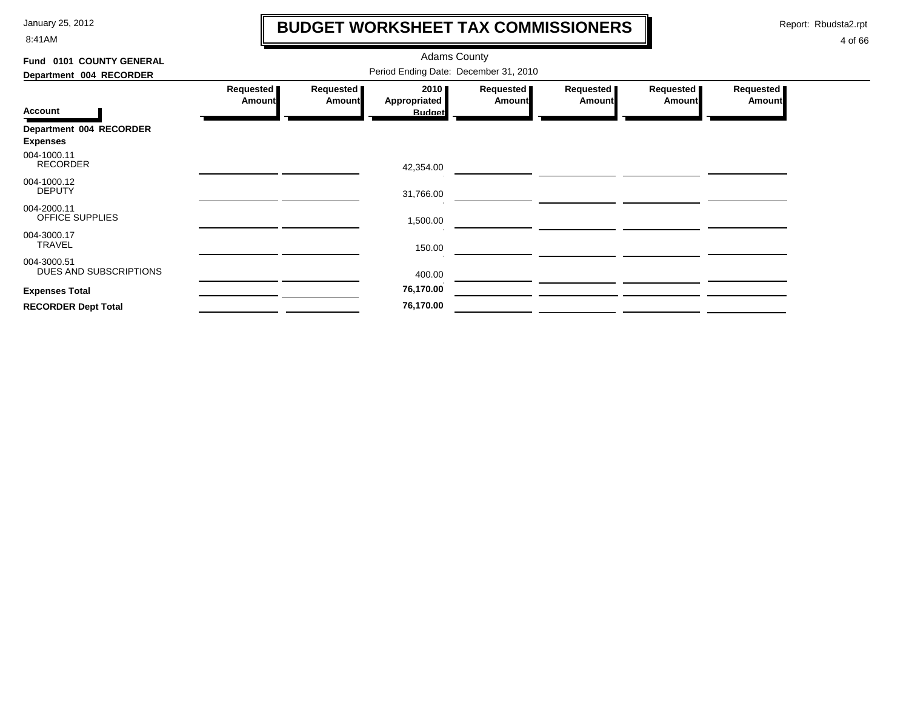8:41AM

# **BUDGET WORKSHEET TAX COMMISSIONERS**

Report: Rbudsta2.rpt

 $\mathbf \mathbf I$ 

| Fund 0101 COUNTY GENERAL                   |                                       |                            | <b>Adams County</b>  |                     |                            |                            |                     |  |  |
|--------------------------------------------|---------------------------------------|----------------------------|----------------------|---------------------|----------------------------|----------------------------|---------------------|--|--|
| Department 004 RECORDER                    | Period Ending Date: December 31, 2010 |                            |                      |                     |                            |                            |                     |  |  |
|                                            | Requested<br><b>Amount</b>            | Requested<br><b>Amount</b> | 2010<br>Appropriated | Requested<br>Amount | Requested<br><b>Amount</b> | Requested<br><b>Amount</b> | Requested<br>Amount |  |  |
| <b>Account</b>                             |                                       |                            | <b>Budget</b>        |                     |                            |                            |                     |  |  |
| Department 004 RECORDER<br><b>Expenses</b> |                                       |                            |                      |                     |                            |                            |                     |  |  |
| 004-1000.11<br><b>RECORDER</b>             |                                       |                            | 42,354.00            |                     |                            |                            |                     |  |  |
| 004-1000.12<br><b>DEPUTY</b>               |                                       |                            | 31,766.00            |                     |                            |                            |                     |  |  |
| 004-2000.11<br>OFFICE SUPPLIES             |                                       |                            | 1,500.00             |                     |                            |                            |                     |  |  |
| 004-3000.17<br>TRAVEL                      |                                       |                            | 150.00               |                     |                            |                            |                     |  |  |
| 004-3000.51<br>DUES AND SUBSCRIPTIONS      |                                       |                            | 400.00               |                     |                            |                            |                     |  |  |
| <b>Expenses Total</b>                      |                                       |                            | 76,170.00            |                     |                            |                            |                     |  |  |
| <b>RECORDER Dept Total</b>                 |                                       |                            | 76,170.00            |                     |                            |                            |                     |  |  |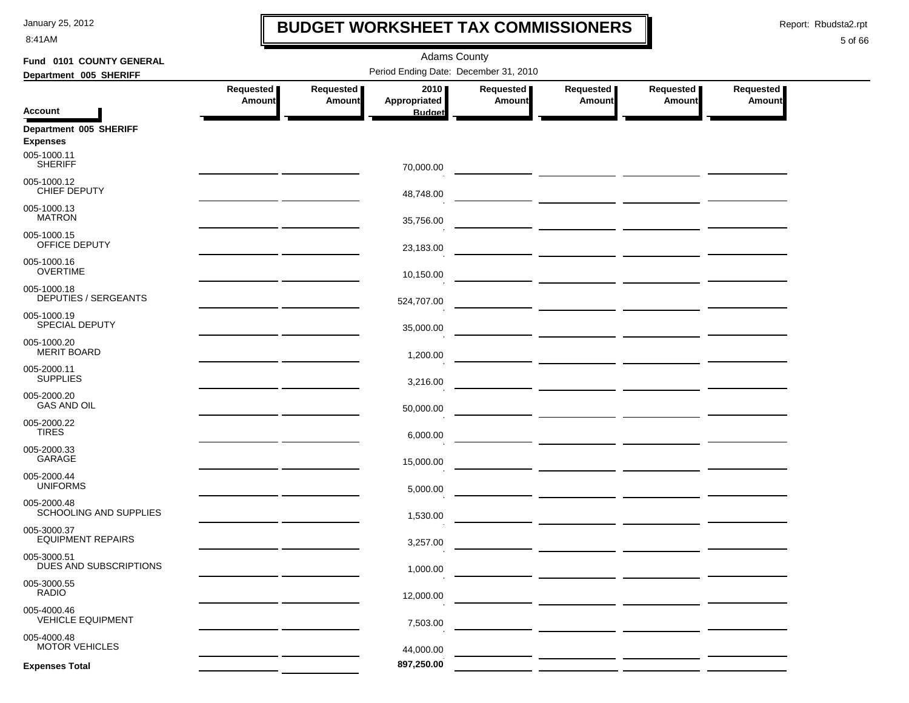8:41AM

### **BUDGET WORKSHEET TAX COMMISSIONERS**

Report: Rbudsta2.rpt

 $\mathbf I$ 

| Fund 0101 COUNTY GENERAL                   | <b>Adams County</b>                                                                                                   |                                       |                      |                            |                     |                            |                            |  |  |  |  |
|--------------------------------------------|-----------------------------------------------------------------------------------------------------------------------|---------------------------------------|----------------------|----------------------------|---------------------|----------------------------|----------------------------|--|--|--|--|
| Department 005 SHERIFF                     |                                                                                                                       | Period Ending Date: December 31, 2010 |                      |                            |                     |                            |                            |  |  |  |  |
|                                            | Requested<br><b>Amount</b>                                                                                            | Requested<br><b>Amount</b>            | 2010<br>Appropriated | Requested<br><b>Amount</b> | Requested<br>Amount | Requested<br><b>Amount</b> | Requested<br><b>Amount</b> |  |  |  |  |
| <b>Account</b>                             |                                                                                                                       |                                       | <b>Budget</b>        |                            |                     |                            |                            |  |  |  |  |
| Department 005 SHERIFF<br><b>Expenses</b>  |                                                                                                                       |                                       |                      |                            |                     |                            |                            |  |  |  |  |
| 005-1000.11<br><b>SHERIFF</b>              |                                                                                                                       |                                       | 70,000.00            |                            |                     |                            |                            |  |  |  |  |
| 005-1000.12<br>CHIEF DEPUTY                |                                                                                                                       |                                       | 48,748.00            |                            |                     |                            |                            |  |  |  |  |
| 005-1000.13<br><b>MATRON</b>               |                                                                                                                       |                                       | 35,756.00            |                            |                     |                            |                            |  |  |  |  |
| 005-1000.15<br>OFFICE DEPUTY               |                                                                                                                       |                                       | 23,183.00            |                            |                     |                            |                            |  |  |  |  |
| 005-1000.16<br><b>OVERTIME</b>             |                                                                                                                       |                                       | 10,150.00            |                            |                     |                            |                            |  |  |  |  |
| 005-1000.18<br><b>DEPUTIES / SERGEANTS</b> |                                                                                                                       |                                       | 524,707.00           |                            |                     |                            |                            |  |  |  |  |
| 005-1000.19<br>SPECIAL DEPUTY              | <u> 1986 - Johann John Stone, primar a strong po</u>                                                                  |                                       | 35,000.00            |                            |                     |                            |                            |  |  |  |  |
| 005-1000.20<br><b>MERIT BOARD</b>          | <u> 1989 - Johann Harry Barn, mars and de Branch and de Branch and de Branch and de Branch and de Branch and de B</u> |                                       | 1,200.00             |                            |                     |                            |                            |  |  |  |  |
| 005-2000.11<br><b>SUPPLIES</b>             |                                                                                                                       |                                       | 3,216.00             |                            |                     |                            |                            |  |  |  |  |
| 005-2000.20<br><b>GAS AND OIL</b>          |                                                                                                                       |                                       | 50,000.00            |                            |                     |                            |                            |  |  |  |  |
| 005-2000.22<br><b>TIRES</b>                |                                                                                                                       |                                       | 6,000.00             |                            |                     |                            |                            |  |  |  |  |
| 005-2000.33<br>GARAGE                      |                                                                                                                       |                                       | 15,000.00            |                            |                     |                            |                            |  |  |  |  |
| 005-2000.44<br><b>UNIFORMS</b>             |                                                                                                                       |                                       | 5,000.00             |                            |                     |                            |                            |  |  |  |  |
| 005-2000.48<br>SCHOOLING AND SUPPLIES      |                                                                                                                       |                                       | 1,530.00             |                            |                     |                            |                            |  |  |  |  |
| 005-3000.37<br><b>EQUIPMENT REPAIRS</b>    |                                                                                                                       |                                       | 3,257.00             |                            |                     |                            |                            |  |  |  |  |
| 005-3000.51<br>DUES AND SUBSCRIPTIONS      |                                                                                                                       |                                       | 1,000.00             |                            |                     |                            |                            |  |  |  |  |
| 005-3000.55<br><b>RADIO</b>                |                                                                                                                       |                                       | 12,000.00            |                            |                     |                            |                            |  |  |  |  |
| 005-4000.46<br><b>VEHICLE EQUIPMENT</b>    |                                                                                                                       |                                       | 7,503.00             |                            |                     |                            |                            |  |  |  |  |
| 005-4000.48<br><b>MOTOR VEHICLES</b>       |                                                                                                                       |                                       | 44,000.00            |                            |                     |                            |                            |  |  |  |  |
| <b>Expenses Total</b>                      |                                                                                                                       |                                       | 897,250.00           |                            |                     |                            |                            |  |  |  |  |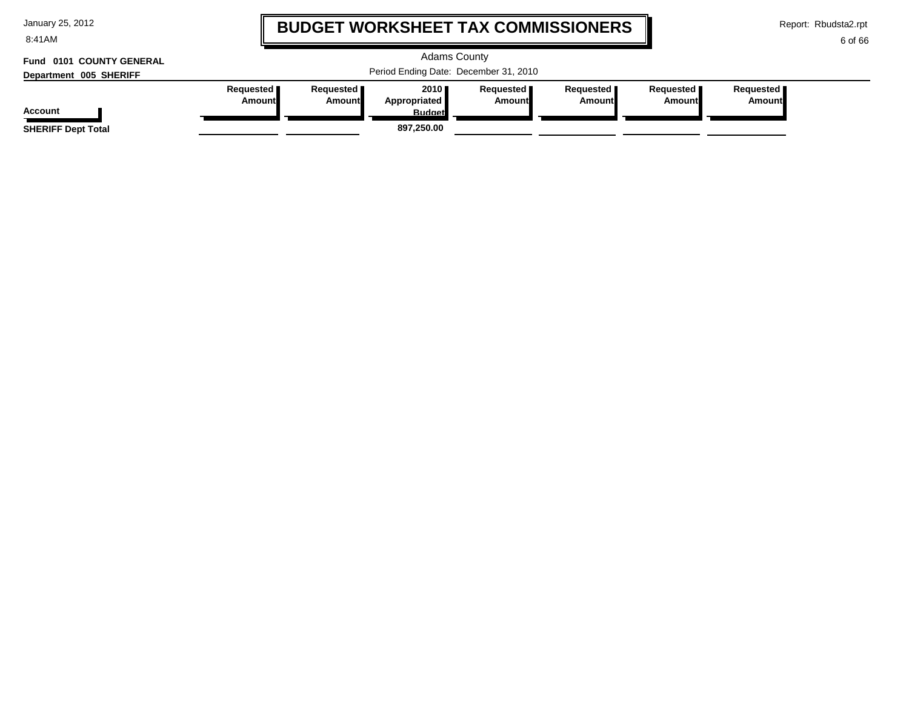8:41AM

# **BUDGET WORKSHEET TAX COMMISSIONERS**

Adams County

Report: Rbudsta2.rpt

6 of 66

#### Period Ending Date: December 31, 2010 **Department 005 SHERIFF Fund 0101 COUNTY GENERAL Requested Requested**

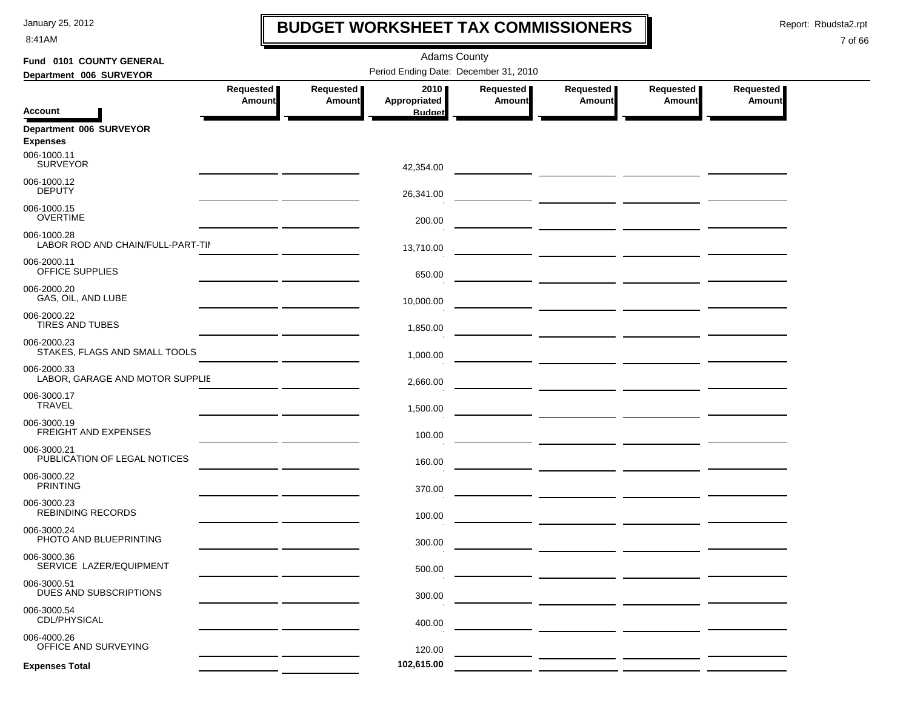8:41AM

### **BUDGET WORKSHEET TAX COMMISSIONERS**

Report: Rbudsta2.rpt

 $\mathbf l$ 

| Fund 0101 COUNTY GENERAL                         | <b>Adams County</b> |               |                                       |           |                                                                                                                       |           |               |  |  |  |
|--------------------------------------------------|---------------------|---------------|---------------------------------------|-----------|-----------------------------------------------------------------------------------------------------------------------|-----------|---------------|--|--|--|
| Department 006 SURVEYOR                          |                     |               | Period Ending Date: December 31, 2010 |           |                                                                                                                       |           |               |  |  |  |
|                                                  | Requested           | Requested     | 2010                                  | Requested | Requested                                                                                                             | Requested | Requested     |  |  |  |
| <b>Account</b>                                   | <b>Amount</b>       | <b>Amount</b> | Appropriated<br><b>Budget</b>         | Amount    | <b>Amount</b>                                                                                                         | Amount    | <b>Amount</b> |  |  |  |
| Department 006 SURVEYOR<br><b>Expenses</b>       |                     |               |                                       |           |                                                                                                                       |           |               |  |  |  |
| 006-1000.11<br><b>SURVEYOR</b>                   |                     |               | 42,354.00                             |           | <u> 1999 - Johann Harry Harry Harry Harry Harry Harry Harry Harry Harry Harry Harry Harry Harry Harry Harry Harry</u> |           |               |  |  |  |
| 006-1000.12<br><b>DEPUTY</b>                     |                     |               | 26,341.00                             |           |                                                                                                                       |           |               |  |  |  |
| 006-1000.15<br><b>OVERTIME</b>                   |                     |               | 200.00                                |           | <u> Alexandria de la contrada de la contrada de la contrada de la contrada de la contrada de la contrada de la c</u>  |           |               |  |  |  |
| 006-1000.28<br>LABOR ROD AND CHAIN/FULL-PART-TII |                     |               | 13,710.00                             |           |                                                                                                                       |           |               |  |  |  |
| 006-2000.11<br>OFFICE SUPPLIES                   |                     |               | 650.00                                |           |                                                                                                                       |           |               |  |  |  |
| 006-2000.20<br>GAS, OIL, AND LUBE                |                     |               | 10,000.00                             |           |                                                                                                                       |           |               |  |  |  |
| 006-2000.22<br>TIRES AND TUBES                   |                     |               | 1,850.00                              |           |                                                                                                                       |           |               |  |  |  |
| 006-2000.23<br>STAKES, FLAGS AND SMALL TOOLS     |                     |               | 1,000.00                              |           |                                                                                                                       |           |               |  |  |  |
| 006-2000.33<br>LABOR, GARAGE AND MOTOR SUPPLIE   |                     |               | 2,660.00                              |           |                                                                                                                       |           |               |  |  |  |
| 006-3000.17<br><b>TRAVEL</b>                     |                     |               | 1,500.00                              |           |                                                                                                                       |           |               |  |  |  |
| 006-3000.19<br><b>FREIGHT AND EXPENSES</b>       |                     |               | 100.00                                |           |                                                                                                                       |           |               |  |  |  |
| 006-3000.21<br>PUBLICATION OF LEGAL NOTICES      |                     |               | 160.00                                |           |                                                                                                                       |           |               |  |  |  |
| 006-3000.22<br><b>PRINTING</b>                   |                     |               | 370.00                                |           |                                                                                                                       |           |               |  |  |  |
| 006-3000.23<br><b>REBINDING RECORDS</b>          |                     |               | 100.00                                |           |                                                                                                                       |           |               |  |  |  |
| 006-3000.24<br>PHOTO AND BLUEPRINTING            |                     |               | 300.00                                |           |                                                                                                                       |           |               |  |  |  |
| 006-3000.36<br>SERVICE LAZER/EQUIPMENT           |                     |               | 500.00                                |           |                                                                                                                       |           |               |  |  |  |
| 006-3000.51<br>DUES AND SUBSCRIPTIONS            |                     |               | 300.00                                |           |                                                                                                                       |           |               |  |  |  |
| 006-3000.54<br>CDL/PHYSICAL                      |                     |               | 400.00                                |           |                                                                                                                       |           |               |  |  |  |
| 006-4000.26<br>OFFICE AND SURVEYING              |                     |               | 120.00                                |           |                                                                                                                       |           |               |  |  |  |
| <b>Expenses Total</b>                            |                     |               | 102,615.00                            |           |                                                                                                                       |           |               |  |  |  |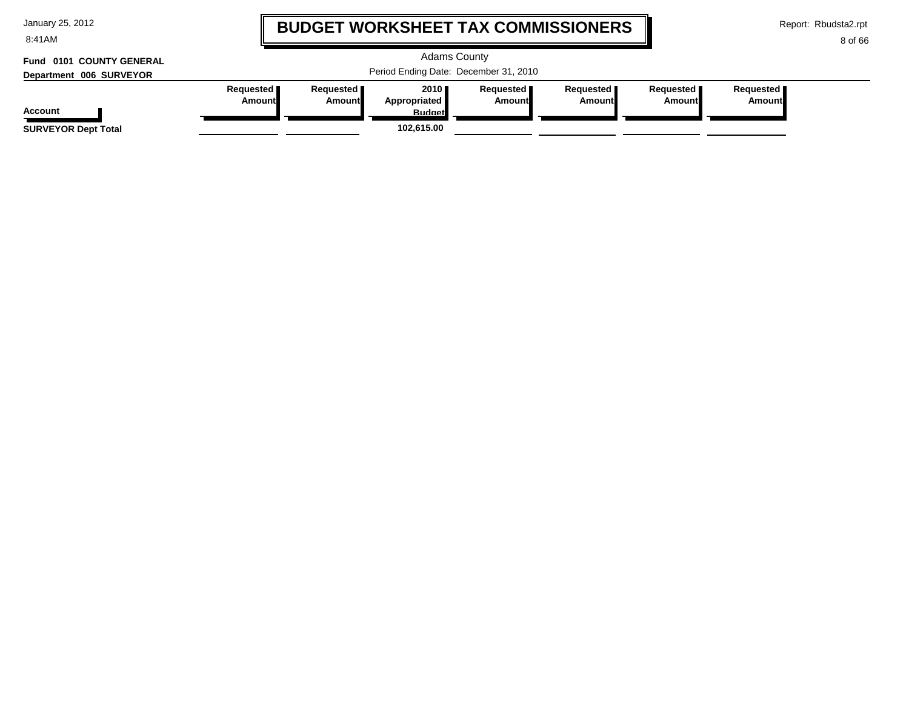| January 25, 2012 |  |  |  |
|------------------|--|--|--|
|------------------|--|--|--|

8:41AM

# **BUDGET WORKSHEET TAX COMMISSIONERS**

Report: Rbudsta2.rpt

#### 8 of 66

#### Adams County Period Ending Date: December 31, 2010 **Account Department 006 SURVEYOR Fund 0101 COUNTY GENERAL Requested Amount Requested Amount 2010 Appropriated Budget Requested Amount Requested Amount Requested Amount Requested Amount SURVEYOR Dept Total 102,615.00**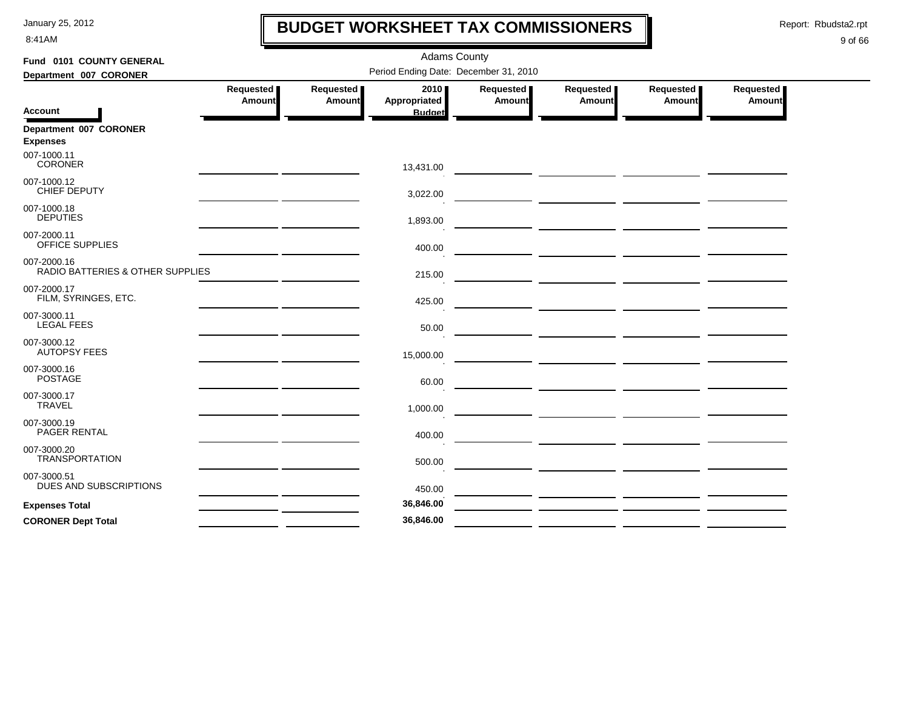8:41AM

# **BUDGET WORKSHEET TAX COMMISSIONERS**

Report: Rbudsta2.rpt

 $\mathbf l$ 

| Fund 0101 COUNTY GENERAL                                   |                     |                     | <b>Adams County</b>                   |                     |                                                                                                                       |                     |                     |
|------------------------------------------------------------|---------------------|---------------------|---------------------------------------|---------------------|-----------------------------------------------------------------------------------------------------------------------|---------------------|---------------------|
| Department 007 CORONER                                     |                     |                     | Period Ending Date: December 31, 2010 |                     |                                                                                                                       |                     |                     |
| <b>Account</b>                                             | Requested<br>Amount | Requested<br>Amount | 2010<br>Appropriated<br><b>Budget</b> | Requested<br>Amount | Requested<br>Amount                                                                                                   | Requested<br>Amount | Requested<br>Amount |
| Department 007 CORONER<br><b>Expenses</b>                  |                     |                     |                                       |                     |                                                                                                                       |                     |                     |
| 007-1000.11<br><b>CORONER</b>                              |                     |                     | 13,431.00                             |                     |                                                                                                                       |                     |                     |
| 007-1000.12<br><b>CHIEF DEPUTY</b>                         |                     |                     | 3,022.00                              |                     |                                                                                                                       |                     |                     |
| 007-1000.18<br><b>DEPUTIES</b>                             |                     |                     | 1,893.00                              |                     |                                                                                                                       |                     |                     |
| 007-2000.11<br><b>OFFICE SUPPLIES</b>                      |                     |                     | 400.00                                |                     |                                                                                                                       |                     |                     |
| 007-2000.16<br><b>RADIO BATTERIES &amp; OTHER SUPPLIES</b> |                     |                     | 215.00                                |                     |                                                                                                                       |                     |                     |
| 007-2000.17<br>FILM, SYRINGES, ETC.                        |                     |                     | 425.00                                |                     |                                                                                                                       |                     |                     |
| 007-3000.11<br><b>LEGAL FEES</b>                           |                     |                     | 50.00                                 |                     |                                                                                                                       |                     |                     |
| 007-3000.12<br><b>AUTOPSY FEES</b>                         |                     |                     | 15,000.00                             |                     |                                                                                                                       |                     |                     |
| 007-3000.16<br><b>POSTAGE</b>                              |                     |                     | 60.00                                 |                     |                                                                                                                       |                     |                     |
| 007-3000.17<br><b>TRAVEL</b>                               |                     |                     | 1,000.00                              |                     |                                                                                                                       |                     |                     |
| 007-3000.19<br><b>PAGER RENTAL</b>                         |                     |                     | 400.00                                |                     | <u> 1989 - Johann John Stone, mars et al. (</u>                                                                       |                     |                     |
| 007-3000.20<br><b>TRANSPORTATION</b>                       |                     |                     | 500.00                                |                     | <u> 1989 - Johann Harry Harry Harry Harry Harry Harry Harry Harry Harry Harry Harry Harry Harry Harry Harry Harry</u> |                     |                     |
| 007-3000.51<br>DUES AND SUBSCRIPTIONS                      |                     |                     | 450.00                                |                     |                                                                                                                       |                     |                     |
| <b>Expenses Total</b>                                      |                     |                     | 36,846.00                             |                     |                                                                                                                       |                     |                     |
| <b>CORONER Dept Total</b>                                  |                     |                     | 36,846.00                             |                     |                                                                                                                       |                     |                     |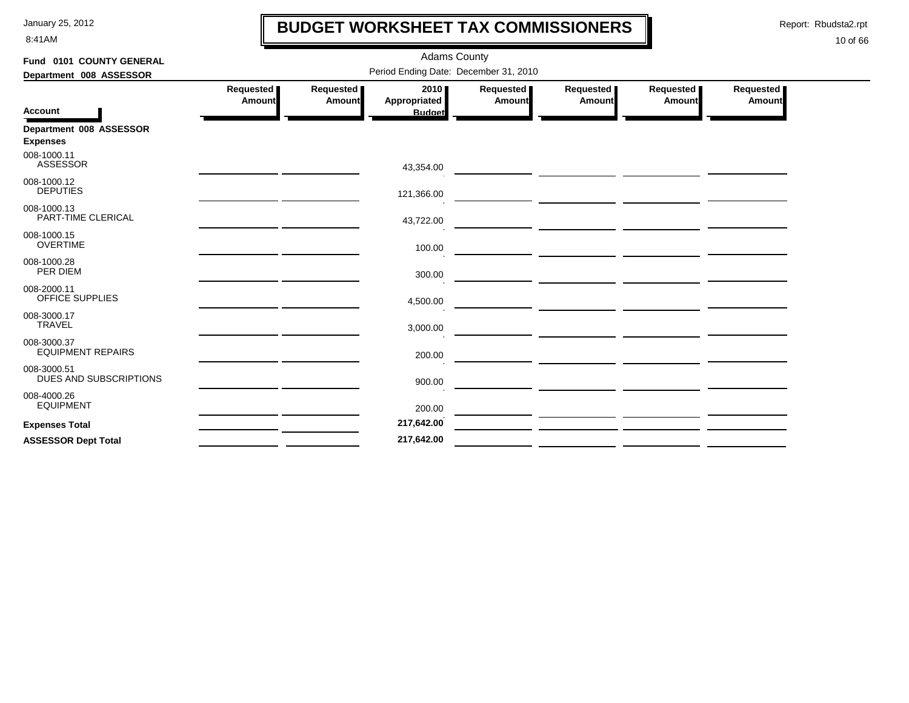8:41AM

# **BUDGET WORKSHEET TAX COMMISSIONERS**

Report: Rbudsta2.rpt

 $\mathbf l$ 

| Fund 0101 COUNTY GENERAL                   |                     |                              | <b>Adams County</b>                   |                              |                                                 |                     |                     |
|--------------------------------------------|---------------------|------------------------------|---------------------------------------|------------------------------|-------------------------------------------------|---------------------|---------------------|
| Department 008 ASSESSOR                    |                     |                              | Period Ending Date: December 31, 2010 |                              |                                                 |                     |                     |
|                                            | Requested<br>Amount | Requested  <br><b>Amount</b> | 2010<br>Appropriated                  | Requested  <br><b>Amount</b> | Requested<br>Amount                             | Requested<br>Amount | Requested<br>Amount |
| <b>Account</b>                             |                     |                              | <b>Budget</b>                         |                              |                                                 |                     |                     |
| Department 008 ASSESSOR<br><b>Expenses</b> |                     |                              |                                       |                              |                                                 |                     |                     |
| 008-1000.11<br><b>ASSESSOR</b>             |                     |                              | 43,354.00                             |                              |                                                 |                     |                     |
| 008-1000.12<br><b>DEPUTIES</b>             |                     |                              | 121,366.00                            |                              |                                                 |                     |                     |
| 008-1000.13<br>PART-TIME CLERICAL          |                     |                              | 43,722.00                             |                              | <u> 1989 - Johann John Stone, mars et al. (</u> |                     |                     |
| 008-1000.15<br><b>OVERTIME</b>             |                     |                              | 100.00                                |                              |                                                 |                     |                     |
| 008-1000.28<br>PER DIEM                    |                     |                              | 300.00                                |                              |                                                 |                     |                     |
| 008-2000.11<br>OFFICE SUPPLIES             |                     |                              | 4,500.00                              |                              |                                                 |                     |                     |
| 008-3000.17<br><b>TRAVEL</b>               |                     |                              | 3,000.00                              |                              |                                                 |                     |                     |
| 008-3000.37<br><b>EQUIPMENT REPAIRS</b>    |                     |                              | 200.00                                |                              |                                                 |                     |                     |
| 008-3000.51<br>DUES AND SUBSCRIPTIONS      |                     |                              | 900.00                                |                              |                                                 |                     |                     |
| 008-4000.26<br><b>EQUIPMENT</b>            |                     |                              | 200.00                                |                              |                                                 |                     |                     |
| <b>Expenses Total</b>                      |                     |                              | 217,642.00                            |                              |                                                 |                     |                     |
| <b>ASSESSOR Dept Total</b>                 |                     |                              | 217,642.00                            |                              |                                                 |                     |                     |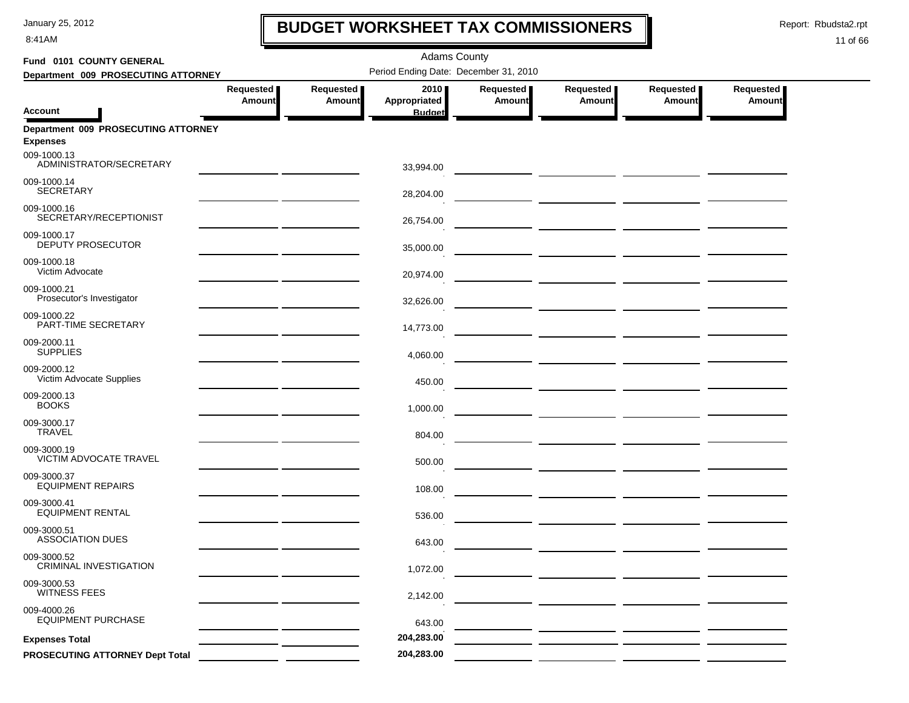8:41AM

### **BUDGET WORKSHEET TAX COMMISSIONERS**

Report: Rbudsta2.rpt

 $\mathbf I$ 

| Fund 0101 COUNTY GENERAL                               |                            |                            |                                       |                            |                                                                                                                                                                                                                                      |                            |                            |
|--------------------------------------------------------|----------------------------|----------------------------|---------------------------------------|----------------------------|--------------------------------------------------------------------------------------------------------------------------------------------------------------------------------------------------------------------------------------|----------------------------|----------------------------|
| Department 009 PROSECUTING ATTORNEY                    |                            |                            | Period Ending Date: December 31, 2010 |                            |                                                                                                                                                                                                                                      |                            |                            |
| <b>Account</b>                                         | Requested<br><b>Amount</b> | Requested<br><b>Amount</b> | 2010<br>Appropriated<br><b>Budget</b> | Requested<br><b>Amount</b> | Requested<br><b>Amount</b>                                                                                                                                                                                                           | Requested<br><b>Amount</b> | Requested<br><b>Amount</b> |
| Department 009 PROSECUTING ATTORNEY<br><b>Expenses</b> |                            |                            |                                       |                            |                                                                                                                                                                                                                                      |                            |                            |
| 009-1000.13<br>ADMINISTRATOR/SECRETARY                 |                            |                            | 33,994.00                             |                            |                                                                                                                                                                                                                                      |                            |                            |
| 009-1000.14<br><b>SECRETARY</b>                        |                            |                            | 28,204.00                             |                            | <u> 1989 - Jan Stein Stein Stein Stein Stein Stein Stein Stein Stein Stein Stein Stein Stein Stein Stein Stein S</u>                                                                                                                 |                            |                            |
| 009-1000.16<br>SECRETARY/RECEPTIONIST                  |                            |                            | 26,754.00                             |                            |                                                                                                                                                                                                                                      |                            |                            |
| 009-1000.17<br><b>DEPUTY PROSECUTOR</b>                |                            |                            | 35,000.00                             |                            |                                                                                                                                                                                                                                      |                            |                            |
| 009-1000.18<br>Victim Advocate                         |                            |                            | 20,974.00                             |                            | <u> The Common Secretary (Common Secretary Common Secretary Common Secretary Common Secretary Common Secretary Common Secretary (Common Secretary Common Secretary Common Secretary Common Secretary Common Secretary Common Sec</u> |                            |                            |
| 009-1000.21<br>Prosecutor's Investigator               |                            |                            | 32,626.00                             |                            |                                                                                                                                                                                                                                      |                            |                            |
| 009-1000.22<br>PART-TIME SECRETARY                     |                            |                            | 14,773.00                             |                            |                                                                                                                                                                                                                                      |                            |                            |
| 009-2000.11<br><b>SUPPLIES</b>                         |                            |                            | 4,060.00                              |                            |                                                                                                                                                                                                                                      |                            |                            |
| 009-2000.12<br>Victim Advocate Supplies                |                            |                            | 450.00                                |                            | — <u>— — — — — — — — — — — — —</u>                                                                                                                                                                                                   |                            |                            |
| 009-2000.13<br><b>BOOKS</b>                            |                            |                            | 1,000.00                              |                            |                                                                                                                                                                                                                                      |                            |                            |
| 009-3000.17<br><b>TRAVEL</b>                           |                            |                            | 804.00                                |                            |                                                                                                                                                                                                                                      |                            |                            |
| 009-3000.19<br>VICTIM ADVOCATE TRAVEL                  |                            |                            | 500.00                                |                            |                                                                                                                                                                                                                                      |                            |                            |
| 009-3000.37<br><b>EQUIPMENT REPAIRS</b>                |                            |                            | 108.00                                |                            |                                                                                                                                                                                                                                      |                            |                            |
| 009-3000.41<br><b>EQUIPMENT RENTAL</b>                 |                            |                            | 536.00                                |                            |                                                                                                                                                                                                                                      |                            |                            |
| 009-3000.51<br><b>ASSOCIATION DUES</b>                 |                            |                            | 643.00                                |                            |                                                                                                                                                                                                                                      |                            |                            |
| 009-3000.52<br>CRIMINAL INVESTIGATION                  |                            |                            | 1,072.00                              |                            |                                                                                                                                                                                                                                      |                            |                            |
| 009-3000.53<br><b>WITNESS FEES</b>                     |                            |                            | 2,142.00                              |                            |                                                                                                                                                                                                                                      |                            |                            |
| 009-4000.26<br><b>EQUIPMENT PURCHASE</b>               |                            |                            | 643.00                                |                            |                                                                                                                                                                                                                                      |                            |                            |
| <b>Expenses Total</b>                                  |                            |                            | 204,283.00                            |                            |                                                                                                                                                                                                                                      |                            |                            |
| PROSECUTING ATTORNEY Dept Total                        |                            |                            | 204,283.00                            |                            |                                                                                                                                                                                                                                      |                            |                            |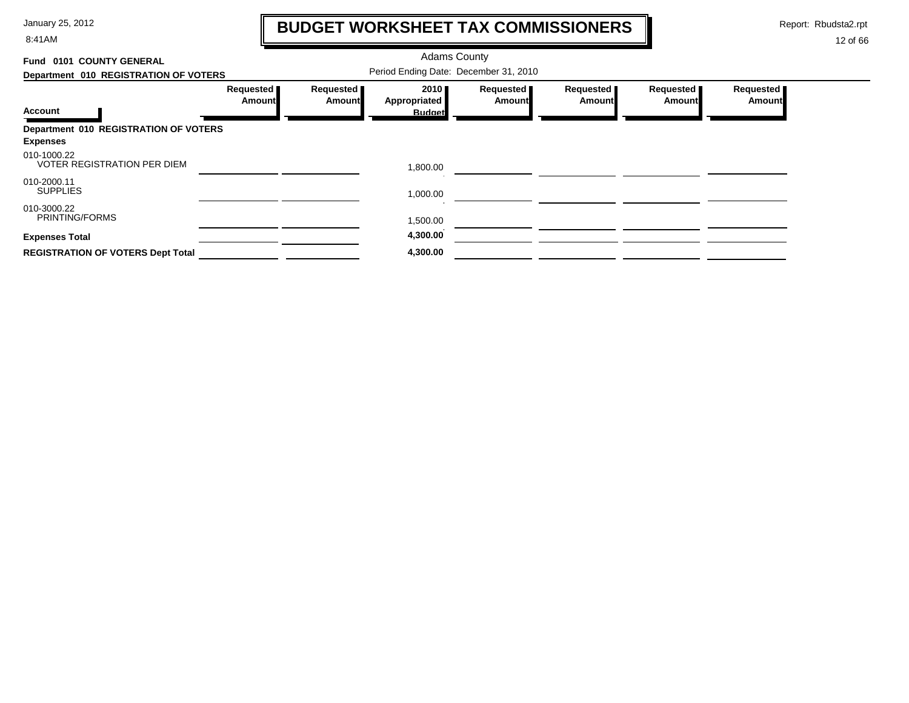8:41AM

# **BUDGET WORKSHEET TAX COMMISSIONERS**

Report: Rbudsta2.rpt

 $\mathbf \mathbf I$ 

| Fund 0101 COUNTY GENERAL                                 |                            |                                       | <b>Adams County</b>  |                            |                            |                            |                            |  |
|----------------------------------------------------------|----------------------------|---------------------------------------|----------------------|----------------------------|----------------------------|----------------------------|----------------------------|--|
| Department 010 REGISTRATION OF VOTERS                    |                            | Period Ending Date: December 31, 2010 |                      |                            |                            |                            |                            |  |
|                                                          | Requested<br><b>Amount</b> | Requested<br><b>Amount</b>            | 2010<br>Appropriated | Requested<br><b>Amount</b> | Requested<br><b>Amount</b> | Requested<br><b>Amount</b> | Requested<br><b>Amount</b> |  |
| Account                                                  |                            |                                       | <b>Budget</b>        |                            |                            |                            |                            |  |
| Department 010 REGISTRATION OF VOTERS<br><b>Expenses</b> |                            |                                       |                      |                            |                            |                            |                            |  |
| 010-1000.22<br><b>VOTER REGISTRATION PER DIEM</b>        |                            |                                       | 1,800.00             |                            |                            |                            |                            |  |
| 010-2000.11<br><b>SUPPLIES</b>                           |                            |                                       | 1,000.00             |                            |                            |                            |                            |  |
| 010-3000.22<br>PRINTING/FORMS                            |                            |                                       | 1,500.00             |                            |                            |                            |                            |  |
| <b>Expenses Total</b>                                    |                            |                                       | 4,300.00             |                            |                            |                            |                            |  |
| <b>REGISTRATION OF VOTERS Dept Total</b>                 |                            |                                       | 4,300.00             |                            |                            |                            |                            |  |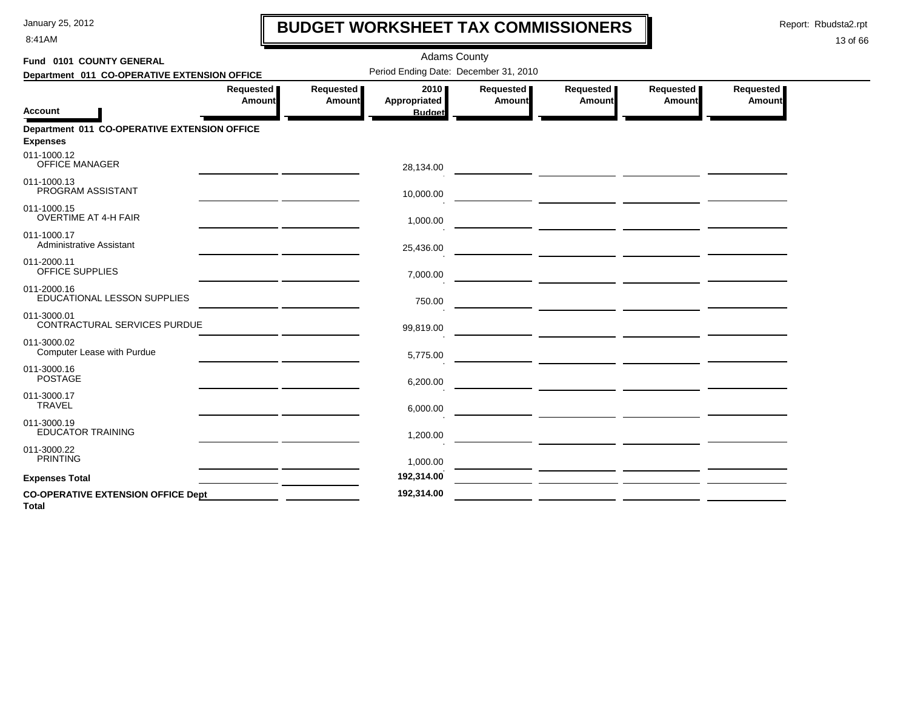8:41AM

# **BUDGET WORKSHEET TAX COMMISSIONERS**

Report: Rbudsta2.rpt

 $\mathbf l$ 

| Fund 0101 COUNTY GENERAL                           |                                        |                     | <b>Adams County</b>                          |                     |                                                                                                                      |                                      |                     |
|----------------------------------------------------|----------------------------------------|---------------------|----------------------------------------------|---------------------|----------------------------------------------------------------------------------------------------------------------|--------------------------------------|---------------------|
| Department 011 CO-OPERATIVE EXTENSION OFFICE       |                                        |                     | Period Ending Date: December 31, 2010        |                     |                                                                                                                      |                                      |                     |
| <b>Account</b>                                     | Requested<br>Amount                    | Requested<br>Amount | 2010<br><b>Appropriated</b><br><b>Budget</b> | Requested<br>Amount | Requested<br>Amount                                                                                                  | Requested<br>Amount                  | Requested<br>Amount |
| Department 011 CO-OPERATIVE EXTENSION OFFICE       |                                        |                     |                                              |                     |                                                                                                                      |                                      |                     |
| <b>Expenses</b>                                    |                                        |                     |                                              |                     |                                                                                                                      |                                      |                     |
| 011-1000.12<br><b>OFFICE MANAGER</b>               |                                        |                     | 28,134.00                                    |                     |                                                                                                                      |                                      |                     |
| 011-1000.13<br>PROGRAM ASSISTANT                   |                                        |                     | 10,000.00                                    |                     |                                                                                                                      |                                      |                     |
| 011-1000.15<br><b>OVERTIME AT 4-H FAIR</b>         |                                        |                     | 1,000.00                                     |                     |                                                                                                                      |                                      |                     |
| 011-1000.17<br><b>Administrative Assistant</b>     |                                        |                     | 25,436.00                                    |                     |                                                                                                                      | — <u>— —————</u> <u>——————</u> ————— |                     |
| 011-2000.11<br>OFFICE SUPPLIES                     |                                        |                     | 7,000.00                                     |                     |                                                                                                                      |                                      |                     |
| 011-2000.16<br>EDUCATIONAL LESSON SUPPLIES         |                                        |                     | 750.00                                       |                     |                                                                                                                      |                                      |                     |
| 011-3000.01<br>CONTRACTURAL SERVICES PURDUE        |                                        |                     | 99,819.00                                    |                     |                                                                                                                      |                                      |                     |
| 011-3000.02<br>Computer Lease with Purdue          |                                        |                     | 5,775.00                                     |                     |                                                                                                                      |                                      |                     |
| 011-3000.16<br><b>POSTAGE</b>                      |                                        |                     | 6,200.00                                     |                     |                                                                                                                      |                                      |                     |
| 011-3000.17<br><b>TRAVEL</b>                       |                                        |                     | 6,000.00                                     |                     | <u> Andreas Andreas Andreas Andreas Andreas Andreas Andreas Andreas Andreas Andreas Andreas Andreas Andreas Andr</u> |                                      |                     |
| 011-3000.19<br><b>EDUCATOR TRAINING</b>            |                                        |                     | 1,200.00                                     |                     |                                                                                                                      |                                      |                     |
| 011-3000.22<br><b>PRINTING</b>                     | the control of the control of the con- |                     | 1,000.00                                     |                     |                                                                                                                      |                                      |                     |
| <b>Expenses Total</b>                              |                                        |                     | 192,314.00                                   |                     |                                                                                                                      |                                      |                     |
| <b>CO-OPERATIVE EXTENSION OFFICE Dept</b><br>Total |                                        |                     | 192,314.00                                   |                     |                                                                                                                      |                                      |                     |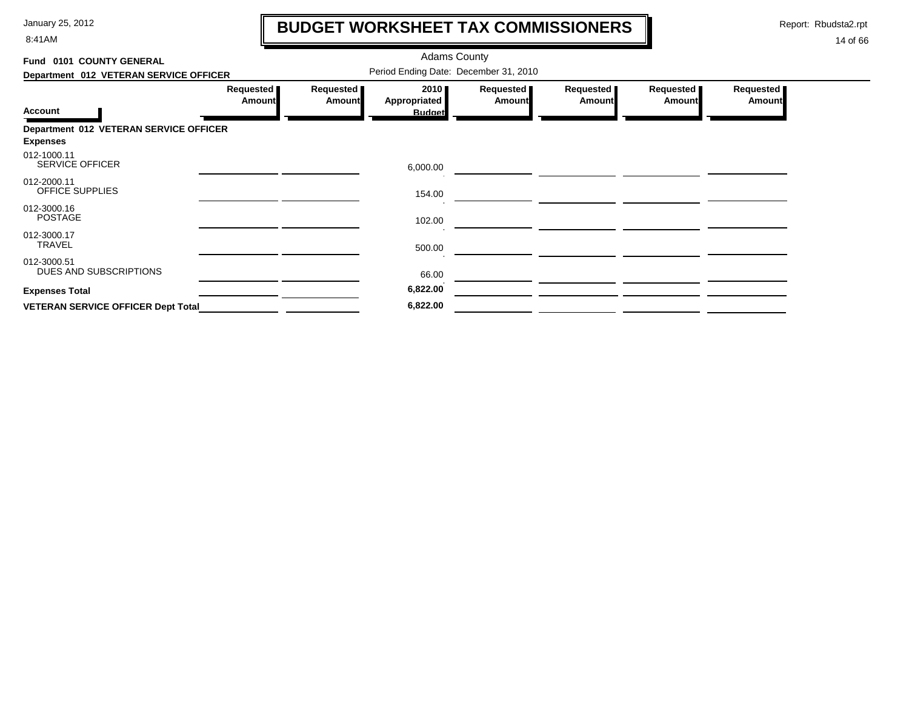8:41AM

# **BUDGET WORKSHEET TAX COMMISSIONERS**

Report: Rbudsta2.rpt

 $\mathbf \mathbf I$ 

| Fund 0101 COUNTY GENERAL                                  |                            |                                       | <b>Adams County</b>                   |                            |                            |                            |                            |  |  |
|-----------------------------------------------------------|----------------------------|---------------------------------------|---------------------------------------|----------------------------|----------------------------|----------------------------|----------------------------|--|--|
| Department 012 VETERAN SERVICE OFFICER                    |                            | Period Ending Date: December 31, 2010 |                                       |                            |                            |                            |                            |  |  |
| <b>Account</b>                                            | Requested<br><b>Amount</b> | Requested<br><b>Amount</b>            | 2010<br>Appropriated<br><b>Budget</b> | Requested<br><b>Amount</b> | Requested<br><b>Amount</b> | Requested<br><b>Amount</b> | Requested<br><b>Amount</b> |  |  |
| Department 012 VETERAN SERVICE OFFICER<br><b>Expenses</b> |                            |                                       |                                       |                            |                            |                            |                            |  |  |
| 012-1000.11<br><b>SERVICE OFFICER</b>                     |                            |                                       | 6,000.00                              |                            |                            |                            |                            |  |  |
| 012-2000.11<br>OFFICE SUPPLIES                            |                            |                                       | 154.00                                |                            |                            |                            |                            |  |  |
| 012-3000.16<br><b>POSTAGE</b>                             |                            |                                       | 102.00                                |                            |                            |                            |                            |  |  |
| 012-3000.17<br><b>TRAVEL</b>                              |                            |                                       | 500.00                                |                            |                            |                            |                            |  |  |
| 012-3000.51<br>DUES AND SUBSCRIPTIONS                     |                            |                                       | 66.00                                 |                            |                            |                            |                            |  |  |
| <b>Expenses Total</b>                                     |                            |                                       | 6,822.00                              |                            |                            |                            |                            |  |  |
| <b>VETERAN SERVICE OFFICER Dept Total</b>                 |                            |                                       | 6,822.00                              |                            |                            |                            |                            |  |  |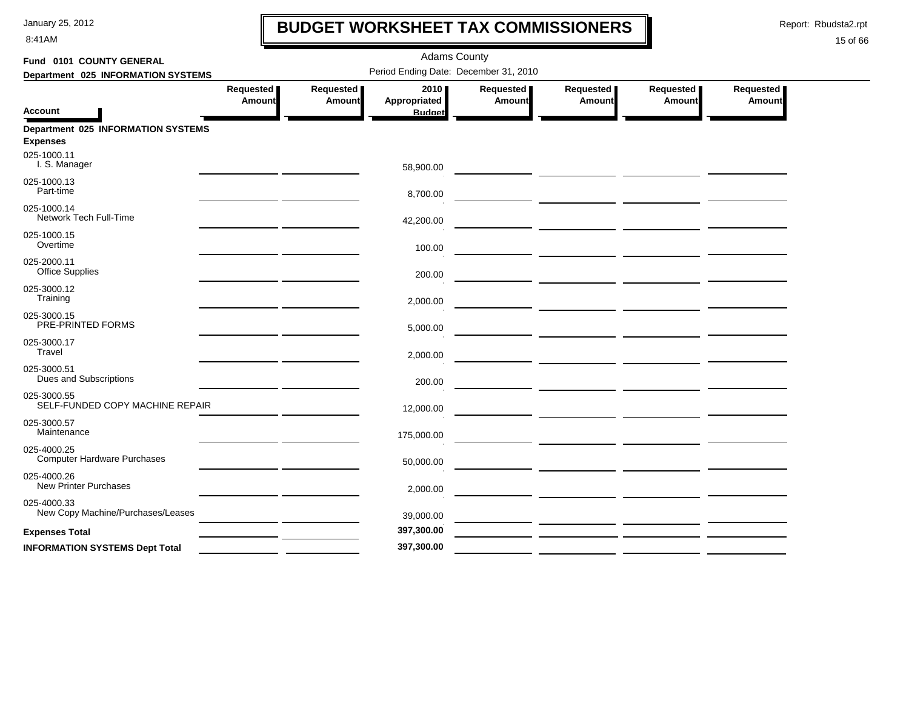8:41AM

# **BUDGET WORKSHEET TAX COMMISSIONERS**

Report: Rbudsta2.rpt

 $\mathbf l$ 

| Fund 0101 COUNTY GENERAL                              | <b>Adams County</b>        |                     |                                       |                                   |                     |                            |                     |  |  |  |
|-------------------------------------------------------|----------------------------|---------------------|---------------------------------------|-----------------------------------|---------------------|----------------------------|---------------------|--|--|--|
| Department 025 INFORMATION SYSTEMS                    |                            |                     | Period Ending Date: December 31, 2010 |                                   |                     |                            |                     |  |  |  |
| Account                                               | Requested<br><b>Amount</b> | Requested<br>Amount | 2010<br>Appropriated<br><b>Budget</b> | <b>Requested</b><br><b>Amount</b> | Requested<br>Amount | Requested<br><b>Amount</b> | Requested<br>Amount |  |  |  |
| Department 025 INFORMATION SYSTEMS<br><b>Expenses</b> |                            |                     |                                       |                                   |                     |                            |                     |  |  |  |
| 025-1000.11<br>I. S. Manager                          |                            |                     | 58,900.00                             |                                   |                     |                            |                     |  |  |  |
| 025-1000.13<br>Part-time                              |                            |                     | 8,700.00                              |                                   |                     |                            |                     |  |  |  |
| 025-1000.14<br>Network Tech Full-Time                 |                            |                     | 42,200.00                             |                                   |                     |                            |                     |  |  |  |
| 025-1000.15<br>Overtime                               |                            |                     | 100.00                                |                                   |                     |                            |                     |  |  |  |
| 025-2000.11<br><b>Office Supplies</b>                 |                            |                     | 200.00                                |                                   |                     |                            |                     |  |  |  |
| 025-3000.12<br>Training                               |                            |                     | 2,000.00                              |                                   |                     |                            |                     |  |  |  |
| 025-3000.15<br>PRE-PRINTED FORMS                      |                            |                     | 5,000.00                              |                                   |                     |                            |                     |  |  |  |
| 025-3000.17<br>Travel                                 |                            |                     | 2,000.00                              |                                   |                     |                            |                     |  |  |  |
| 025-3000.51<br>Dues and Subscriptions                 |                            |                     | 200.00                                |                                   |                     |                            |                     |  |  |  |
| 025-3000.55<br>SELF-FUNDED COPY MACHINE REPAIR        |                            |                     | 12,000.00                             |                                   |                     |                            |                     |  |  |  |
| 025-3000.57<br>Maintenance                            |                            |                     | 175,000.00                            |                                   |                     |                            |                     |  |  |  |
| 025-4000.25<br><b>Computer Hardware Purchases</b>     |                            |                     | 50,000.00                             |                                   |                     |                            |                     |  |  |  |
| 025-4000.26<br><b>New Printer Purchases</b>           |                            |                     | 2,000.00                              |                                   |                     |                            |                     |  |  |  |
| 025-4000.33<br>New Copy Machine/Purchases/Leases      |                            |                     | 39,000.00                             |                                   |                     |                            |                     |  |  |  |
| <b>Expenses Total</b>                                 |                            |                     | 397,300.00                            |                                   |                     |                            |                     |  |  |  |
| <b>INFORMATION SYSTEMS Dept Total</b>                 |                            |                     | 397,300.00                            |                                   |                     |                            |                     |  |  |  |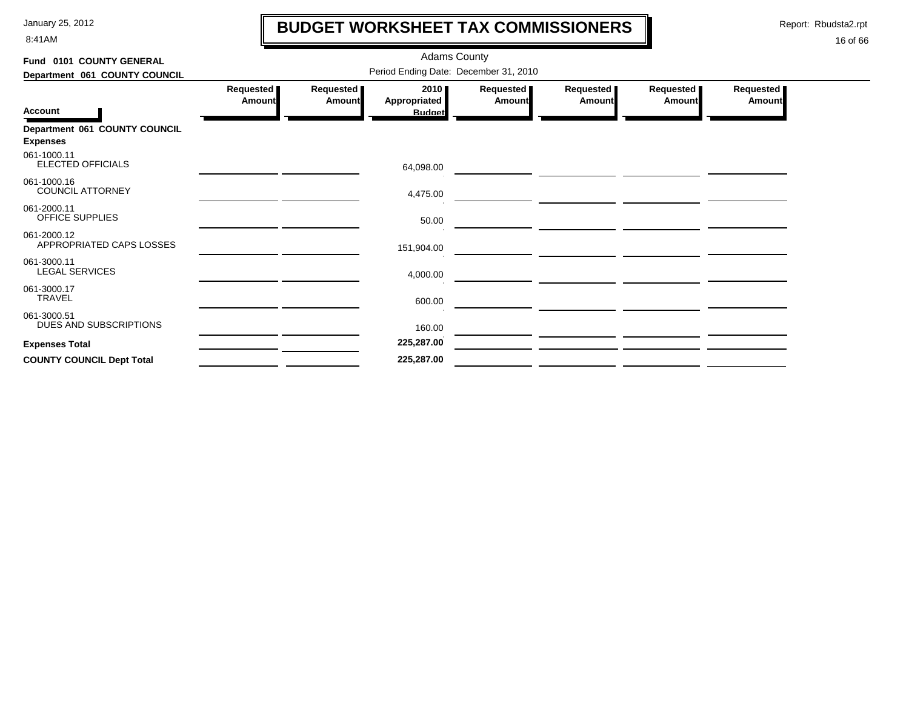8:41AM

# **BUDGET WORKSHEET TAX COMMISSIONERS**

Report: Rbudsta2.rpt

 $\mathbf l$ 

| Fund 0101 COUNTY GENERAL                         | <b>Adams County</b>                   |                     |                                              |                            |                     |                            |                            |  |  |  |
|--------------------------------------------------|---------------------------------------|---------------------|----------------------------------------------|----------------------------|---------------------|----------------------------|----------------------------|--|--|--|
| Department 061 COUNTY COUNCIL                    | Period Ending Date: December 31, 2010 |                     |                                              |                            |                     |                            |                            |  |  |  |
| <b>Account</b>                                   | Requested<br>Amount                   | Requested<br>Amount | 2010<br><b>Appropriated</b><br><b>Budget</b> | Requested<br><b>Amount</b> | Requested<br>Amount | Requested<br><b>Amount</b> | Requested<br><b>Amount</b> |  |  |  |
| Department 061 COUNTY COUNCIL<br><b>Expenses</b> |                                       |                     |                                              |                            |                     |                            |                            |  |  |  |
| 061-1000.11<br><b>ELECTED OFFICIALS</b>          |                                       |                     | 64,098.00                                    |                            |                     |                            |                            |  |  |  |
| 061-1000.16<br><b>COUNCIL ATTORNEY</b>           |                                       |                     | 4,475.00                                     |                            |                     |                            |                            |  |  |  |
| 061-2000.11<br><b>OFFICE SUPPLIES</b>            |                                       |                     | 50.00                                        |                            |                     |                            |                            |  |  |  |
| 061-2000.12<br>APPROPRIATED CAPS LOSSES          |                                       |                     | 151,904.00                                   |                            |                     |                            |                            |  |  |  |
| 061-3000.11<br><b>LEGAL SERVICES</b>             |                                       |                     | 4,000.00                                     |                            |                     |                            |                            |  |  |  |
| 061-3000.17<br><b>TRAVEL</b>                     |                                       |                     | 600.00                                       |                            |                     |                            |                            |  |  |  |
| 061-3000.51<br>DUES AND SUBSCRIPTIONS            |                                       |                     | 160.00                                       |                            |                     |                            |                            |  |  |  |
| <b>Expenses Total</b>                            |                                       |                     | 225,287.00                                   |                            |                     |                            |                            |  |  |  |
| <b>COUNTY COUNCIL Dept Total</b>                 |                                       |                     | 225,287.00                                   |                            |                     |                            |                            |  |  |  |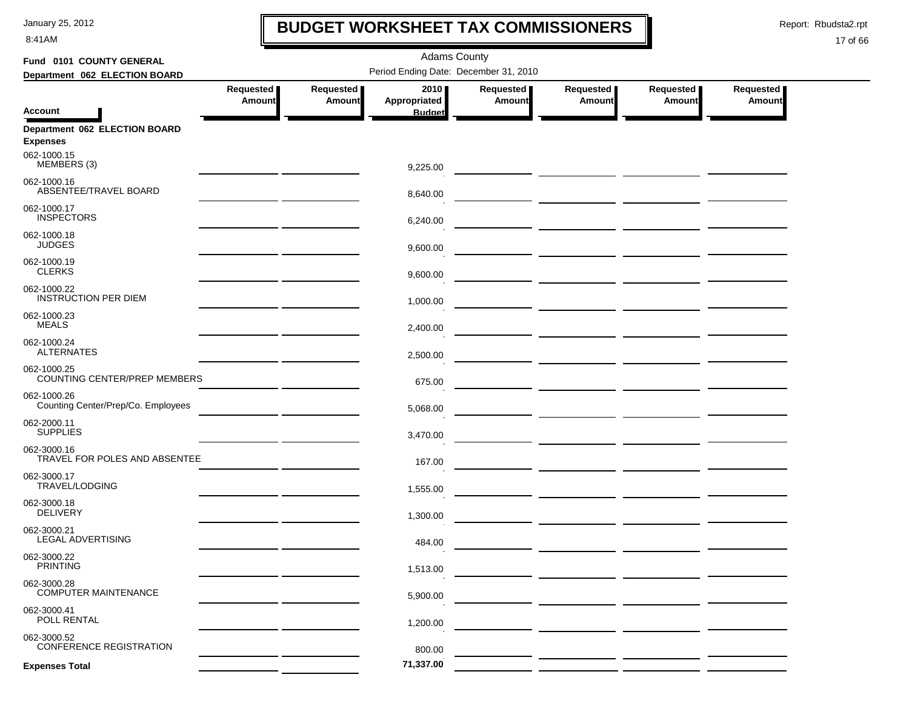8:41AM

# **BUDGET WORKSHEET TAX COMMISSIONERS**

Report: Rbudsta2.rpt

 $\mathbf I$ 

| Fund 0101 COUNTY GENERAL                          | <b>Adams County</b>                   |                            |                      |                     |                                          |                            |                            |  |  |  |
|---------------------------------------------------|---------------------------------------|----------------------------|----------------------|---------------------|------------------------------------------|----------------------------|----------------------------|--|--|--|
| Department 062 ELECTION BOARD                     | Period Ending Date: December 31, 2010 |                            |                      |                     |                                          |                            |                            |  |  |  |
|                                                   | Requested<br><b>Amount</b>            | Requested<br><b>Amount</b> | 2010<br>Appropriated | Requested<br>Amount | Requested<br><b>Amount</b>               | Requested<br><b>Amount</b> | Requested<br><b>Amount</b> |  |  |  |
| <b>Account</b>                                    |                                       |                            | <b>Budget</b>        |                     |                                          |                            |                            |  |  |  |
| Department 062 ELECTION BOARD<br><b>Expenses</b>  |                                       |                            |                      |                     |                                          |                            |                            |  |  |  |
| 062-1000.15<br>MEMBERS (3)                        |                                       |                            | 9,225.00             |                     |                                          |                            |                            |  |  |  |
| 062-1000.16<br>ABSENTEE/TRAVEL BOARD              |                                       |                            | 8,640.00             |                     |                                          |                            |                            |  |  |  |
| 062-1000.17<br><b>INSPECTORS</b>                  |                                       |                            | 6,240.00             |                     |                                          |                            |                            |  |  |  |
| 062-1000.18<br><b>JUDGES</b>                      |                                       |                            | 9,600.00             |                     |                                          |                            |                            |  |  |  |
| 062-1000.19<br><b>CLERKS</b>                      |                                       |                            | 9,600.00             |                     |                                          |                            |                            |  |  |  |
| 062-1000.22<br><b>INSTRUCTION PER DIEM</b>        |                                       |                            | 1,000.00             |                     |                                          |                            |                            |  |  |  |
| 062-1000.23<br>MEALS                              |                                       |                            | 2,400.00             |                     | — <u>— — — — — — — — — — — — — — — —</u> |                            |                            |  |  |  |
| 062-1000.24<br><b>ALTERNATES</b>                  |                                       |                            | 2,500.00             |                     |                                          |                            |                            |  |  |  |
| 062-1000.25<br>COUNTING CENTER/PREP MEMBERS       |                                       |                            | 675.00               |                     |                                          |                            |                            |  |  |  |
| 062-1000.26<br>Counting Center/Prep/Co. Employees |                                       |                            | 5,068.00             |                     |                                          |                            |                            |  |  |  |
| 062-2000.11<br><b>SUPPLIES</b>                    |                                       |                            | 3,470.00             |                     |                                          |                            |                            |  |  |  |
| 062-3000.16<br>TRAVEL FOR POLES AND ABSENTEE      |                                       |                            | 167.00               |                     |                                          |                            |                            |  |  |  |
| 062-3000.17<br>TRAVEL/LODGING                     |                                       |                            | 1,555.00             |                     |                                          |                            |                            |  |  |  |
| 062-3000.18<br><b>DELIVERY</b>                    |                                       |                            | 1,300.00             |                     |                                          |                            |                            |  |  |  |
| 062-3000.21<br>LEGAL ADVERTISING                  |                                       |                            | 484.00               |                     |                                          |                            |                            |  |  |  |
| 062-3000.22<br><b>PRINTING</b>                    |                                       |                            | 1,513.00             |                     |                                          |                            |                            |  |  |  |
| 062-3000.28<br><b>COMPUTER MAINTENANCE</b>        |                                       |                            | 5,900.00             |                     |                                          |                            |                            |  |  |  |
| 062-3000.41<br>POLL RENTAL                        |                                       |                            | 1,200.00             |                     |                                          |                            |                            |  |  |  |
| 062-3000.52<br><b>CONFERENCE REGISTRATION</b>     |                                       |                            | 800.00               |                     |                                          |                            |                            |  |  |  |
| <b>Expenses Total</b>                             |                                       |                            | 71,337.00            |                     |                                          |                            |                            |  |  |  |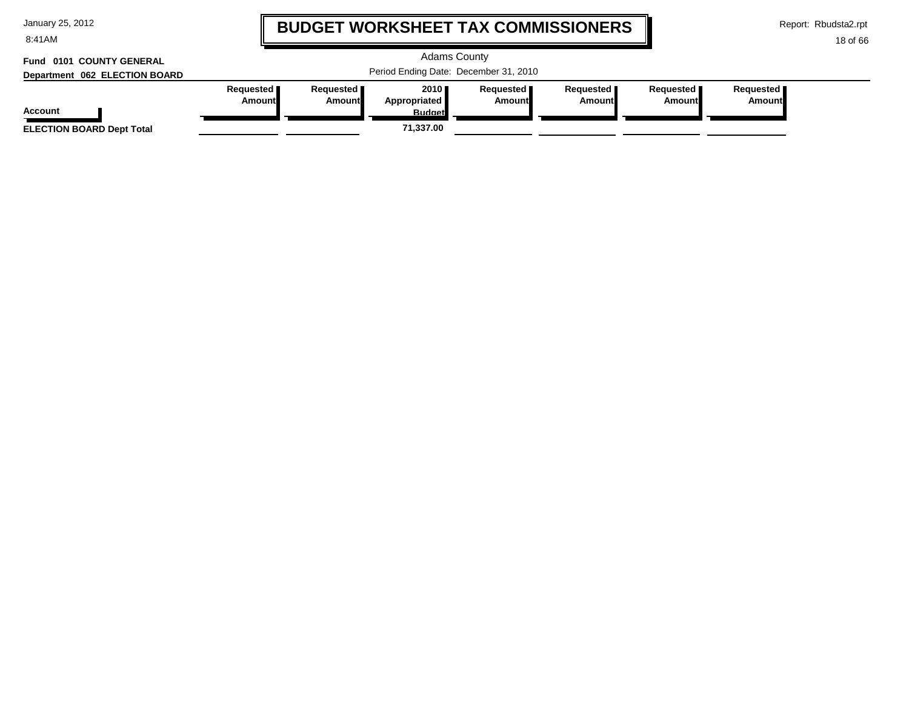8:41AM

# **BUDGET WORKSHEET TAX COMMISSIONERS**

Report: Rbudsta2.rpt

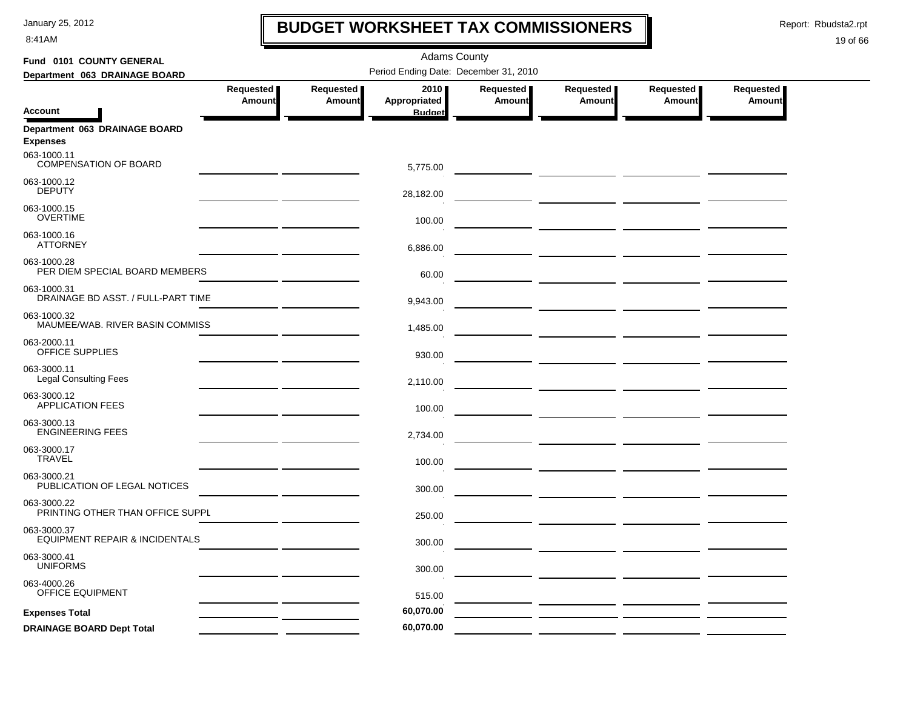8:41AM

### **BUDGET WORKSHEET TAX COMMISSIONERS**

Report: Rbudsta2.rpt

 $\mathbf l$ 

| Fund 0101 COUNTY GENERAL                          |           |           | <b>Adams County</b>                   |               |                                         |               |           |
|---------------------------------------------------|-----------|-----------|---------------------------------------|---------------|-----------------------------------------|---------------|-----------|
| Department 063 DRAINAGE BOARD                     |           |           | Period Ending Date: December 31, 2010 |               |                                         |               |           |
|                                                   | Requested | Requested | 2010                                  | Requested     | Requested                               | Requested     | Requested |
| <b>Account</b>                                    | Amount    | Amount    | Appropriated<br><b>Budget</b>         | <b>Amount</b> | <b>Amount</b>                           | <b>Amount</b> | Amount    |
| Department 063 DRAINAGE BOARD<br><b>Expenses</b>  |           |           |                                       |               |                                         |               |           |
| 063-1000.11<br>COMPENSATION OF BOARD              |           |           | 5,775.00                              |               |                                         |               |           |
| 063-1000.12<br><b>DEPUTY</b>                      |           |           | 28,182.00                             |               | <u> 1990 - Johann Barbara, martin a</u> |               |           |
| 063-1000.15<br><b>OVERTIME</b>                    |           |           | 100.00                                |               |                                         |               |           |
| 063-1000.16<br><b>ATTORNEY</b>                    |           |           | 6,886.00                              |               |                                         |               |           |
| 063-1000.28<br>PER DIEM SPECIAL BOARD MEMBERS     |           |           | 60.00                                 |               |                                         |               |           |
| 063-1000.31<br>DRAINAGE BD ASST. / FULL-PART TIME |           |           | 9,943.00                              |               |                                         |               |           |
| 063-1000.32<br>MAUMEE/WAB. RIVER BASIN COMMISS    |           |           | 1,485.00                              |               |                                         |               |           |
| 063-2000.11<br>OFFICE SUPPLIES                    |           |           | 930.00                                |               |                                         |               |           |
| 063-3000.11<br><b>Legal Consulting Fees</b>       |           |           | 2,110.00                              |               |                                         |               |           |
| 063-3000.12<br><b>APPLICATION FEES</b>            |           |           | 100.00                                |               |                                         |               |           |
| 063-3000.13<br><b>ENGINEERING FEES</b>            |           |           | 2,734.00                              |               |                                         |               |           |
| 063-3000.17<br><b>TRAVEL</b>                      |           |           | 100.00                                |               |                                         |               |           |
| 063-3000.21<br>PUBLICATION OF LEGAL NOTICES       |           |           | 300.00                                |               |                                         |               |           |
| 063-3000.22<br>PRINTING OTHER THAN OFFICE SUPPL   |           |           | 250.00                                |               |                                         |               |           |
| 063-3000.37<br>EQUIPMENT REPAIR & INCIDENTALS     |           |           | 300.00                                |               |                                         |               |           |
| 063-3000.41<br><b>UNIFORMS</b>                    |           |           | 300.00                                |               |                                         |               |           |
| 063-4000.26<br><b>OFFICE EQUIPMENT</b>            |           |           | 515.00                                |               |                                         |               |           |
| <b>Expenses Total</b>                             |           |           | 60,070.00                             |               |                                         |               |           |
| <b>DRAINAGE BOARD Dept Total</b>                  |           |           | 60,070.00                             |               |                                         |               |           |
|                                                   |           |           |                                       |               |                                         |               |           |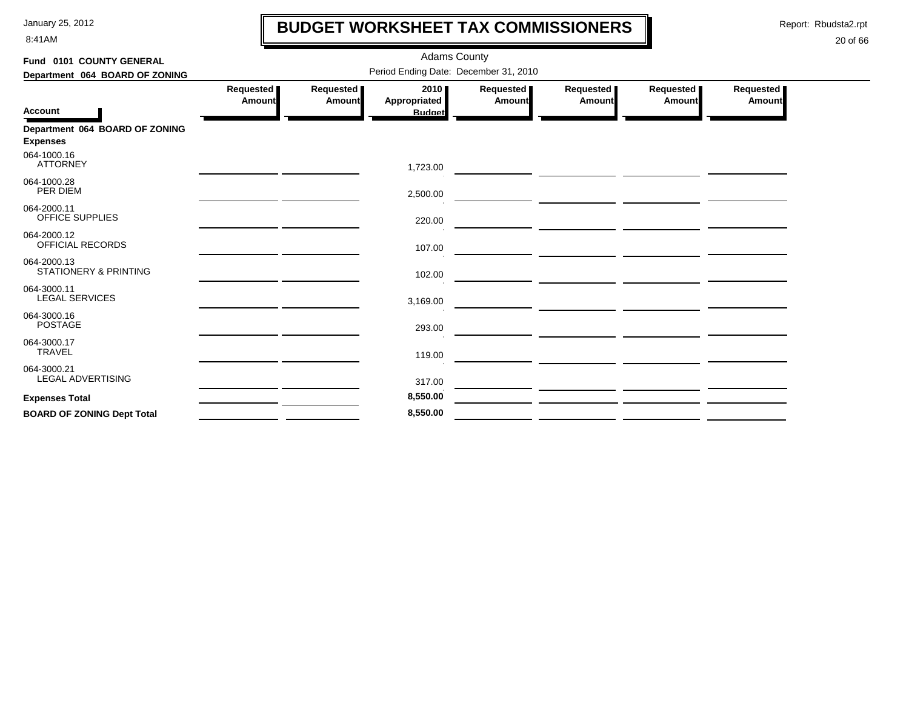8:41AM

# **BUDGET WORKSHEET TAX COMMISSIONERS**

Report: Rbudsta2.rpt

 $\mathbf l$ 

| Fund 0101 COUNTY GENERAL                          |                     |                     |                                       |                     |                                                 |                     |                     |
|---------------------------------------------------|---------------------|---------------------|---------------------------------------|---------------------|-------------------------------------------------|---------------------|---------------------|
| Department 064 BOARD OF ZONING                    |                     |                     | Period Ending Date: December 31, 2010 |                     |                                                 |                     |                     |
| <b>Account</b>                                    | Requested<br>Amount | Requested<br>Amount | 2010<br>Appropriated<br><b>Budget</b> | Requested<br>Amount | Requested  <br>Amount                           | Requested<br>Amount | Requested<br>Amount |
| Department 064 BOARD OF ZONING<br><b>Expenses</b> |                     |                     |                                       |                     |                                                 |                     |                     |
| 064-1000.16<br><b>ATTORNEY</b>                    |                     |                     | 1,723.00                              |                     |                                                 |                     |                     |
| 064-1000.28<br>PER DIEM                           |                     |                     | 2,500.00                              |                     |                                                 |                     |                     |
| 064-2000.11<br><b>OFFICE SUPPLIES</b>             |                     |                     | 220.00                                |                     | <u> 1989 - Johann John Stone, mars et al. (</u> |                     |                     |
| 064-2000.12<br><b>OFFICIAL RECORDS</b>            |                     |                     | 107.00                                |                     |                                                 |                     |                     |
| 064-2000.13<br><b>STATIONERY &amp; PRINTING</b>   |                     |                     | 102.00                                |                     |                                                 |                     |                     |
| 064-3000.11<br><b>LEGAL SERVICES</b>              |                     |                     | 3,169.00                              |                     |                                                 |                     |                     |
| 064-3000.16<br><b>POSTAGE</b>                     |                     |                     | 293.00                                |                     |                                                 |                     |                     |
| 064-3000.17<br><b>TRAVEL</b>                      |                     |                     | 119.00                                |                     |                                                 |                     |                     |
| 064-3000.21<br><b>LEGAL ADVERTISING</b>           |                     |                     | 317.00                                |                     |                                                 |                     |                     |
| <b>Expenses Total</b>                             |                     |                     | 8,550.00                              |                     |                                                 |                     |                     |
| <b>BOARD OF ZONING Dept Total</b>                 |                     |                     | 8,550.00                              |                     |                                                 |                     |                     |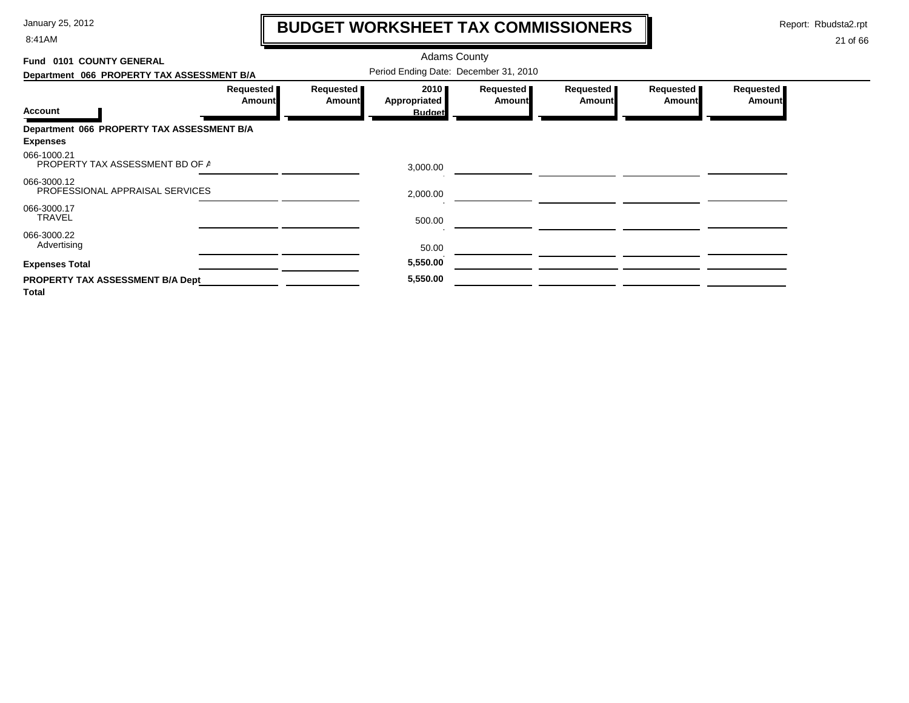8:41AM

# **BUDGET WORKSHEET TAX COMMISSIONERS**

Report: Rbudsta2.rpt

 $\mathbf l$ 

| Fund 0101 COUNTY GENERAL                       |                     |                                       | <b>Adams County</b>  |                            |                            |                            |                            |
|------------------------------------------------|---------------------|---------------------------------------|----------------------|----------------------------|----------------------------|----------------------------|----------------------------|
| Department 066 PROPERTY TAX ASSESSMENT B/A     |                     | Period Ending Date: December 31, 2010 |                      |                            |                            |                            |                            |
|                                                | Requested<br>Amount | Requested<br><b>Amount</b>            | 2010<br>Appropriated | Requested<br><b>Amount</b> | Requested<br><b>Amount</b> | Requested<br><b>Amount</b> | Requested<br><b>Amount</b> |
| <b>Account</b>                                 |                     |                                       | <b>Budget</b>        |                            |                            |                            |                            |
| Department 066 PROPERTY TAX ASSESSMENT B/A     |                     |                                       |                      |                            |                            |                            |                            |
| <b>Expenses</b>                                |                     |                                       |                      |                            |                            |                            |                            |
| 066-1000.21<br>PROPERTY TAX ASSESSMENT BD OF A |                     |                                       | 3,000.00             |                            |                            |                            |                            |
| 066-3000.12<br>PROFESSIONAL APPRAISAL SERVICES |                     |                                       | 2,000.00             |                            |                            |                            |                            |
| 066-3000.17<br><b>TRAVEL</b>                   |                     |                                       | 500.00               |                            |                            |                            |                            |
| 066-3000.22<br>Advertising                     |                     |                                       | 50.00                |                            |                            |                            |                            |
| <b>Expenses Total</b>                          |                     |                                       | 5,550.00             |                            |                            |                            |                            |
| PROPERTY TAX ASSESSMENT B/A Dept               |                     |                                       | 5,550.00             |                            |                            |                            |                            |
| <b>Total</b>                                   |                     |                                       |                      |                            |                            |                            |                            |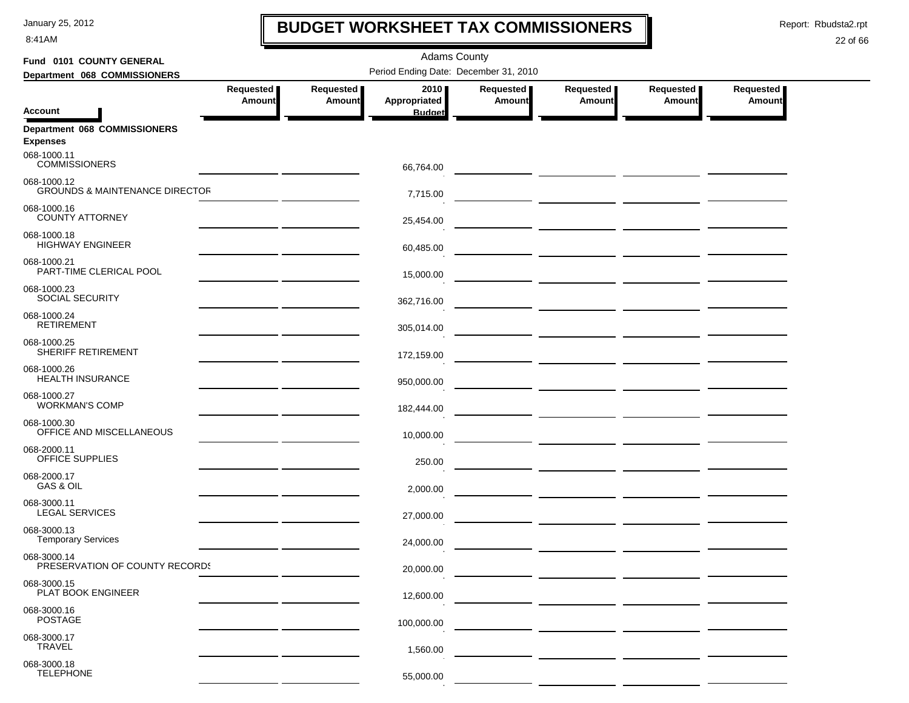8:41AM

# **BUDGET WORKSHEET TAX COMMISSIONERS**

Report: Rbudsta2.rpt

 $\mathbf l$ 

| Fund 0101 COUNTY GENERAL                                 | <b>Adams County</b>                                                                                                  |                     |                      |                            |                     |                     |                     |  |  |  |
|----------------------------------------------------------|----------------------------------------------------------------------------------------------------------------------|---------------------|----------------------|----------------------------|---------------------|---------------------|---------------------|--|--|--|
| Department 068 COMMISSIONERS                             | Period Ending Date: December 31, 2010                                                                                |                     |                      |                            |                     |                     |                     |  |  |  |
|                                                          | Requested<br>Amount                                                                                                  | Requested<br>Amount | 2010<br>Appropriated | Requested<br><b>Amount</b> | Requested<br>Amount | Requested<br>Amount | Requested<br>Amount |  |  |  |
| Account                                                  |                                                                                                                      |                     | <b>Budget</b>        |                            |                     |                     |                     |  |  |  |
| Department 068 COMMISSIONERS<br><b>Expenses</b>          |                                                                                                                      |                     |                      |                            |                     |                     |                     |  |  |  |
| 068-1000.11<br><b>COMMISSIONERS</b>                      |                                                                                                                      |                     | 66,764.00            |                            |                     |                     |                     |  |  |  |
| 068-1000.12<br><b>GROUNDS &amp; MAINTENANCE DIRECTOR</b> |                                                                                                                      |                     | 7,715.00             |                            |                     |                     |                     |  |  |  |
| 068-1000.16<br><b>COUNTY ATTORNEY</b>                    |                                                                                                                      |                     | 25,454.00            |                            |                     |                     |                     |  |  |  |
| 068-1000.18<br><b>HIGHWAY ENGINEER</b>                   |                                                                                                                      |                     | 60,485.00            |                            |                     |                     |                     |  |  |  |
| 068-1000.21<br>PART-TIME CLERICAL POOL                   | the control of the control of the                                                                                    |                     | 15,000.00            |                            |                     |                     |                     |  |  |  |
| 068-1000.23<br>SOCIAL SECURITY                           | <u> 1989 - Johann Barnett, fransk kongresu</u>                                                                       |                     | 362,716.00           |                            |                     |                     |                     |  |  |  |
| 068-1000.24<br><b>RETIREMENT</b>                         | <u> 1990 - Jan Jawa Barat, prima prima prima prima prima prima prima prima prima prima prima prima prima prima p</u> |                     | 305,014.00           |                            |                     |                     |                     |  |  |  |
| 068-1000.25<br>SHERIFF RETIREMENT                        |                                                                                                                      |                     | 172,159.00           |                            |                     |                     |                     |  |  |  |
| 068-1000.26<br><b>HEALTH INSURANCE</b>                   | <u> 1989 - Johann Barn, politik fizikar eta </u>                                                                     |                     | 950,000.00           |                            |                     |                     |                     |  |  |  |
| 068-1000.27<br><b>WORKMAN'S COMP</b>                     |                                                                                                                      |                     | 182,444.00           |                            |                     |                     |                     |  |  |  |
| 068-1000.30<br>OFFICE AND MISCELLANEOUS                  |                                                                                                                      |                     | 10,000.00            |                            |                     |                     |                     |  |  |  |
| 068-2000.11<br><b>OFFICE SUPPLIES</b>                    |                                                                                                                      |                     | 250.00               |                            |                     |                     |                     |  |  |  |
| 068-2000.17<br>GAS & OIL                                 |                                                                                                                      |                     | 2,000.00             |                            |                     |                     |                     |  |  |  |
| 068-3000.11<br><b>LEGAL SERVICES</b>                     |                                                                                                                      |                     | 27,000.00            |                            |                     |                     |                     |  |  |  |
| 068-3000.13<br><b>Temporary Services</b>                 |                                                                                                                      |                     | 24,000.00            |                            |                     |                     |                     |  |  |  |
| 068-3000.14<br>PRESERVATION OF COUNTY RECORDS            |                                                                                                                      |                     | 20,000.00            |                            |                     |                     |                     |  |  |  |
| 068-3000.15<br>PLAT BOOK ENGINEER                        |                                                                                                                      |                     | 12,600.00            |                            |                     |                     |                     |  |  |  |
| 068-3000.16<br><b>POSTAGE</b>                            |                                                                                                                      |                     | 100,000.00           |                            |                     |                     |                     |  |  |  |
| 068-3000.17<br><b>TRAVEL</b>                             |                                                                                                                      |                     | 1,560.00             |                            |                     |                     |                     |  |  |  |
| 068-3000.18<br><b>TELEPHONE</b>                          |                                                                                                                      |                     | 55,000.00            |                            |                     |                     |                     |  |  |  |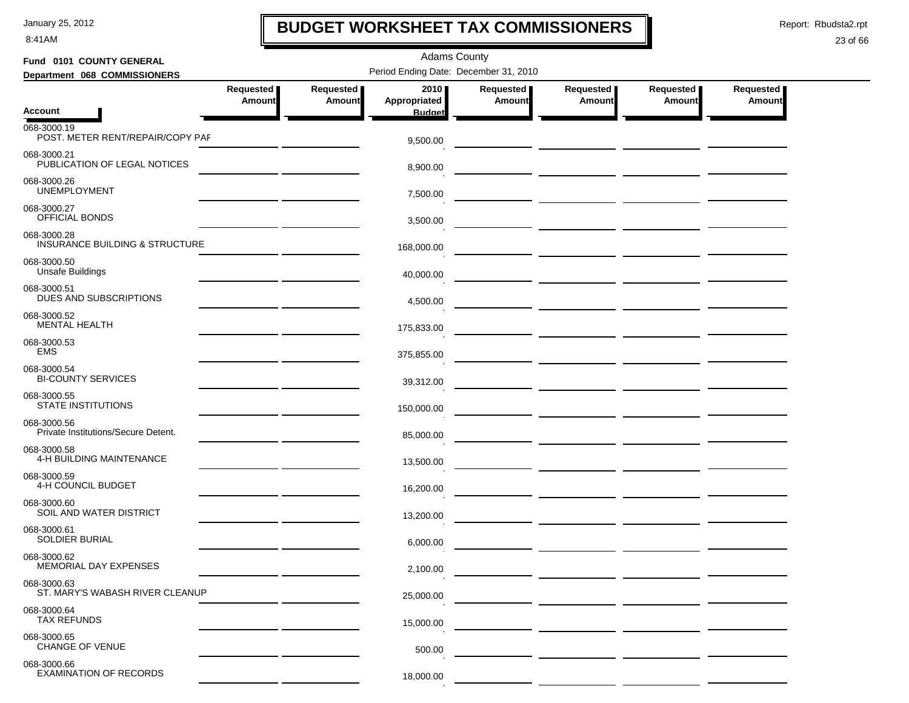8:41AM

### **BUDGET WORKSHEET TAX COMMISSIONERS**

Report: Rbudsta2.rpt

 $\mathbf l$ 

| Fund 0101 COUNTY GENERAL                           |                                                                                                                        | <b>Adams County</b> |                                       |                            |                            |                                                                                                                      |                     |  |  |  |  |
|----------------------------------------------------|------------------------------------------------------------------------------------------------------------------------|---------------------|---------------------------------------|----------------------------|----------------------------|----------------------------------------------------------------------------------------------------------------------|---------------------|--|--|--|--|
| Department 068 COMMISSIONERS                       |                                                                                                                        |                     | Period Ending Date: December 31, 2010 |                            |                            |                                                                                                                      |                     |  |  |  |  |
|                                                    | Requested<br>Amount                                                                                                    | Requested<br>Amount | 2010<br>Appropriated                  | Requested<br><b>Amount</b> | Requested<br><b>Amount</b> | Requested<br>Amount                                                                                                  | Requested<br>Amount |  |  |  |  |
| <b>Account</b>                                     |                                                                                                                        |                     | <b>Budget</b>                         |                            |                            |                                                                                                                      |                     |  |  |  |  |
| 068-3000.19<br>POST. METER RENT/REPAIR/COPY PAF    |                                                                                                                        |                     | 9,500.00                              |                            |                            |                                                                                                                      |                     |  |  |  |  |
| 068-3000.21<br>PUBLICATION OF LEGAL NOTICES        |                                                                                                                        |                     | 8,900.00                              |                            |                            |                                                                                                                      |                     |  |  |  |  |
| 068-3000.26<br><b>UNEMPLOYMENT</b>                 |                                                                                                                        |                     | 7,500.00                              |                            |                            | <u> 1989 - Johann John Stone, mars eta inperiodo eta inperiodo eta inperiodo eta inperiodo eta inperiodo eta inp</u> |                     |  |  |  |  |
| 068-3000.27<br>OFFICIAL BONDS                      |                                                                                                                        |                     | 3,500.00                              |                            |                            |                                                                                                                      |                     |  |  |  |  |
| 068-3000.28<br>INSURANCE BUILDING & STRUCTURE      |                                                                                                                        |                     | 168,000.00                            |                            |                            |                                                                                                                      |                     |  |  |  |  |
| 068-3000.50<br><b>Unsafe Buildings</b>             |                                                                                                                        |                     | 40,000.00                             |                            |                            |                                                                                                                      |                     |  |  |  |  |
| 068-3000.51<br><b>DUES AND SUBSCRIPTIONS</b>       | <u> 1989 - Johann John Stone, mars et al.</u>                                                                          |                     | 4,500.00                              |                            |                            |                                                                                                                      |                     |  |  |  |  |
| 068-3000.52<br><b>MENTAL HEALTH</b>                |                                                                                                                        |                     | 175,833.00                            |                            |                            |                                                                                                                      |                     |  |  |  |  |
| 068-3000.53<br><b>EMS</b>                          |                                                                                                                        |                     | 375,855.00                            |                            |                            |                                                                                                                      |                     |  |  |  |  |
| 068-3000.54<br><b>BI-COUNTY SERVICES</b>           | <u> 1989 - Johann John Stone, mars et al. 1989 - John Stone, mars et al. 1989 - John Stone, mars et al. 1989 - Joh</u> |                     | 39,312.00                             |                            |                            |                                                                                                                      |                     |  |  |  |  |
| 068-3000.55<br><b>STATE INSTITUTIONS</b>           |                                                                                                                        |                     | 150,000.00                            |                            |                            |                                                                                                                      |                     |  |  |  |  |
| 068-3000.56<br>Private Institutions/Secure Detent. |                                                                                                                        |                     | 85,000.00                             |                            |                            |                                                                                                                      |                     |  |  |  |  |
| 068-3000.58<br>4-H BUILDING MAINTENANCE            |                                                                                                                        |                     | 13,500.00                             |                            |                            |                                                                                                                      |                     |  |  |  |  |
| 068-3000.59<br>4-H COUNCIL BUDGET                  |                                                                                                                        |                     | 16,200.00                             |                            |                            |                                                                                                                      |                     |  |  |  |  |
| 068-3000.60<br>SOIL AND WATER DISTRICT             |                                                                                                                        |                     | 13,200.00                             |                            |                            |                                                                                                                      |                     |  |  |  |  |
| 068-3000.61<br><b>SOLDIER BURIAL</b>               |                                                                                                                        |                     | 6,000.00                              |                            |                            |                                                                                                                      |                     |  |  |  |  |
| 068-3000.62<br>MEMORIAL DAY EXPENSES               |                                                                                                                        |                     | 2,100.00                              |                            |                            |                                                                                                                      |                     |  |  |  |  |
| 068-3000.63<br>ST. MARY'S WABASH RIVER CLEANUP     |                                                                                                                        |                     | 25,000.00                             |                            |                            |                                                                                                                      |                     |  |  |  |  |
| 068-3000.64<br><b>TAX REFUNDS</b>                  |                                                                                                                        |                     | 15,000.00                             |                            |                            |                                                                                                                      |                     |  |  |  |  |
| 068-3000.65<br><b>CHANGE OF VENUE</b>              |                                                                                                                        |                     | 500.00                                |                            |                            |                                                                                                                      |                     |  |  |  |  |
| 068-3000.66<br><b>EXAMINATION OF RECORDS</b>       |                                                                                                                        |                     | 18,000.00                             |                            |                            |                                                                                                                      |                     |  |  |  |  |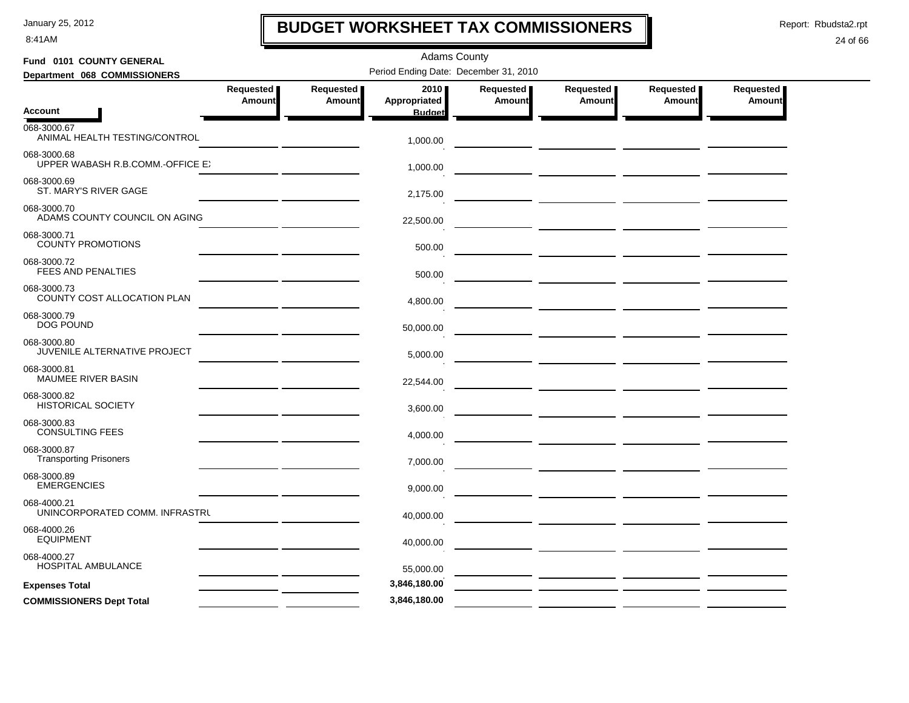8:41AM

# **BUDGET WORKSHEET TAX COMMISSIONERS**

Report: Rbudsta2.rpt

 $\mathbf l$ 

| Fund 0101 COUNTY GENERAL                        |                     |                            | <b>Adams County</b>                   |                            |                                                                                                                      |                     |                            |
|-------------------------------------------------|---------------------|----------------------------|---------------------------------------|----------------------------|----------------------------------------------------------------------------------------------------------------------|---------------------|----------------------------|
| Department 068 COMMISSIONERS                    |                     |                            | Period Ending Date: December 31, 2010 |                            |                                                                                                                      |                     |                            |
|                                                 | Requested<br>Amount | Requested<br><b>Amount</b> | 2010<br>Appropriated                  | Requested<br><b>Amount</b> | Requested<br>Amount                                                                                                  | Requested<br>Amount | Requested<br><b>Amount</b> |
| <b>Account</b>                                  |                     |                            | <b>Budget</b>                         |                            |                                                                                                                      |                     |                            |
| 068-3000.67<br>ANIMAL HEALTH TESTING/CONTROL    |                     |                            | 1,000.00                              |                            |                                                                                                                      |                     |                            |
| 068-3000.68<br>UPPER WABASH R.B.COMM.-OFFICE EX |                     |                            | 1,000.00                              |                            |                                                                                                                      |                     |                            |
| 068-3000.69<br>ST. MARY'S RIVER GAGE            |                     |                            | 2,175.00                              |                            |                                                                                                                      |                     |                            |
| 068-3000.70<br>ADAMS COUNTY COUNCIL ON AGING    |                     |                            | 22,500.00                             |                            |                                                                                                                      |                     |                            |
| 068-3000.71<br><b>COUNTY PROMOTIONS</b>         |                     |                            | 500.00                                |                            | <u> 1990 - Johann John Harry Harry Harry Harry Harry Harry Harry Harry Harry Harry Harry Harry Harry Harry Harry</u> |                     |                            |
| 068-3000.72<br>FEES AND PENALTIES               |                     |                            | 500.00                                |                            |                                                                                                                      |                     |                            |
| 068-3000.73<br>COUNTY COST ALLOCATION PLAN      |                     |                            | 4,800.00                              |                            |                                                                                                                      |                     |                            |
| 068-3000.79<br><b>DOG POUND</b>                 |                     |                            | 50,000.00                             |                            |                                                                                                                      |                     |                            |
| 068-3000.80<br>JUVENILE ALTERNATIVE PROJECT     |                     |                            | 5,000.00                              |                            |                                                                                                                      |                     |                            |
| 068-3000.81<br><b>MAUMEE RIVER BASIN</b>        |                     |                            | 22,544.00                             |                            | <u> 1989 - Johann John Stone, mars eta ingle</u>                                                                     |                     |                            |
| 068-3000.82<br><b>HISTORICAL SOCIETY</b>        |                     |                            | 3,600.00                              |                            |                                                                                                                      |                     |                            |
| 068-3000.83<br><b>CONSULTING FEES</b>           |                     |                            | 4,000.00                              |                            |                                                                                                                      |                     |                            |
| 068-3000.87<br><b>Transporting Prisoners</b>    |                     |                            | 7,000.00                              |                            |                                                                                                                      |                     |                            |
| 068-3000.89<br><b>EMERGENCIES</b>               |                     |                            | 9,000.00                              |                            |                                                                                                                      |                     |                            |
| 068-4000.21<br>UNINCORPORATED COMM. INFRASTRU   |                     |                            | 40,000.00                             |                            |                                                                                                                      |                     |                            |
| 068-4000.26<br><b>EQUIPMENT</b>                 |                     |                            | 40,000.00                             |                            |                                                                                                                      |                     |                            |
| 068-4000.27<br>HOSPITAL AMBULANCE               |                     |                            | 55,000.00                             |                            |                                                                                                                      |                     |                            |
| <b>Expenses Total</b>                           |                     |                            | 3,846,180.00                          |                            |                                                                                                                      |                     |                            |
| <b>COMMISSIONERS Dept Total</b>                 |                     |                            | 3,846,180.00                          |                            |                                                                                                                      |                     |                            |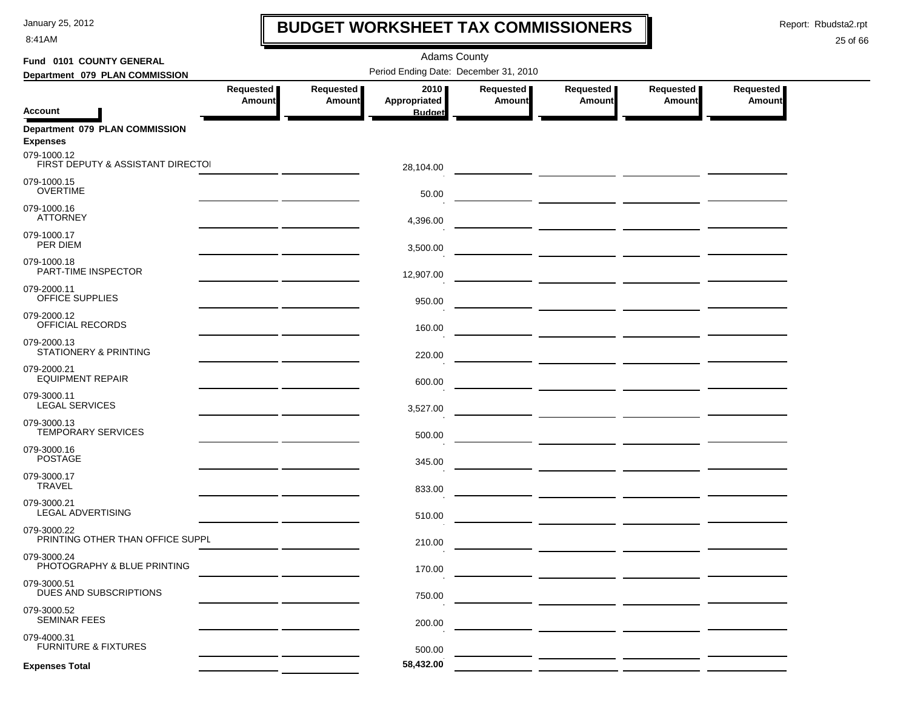8:41AM

## **BUDGET WORKSHEET TAX COMMISSIONERS**

Report: Rbudsta2.rpt

 $\mathbf l$ 

| Fund 0101 COUNTY GENERAL                          | <b>Adams County</b>        |                            |                                       |                            |                                          |                     |                     |  |  |  |
|---------------------------------------------------|----------------------------|----------------------------|---------------------------------------|----------------------------|------------------------------------------|---------------------|---------------------|--|--|--|
| Department 079 PLAN COMMISSION                    |                            |                            | Period Ending Date: December 31, 2010 |                            |                                          |                     |                     |  |  |  |
|                                                   | Requested<br><b>Amount</b> | Requested<br><b>Amount</b> | 2010<br>Appropriated                  | Requested<br><b>Amount</b> | Requested<br><b>Amount</b>               | Requested<br>Amount | Requested<br>Amount |  |  |  |
| <b>Account</b>                                    |                            |                            | <b>Budget</b>                         |                            |                                          |                     |                     |  |  |  |
| Department 079 PLAN COMMISSION<br><b>Expenses</b> |                            |                            |                                       |                            |                                          |                     |                     |  |  |  |
| 079-1000.12<br>FIRST DEPUTY & ASSISTANT DIRECTOI  |                            |                            | 28,104.00                             |                            | <u> 1989 - Johann Harry Barn, mars a</u> |                     |                     |  |  |  |
| 079-1000.15<br><b>OVERTIME</b>                    |                            |                            | 50.00                                 |                            |                                          |                     |                     |  |  |  |
| 079-1000.16<br><b>ATTORNEY</b>                    |                            |                            | 4,396.00                              |                            |                                          |                     |                     |  |  |  |
| 079-1000.17<br>PER DIEM                           |                            |                            | 3,500.00                              |                            |                                          |                     |                     |  |  |  |
| 079-1000.18<br>PART-TIME INSPECTOR                |                            |                            | 12,907.00                             |                            |                                          |                     |                     |  |  |  |
| 079-2000.11<br>OFFICE SUPPLIES                    |                            |                            | 950.00                                |                            |                                          |                     |                     |  |  |  |
| 079-2000.12<br>OFFICIAL RECORDS                   |                            |                            | 160.00                                |                            |                                          |                     |                     |  |  |  |
| 079-2000.13<br><b>STATIONERY &amp; PRINTING</b>   |                            |                            | 220.00                                |                            |                                          |                     |                     |  |  |  |
| 079-2000.21<br><b>EQUIPMENT REPAIR</b>            |                            |                            | 600.00                                |                            |                                          |                     |                     |  |  |  |
| 079-3000.11<br><b>LEGAL SERVICES</b>              |                            |                            | 3,527.00                              |                            |                                          |                     |                     |  |  |  |
| 079-3000.13<br>TEMPORARY SERVICES                 |                            |                            | 500.00                                |                            |                                          |                     |                     |  |  |  |
| 079-3000.16<br><b>POSTAGE</b>                     |                            |                            | 345.00                                |                            |                                          |                     |                     |  |  |  |
| 079-3000.17<br><b>TRAVEL</b>                      |                            |                            | 833.00                                |                            |                                          |                     |                     |  |  |  |
| 079-3000.21<br>LEGAL ADVERTISING                  |                            |                            | 510.00                                |                            |                                          |                     |                     |  |  |  |
| 079-3000.22<br>PRINTING OTHER THAN OFFICE SUPPL   |                            |                            | 210.00                                |                            |                                          |                     |                     |  |  |  |
| 079-3000.24<br>PHOTOGRAPHY & BLUE PRINTING        |                            |                            | 170.00                                |                            |                                          |                     |                     |  |  |  |
| 079-3000.51<br>DUES AND SUBSCRIPTIONS             |                            |                            | 750.00                                |                            |                                          |                     |                     |  |  |  |
| 079-3000.52<br><b>SEMINAR FEES</b>                |                            |                            | 200.00                                |                            |                                          |                     |                     |  |  |  |
| 079-4000.31<br><b>FURNITURE &amp; FIXTURES</b>    |                            |                            | 500.00                                |                            |                                          |                     |                     |  |  |  |
| <b>Expenses Total</b>                             |                            |                            | 58,432.00                             |                            |                                          |                     |                     |  |  |  |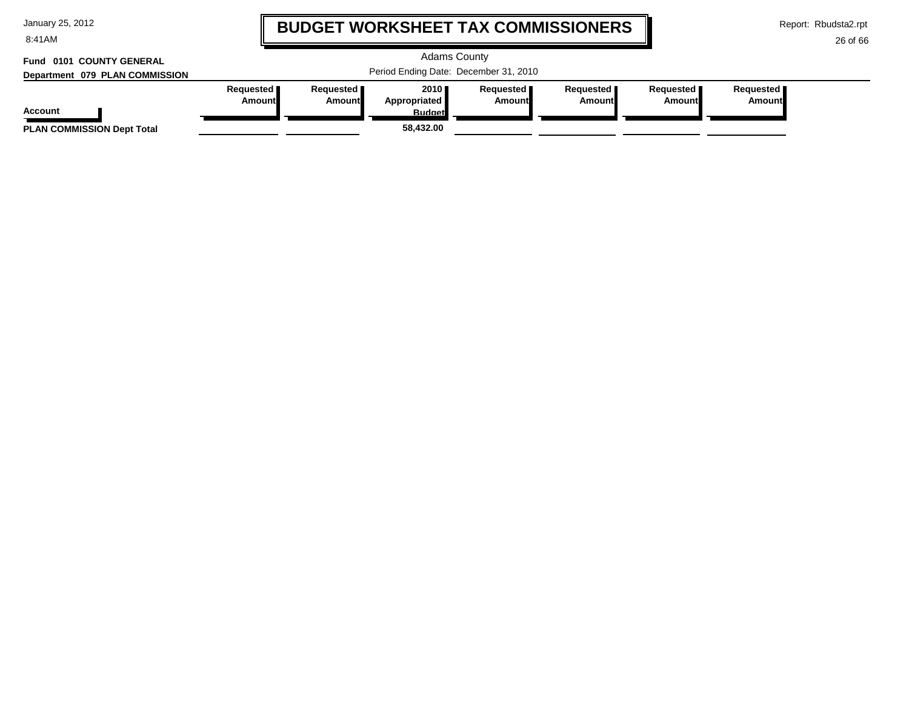8:41AM

# **BUDGET WORKSHEET TAX COMMISSIONERS**

Report: Rbudsta2.rpt

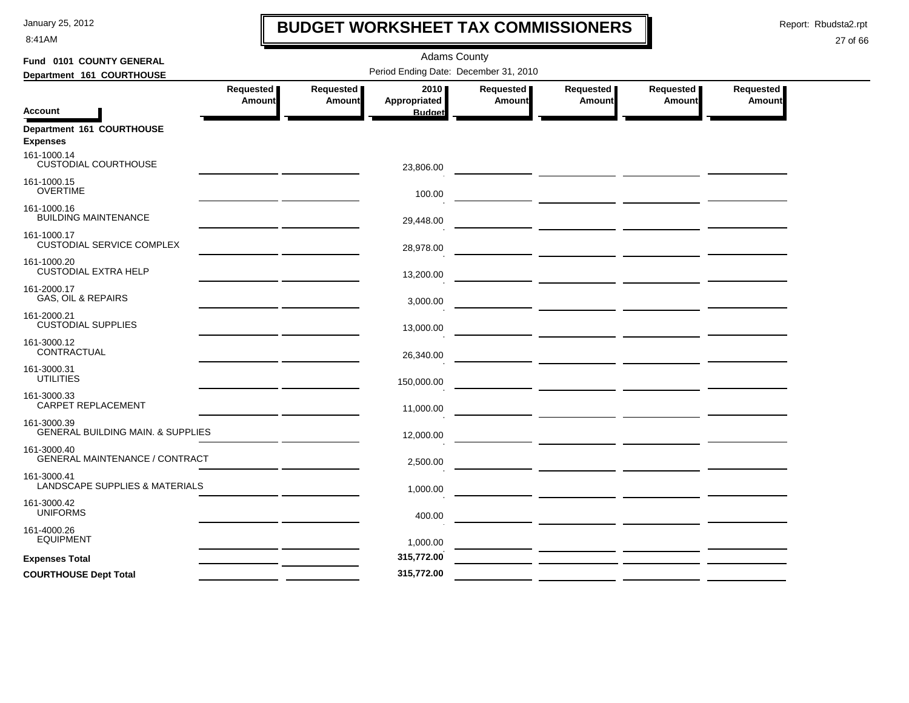8:41AM

# **BUDGET WORKSHEET TAX COMMISSIONERS**

Report: Rbudsta2.rpt

 $\mathbf l$ 

| Fund 0101 COUNTY GENERAL                             | <b>Adams County</b>                               |           |                                       |               |           |           |               |  |  |
|------------------------------------------------------|---------------------------------------------------|-----------|---------------------------------------|---------------|-----------|-----------|---------------|--|--|
| Department 161 COURTHOUSE                            |                                                   |           | Period Ending Date: December 31, 2010 |               |           |           |               |  |  |
|                                                      | Requested                                         | Requested | 2010                                  | Requested     | Requested | Requested | Requested     |  |  |
| Account                                              | <b>Amount</b>                                     | Amount    | Appropriated<br><b>Budget</b>         | <b>Amount</b> | Amount    | Amount    | <b>Amount</b> |  |  |
|                                                      |                                                   |           |                                       |               |           |           |               |  |  |
| Department 161 COURTHOUSE<br><b>Expenses</b>         |                                                   |           |                                       |               |           |           |               |  |  |
| 161-1000.14                                          |                                                   |           |                                       |               |           |           |               |  |  |
| <b>CUSTODIAL COURTHOUSE</b>                          |                                                   |           | 23,806.00                             |               |           |           |               |  |  |
| 161-1000.15<br><b>OVERTIME</b>                       |                                                   |           |                                       |               |           |           |               |  |  |
|                                                      | <u> 1989 - Johann John Stone, mars et al. (</u>   |           | 100.00                                |               |           |           |               |  |  |
| 161-1000.16<br><b>BUILDING MAINTENANCE</b>           |                                                   |           | 29,448.00                             |               |           |           |               |  |  |
| 161-1000.17                                          |                                                   |           |                                       |               |           |           |               |  |  |
| <b>CUSTODIAL SERVICE COMPLEX</b>                     |                                                   |           | 28,978.00                             |               |           |           |               |  |  |
| 161-1000.20                                          |                                                   |           |                                       |               |           |           |               |  |  |
| <b>CUSTODIAL EXTRA HELP</b>                          |                                                   |           | 13,200.00                             |               |           |           |               |  |  |
| 161-2000.17<br>GAS, OIL & REPAIRS                    |                                                   |           | 3,000.00                              |               |           |           |               |  |  |
| 161-2000.21                                          |                                                   |           |                                       |               |           |           |               |  |  |
| <b>CUSTODIAL SUPPLIES</b>                            |                                                   |           | 13,000.00                             |               |           |           |               |  |  |
| 161-3000.12                                          |                                                   |           |                                       |               |           |           |               |  |  |
| <b>CONTRACTUAL</b>                                   |                                                   |           | 26,340.00                             |               |           |           |               |  |  |
| 161-3000.31<br><b>UTILITIES</b>                      |                                                   |           |                                       |               |           |           |               |  |  |
| 161-3000.33                                          |                                                   |           | 150,000.00                            |               |           |           |               |  |  |
| <b>CARPET REPLACEMENT</b>                            | <u> 1989 - John Stone, amerikansk politiker (</u> |           | 11,000.00                             |               |           |           |               |  |  |
| 161-3000.39                                          |                                                   |           |                                       |               |           |           |               |  |  |
| <b>GENERAL BUILDING MAIN. &amp; SUPPLIES</b>         |                                                   |           | 12,000.00                             |               |           |           |               |  |  |
| 161-3000.40<br><b>GENERAL MAINTENANCE / CONTRACT</b> |                                                   |           |                                       |               |           |           |               |  |  |
| 161-3000.41                                          |                                                   |           | 2,500.00                              |               |           |           |               |  |  |
| <b>LANDSCAPE SUPPLIES &amp; MATERIALS</b>            |                                                   |           | 1,000.00                              |               |           |           |               |  |  |
| 161-3000.42                                          |                                                   |           |                                       |               |           |           |               |  |  |
| <b>UNIFORMS</b>                                      |                                                   |           | 400.00                                |               |           |           |               |  |  |
| 161-4000.26<br><b>EQUIPMENT</b>                      |                                                   |           |                                       |               |           |           |               |  |  |
|                                                      |                                                   |           | 1,000.00                              |               |           |           |               |  |  |
| <b>Expenses Total</b>                                |                                                   |           | 315,772.00                            |               |           |           |               |  |  |
| <b>COURTHOUSE Dept Total</b>                         |                                                   |           | 315,772.00                            | - -           |           |           |               |  |  |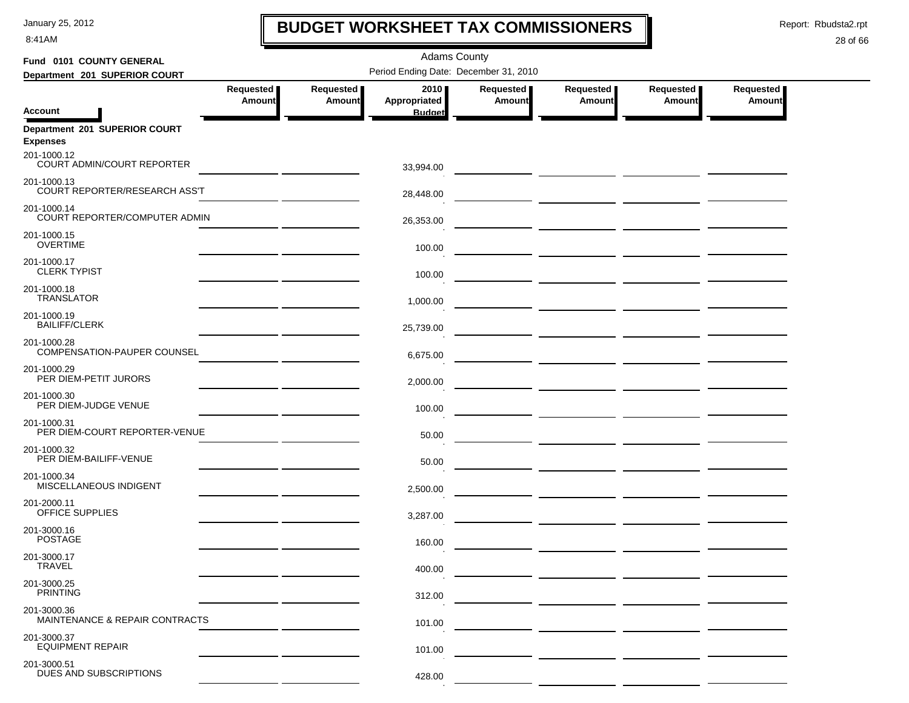8:41AM

# **BUDGET WORKSHEET TAX COMMISSIONERS**

Report: Rbudsta2.rpt

 $\mathbf I$ 

| Fund 0101 COUNTY GENERAL                         | <b>Adams County</b> |                            |                                       |                            |                                                                                                                         |                            |                            |  |  |  |
|--------------------------------------------------|---------------------|----------------------------|---------------------------------------|----------------------------|-------------------------------------------------------------------------------------------------------------------------|----------------------------|----------------------------|--|--|--|
| Department 201 SUPERIOR COURT                    |                     |                            | Period Ending Date: December 31, 2010 |                            |                                                                                                                         |                            |                            |  |  |  |
|                                                  | Requested<br>Amount | Requested<br><b>Amount</b> | 2010<br>Appropriated                  | Requested<br><b>Amount</b> | Requested<br><b>Amount</b>                                                                                              | Requested<br><b>Amount</b> | Requested<br><b>Amount</b> |  |  |  |
| <b>Account</b>                                   |                     |                            | <b>Budget</b>                         |                            |                                                                                                                         |                            |                            |  |  |  |
| Department 201 SUPERIOR COURT<br><b>Expenses</b> |                     |                            |                                       |                            |                                                                                                                         |                            |                            |  |  |  |
| 201-1000.12<br>COURT ADMIN/COURT REPORTER        |                     |                            | 33,994.00                             |                            | <u> 1989 - John Stein, amerikansk politiker (</u>                                                                       |                            |                            |  |  |  |
| 201-1000.13<br>COURT REPORTER/RESEARCH ASS'T     |                     |                            | 28,448.00                             |                            |                                                                                                                         |                            |                            |  |  |  |
| 201-1000.14<br>COURT REPORTER/COMPUTER ADMIN     |                     |                            | 26,353.00                             |                            | <u> The Communication of the Communication of the Communication of the Communication of the Communication of the Co</u> |                            |                            |  |  |  |
| 201-1000.15<br><b>OVERTIME</b>                   |                     |                            | 100.00                                |                            |                                                                                                                         |                            |                            |  |  |  |
| 201-1000.17<br><b>CLERK TYPIST</b>               |                     |                            | 100.00                                |                            | ___ ______________ __________                                                                                           |                            |                            |  |  |  |
| 201-1000.18<br><b>TRANSLATOR</b>                 |                     |                            | 1,000.00                              |                            |                                                                                                                         |                            |                            |  |  |  |
| 201-1000.19<br><b>BAILIFF/CLERK</b>              |                     |                            | 25,739.00                             |                            |                                                                                                                         |                            |                            |  |  |  |
| 201-1000.28<br>COMPENSATION-PAUPER COUNSEL       |                     |                            | 6,675.00                              |                            |                                                                                                                         |                            |                            |  |  |  |
| 201-1000.29<br>PER DIEM-PETIT JURORS             |                     |                            | 2,000.00                              |                            |                                                                                                                         |                            |                            |  |  |  |
| 201-1000.30<br>PER DIEM-JUDGE VENUE              |                     |                            | 100.00                                |                            |                                                                                                                         |                            |                            |  |  |  |
| 201-1000.31<br>PER DIEM-COURT REPORTER-VENUE     |                     |                            | 50.00                                 |                            |                                                                                                                         |                            |                            |  |  |  |
| 201-1000.32<br>PER DIEM-BAILIFF-VENUE            |                     |                            | 50.00                                 |                            |                                                                                                                         |                            |                            |  |  |  |
| 201-1000.34<br>MISCELLANEOUS INDIGENT            |                     |                            | 2,500.00                              |                            |                                                                                                                         |                            |                            |  |  |  |
| 201-2000.11<br>OFFICE SUPPLIES                   |                     |                            | 3,287.00                              |                            |                                                                                                                         |                            |                            |  |  |  |
| 201-3000.16<br><b>POSTAGE</b>                    |                     |                            | 160.00                                |                            |                                                                                                                         |                            |                            |  |  |  |
| 201-3000.17<br><b>TRAVEL</b>                     |                     |                            | 400.00                                |                            |                                                                                                                         |                            |                            |  |  |  |
| 201-3000.25<br><b>PRINTING</b>                   |                     |                            | 312.00                                |                            |                                                                                                                         |                            |                            |  |  |  |
| 201-3000.36<br>MAINTENANCE & REPAIR CONTRACTS    |                     |                            | 101.00                                |                            |                                                                                                                         |                            |                            |  |  |  |
| 201-3000.37<br><b>EQUIPMENT REPAIR</b>           |                     |                            | 101.00                                |                            |                                                                                                                         |                            |                            |  |  |  |
| 201-3000.51<br>DUES AND SUBSCRIPTIONS            |                     |                            | 428.00                                |                            |                                                                                                                         |                            |                            |  |  |  |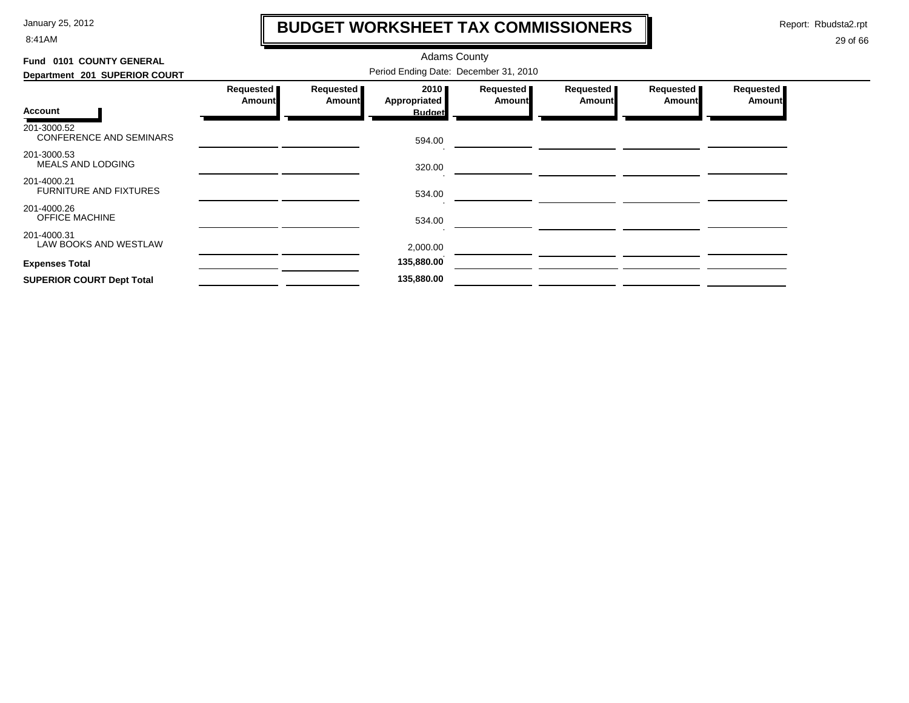8:41AM

# **BUDGET WORKSHEET TAX COMMISSIONERS**

Report: Rbudsta2.rpt

 $\mathbf l$ 

| Fund 0101 COUNTY GENERAL                      |                                       |                     |                      |                     |                            |                            |                            |  |  |
|-----------------------------------------------|---------------------------------------|---------------------|----------------------|---------------------|----------------------------|----------------------------|----------------------------|--|--|
| Department 201 SUPERIOR COURT                 | Period Ending Date: December 31, 2010 |                     |                      |                     |                            |                            |                            |  |  |
|                                               | Requested<br><b>Amount</b>            | Requested<br>Amount | 2010<br>Appropriated | Requested<br>Amount | Requested<br><b>Amount</b> | Requested<br><b>Amount</b> | Requested<br><b>Amount</b> |  |  |
| <b>Account</b>                                |                                       |                     | <b>Budget</b>        |                     |                            |                            |                            |  |  |
| 201-3000.52<br><b>CONFERENCE AND SEMINARS</b> |                                       |                     | 594.00               |                     |                            |                            |                            |  |  |
| 201-3000.53<br><b>MEALS AND LODGING</b>       |                                       |                     | 320.00               |                     |                            |                            |                            |  |  |
| 201-4000.21<br><b>FURNITURE AND FIXTURES</b>  |                                       |                     | 534.00               |                     |                            |                            |                            |  |  |
| 201-4000.26<br><b>OFFICE MACHINE</b>          |                                       |                     | 534.00               |                     |                            |                            |                            |  |  |
| 201-4000.31<br>LAW BOOKS AND WESTLAW          |                                       |                     | 2,000.00             |                     |                            |                            |                            |  |  |
| <b>Expenses Total</b>                         |                                       |                     | 135,880.00           |                     |                            |                            |                            |  |  |
| <b>SUPERIOR COURT Dept Total</b>              |                                       |                     | 135,880.00           |                     |                            |                            |                            |  |  |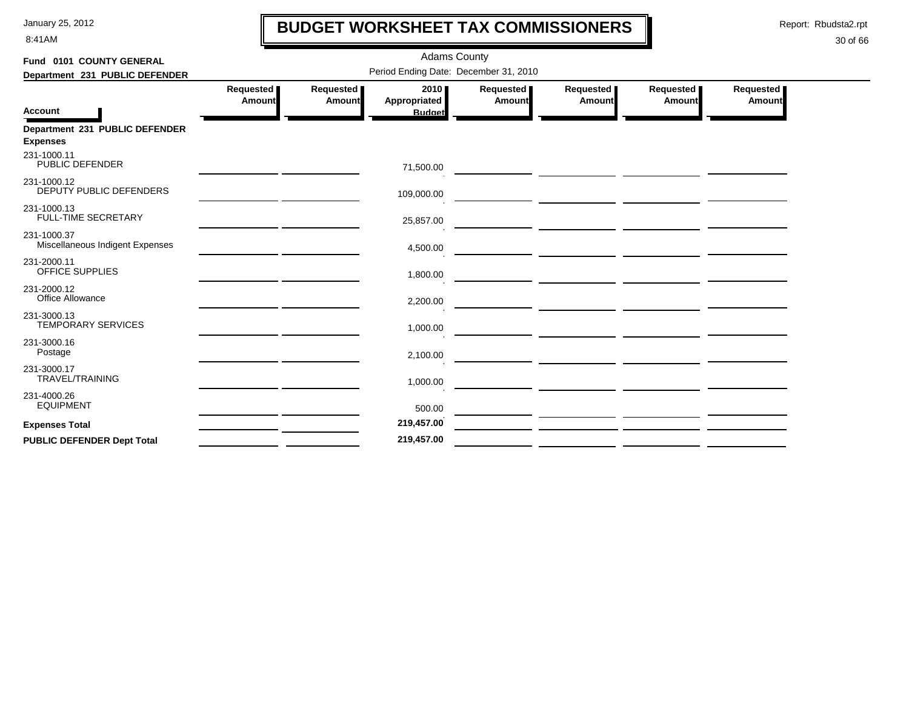8:41AM

# **BUDGET WORKSHEET TAX COMMISSIONERS**

Report: Rbudsta2.rpt

 $\mathbf l$ 

| Fund 0101 COUNTY GENERAL                          | <b>Adams County</b>                   |                     |                      |                     |                                                                                                                       |                     |                     |  |  |  |  |
|---------------------------------------------------|---------------------------------------|---------------------|----------------------|---------------------|-----------------------------------------------------------------------------------------------------------------------|---------------------|---------------------|--|--|--|--|
| Department 231 PUBLIC DEFENDER                    | Period Ending Date: December 31, 2010 |                     |                      |                     |                                                                                                                       |                     |                     |  |  |  |  |
|                                                   | Requested<br>Amount                   | Requested<br>Amount | 2010<br>Appropriated | Requested<br>Amount | Requested<br>Amount                                                                                                   | Requested<br>Amount | Requested<br>Amount |  |  |  |  |
| <b>Account</b>                                    |                                       |                     | <b>Budget</b>        |                     |                                                                                                                       |                     |                     |  |  |  |  |
| Department 231 PUBLIC DEFENDER<br><b>Expenses</b> |                                       |                     |                      |                     |                                                                                                                       |                     |                     |  |  |  |  |
| 231-1000.11<br>PUBLIC DEFENDER                    |                                       |                     | 71,500.00            |                     |                                                                                                                       |                     |                     |  |  |  |  |
| 231-1000.12<br>DEPUTY PUBLIC DEFENDERS            |                                       |                     | 109,000.00           |                     |                                                                                                                       |                     |                     |  |  |  |  |
| 231-1000.13<br><b>FULL-TIME SECRETARY</b>         |                                       |                     | 25,857.00            |                     | <u> Alexandro de la contrada de la contrada de la contrada de la contrada de la contrada de la contrada de la con</u> |                     |                     |  |  |  |  |
| 231-1000.37<br>Miscellaneous Indigent Expenses    |                                       |                     | 4,500.00             |                     | <u> 1989 - Johann John Stone, mars et al. (</u>                                                                       |                     |                     |  |  |  |  |
| 231-2000.11<br>OFFICE SUPPLIES                    |                                       |                     | 1,800.00             |                     |                                                                                                                       |                     |                     |  |  |  |  |
| 231-2000.12<br>Office Allowance                   |                                       |                     | 2,200.00             |                     |                                                                                                                       |                     |                     |  |  |  |  |
| 231-3000.13<br><b>TEMPORARY SERVICES</b>          |                                       |                     | 1,000.00             |                     | <u> Alban a shekara ta 1999 a shekara ta 1999 a shekara ta 1999 a shekara ta 1999 a shekara ta 1999 a shekara t</u>   |                     |                     |  |  |  |  |
| 231-3000.16<br>Postage                            |                                       |                     | 2,100.00             |                     |                                                                                                                       |                     |                     |  |  |  |  |
| 231-3000.17<br>TRAVEL/TRAINING                    |                                       |                     | 1,000.00             |                     |                                                                                                                       |                     |                     |  |  |  |  |
| 231-4000.26<br><b>EQUIPMENT</b>                   |                                       |                     | 500.00               |                     |                                                                                                                       |                     |                     |  |  |  |  |
| <b>Expenses Total</b>                             |                                       |                     | 219,457.00           |                     |                                                                                                                       |                     |                     |  |  |  |  |
| <b>PUBLIC DEFENDER Dept Total</b>                 |                                       |                     | 219,457.00           |                     |                                                                                                                       |                     |                     |  |  |  |  |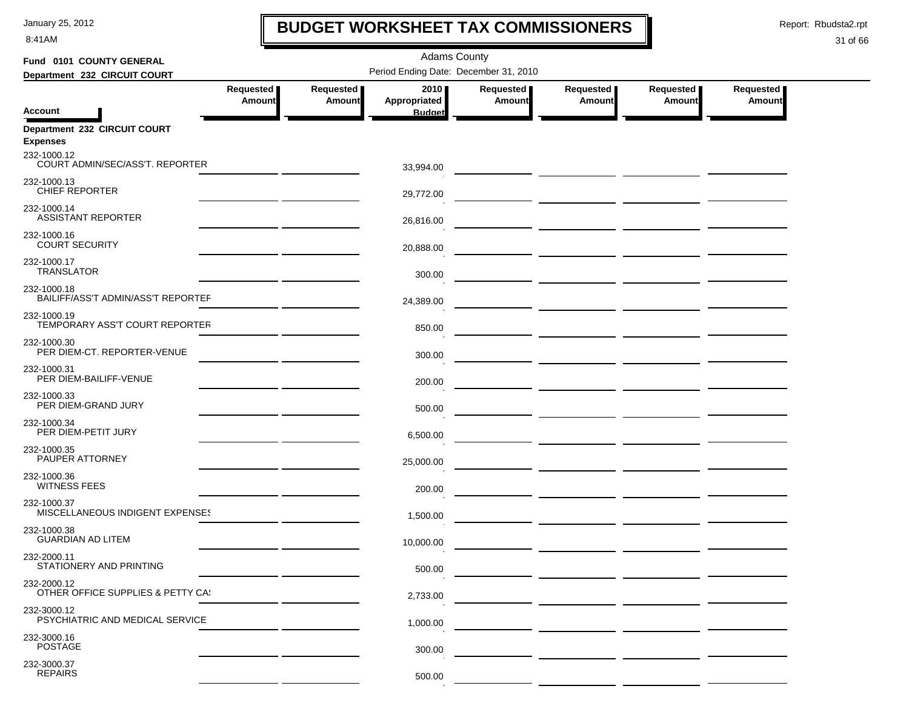8:41AM

# **BUDGET WORKSHEET TAX COMMISSIONERS**

Report: Rbudsta2.rpt

 $\mathbf I$ 

| Fund 0101 COUNTY GENERAL                          | <b>Adams County</b> |                            |                                       |                            |                                                                                                                      |                            |                            |  |  |  |
|---------------------------------------------------|---------------------|----------------------------|---------------------------------------|----------------------------|----------------------------------------------------------------------------------------------------------------------|----------------------------|----------------------------|--|--|--|
| Department 232 CIRCUIT COURT                      |                     |                            | Period Ending Date: December 31, 2010 |                            |                                                                                                                      |                            |                            |  |  |  |
|                                                   | Requested<br>Amount | Requested<br><b>Amount</b> | 2010<br>Appropriated                  | Requested<br><b>Amount</b> | Requested<br>Amount                                                                                                  | Requested<br><b>Amount</b> | Requested<br><b>Amount</b> |  |  |  |
| <b>Account</b>                                    |                     |                            | <b>Budget</b>                         |                            |                                                                                                                      |                            |                            |  |  |  |
| Department 232 CIRCUIT COURT<br><b>Expenses</b>   |                     |                            |                                       |                            |                                                                                                                      |                            |                            |  |  |  |
| 232-1000.12<br>COURT ADMIN/SEC/ASS'T. REPORTER    |                     |                            | 33,994.00                             |                            | <u> The Common State Common Common State Common State Common State Common State Common State Common State Common</u> |                            |                            |  |  |  |
| 232-1000.13<br><b>CHIEF REPORTER</b>              |                     |                            | 29,772.00                             |                            | <u> The Common Service Common Service Common</u>                                                                     |                            |                            |  |  |  |
| 232-1000.14<br><b>ASSISTANT REPORTER</b>          |                     |                            | 26,816.00                             |                            |                                                                                                                      |                            |                            |  |  |  |
| 232-1000.16<br><b>COURT SECURITY</b>              |                     |                            | 20,888.00                             |                            |                                                                                                                      |                            |                            |  |  |  |
| 232-1000.17<br><b>TRANSLATOR</b>                  |                     |                            | 300.00                                |                            |                                                                                                                      |                            |                            |  |  |  |
| 232-1000.18<br>BAILIFF/ASS'T ADMIN/ASS'T REPORTEF |                     |                            | 24,389.00                             |                            |                                                                                                                      |                            |                            |  |  |  |
| 232-1000.19<br>TEMPORARY ASS'T COURT REPORTER     |                     |                            | 850.00                                |                            | ___ ____________ __________                                                                                          |                            |                            |  |  |  |
| 232-1000.30<br>PER DIEM-CT. REPORTER-VENUE        |                     |                            | 300.00                                |                            |                                                                                                                      |                            |                            |  |  |  |
| 232-1000.31<br>PER DIEM-BAILIFF-VENUE             |                     |                            | 200.00                                |                            |                                                                                                                      |                            |                            |  |  |  |
| 232-1000.33<br>PER DIEM-GRAND JURY                |                     |                            | 500.00                                |                            |                                                                                                                      |                            |                            |  |  |  |
| 232-1000.34<br>PER DIEM-PETIT JURY                |                     |                            | 6,500.00                              |                            |                                                                                                                      |                            |                            |  |  |  |
| 232-1000.35<br>PAUPER ATTORNEY                    |                     |                            | 25,000.00                             |                            |                                                                                                                      |                            |                            |  |  |  |
| 232-1000.36<br><b>WITNESS FEES</b>                |                     |                            | 200.00                                |                            |                                                                                                                      |                            |                            |  |  |  |
| 232-1000.37<br>MISCELLANEOUS INDIGENT EXPENSES    |                     |                            | 1,500.00                              |                            |                                                                                                                      |                            |                            |  |  |  |
| 232-1000.38<br><b>GUARDIAN AD LITEM</b>           |                     |                            | 10,000.00                             |                            | <u> 1980 - Johann Stein, martin santa a shekara ta 1980 - An tsa a shekara ta 1980 - An tsa a tsa a tsa a tsa a</u>  |                            |                            |  |  |  |
| 232-2000.11<br>STATIONERY AND PRINTING            |                     |                            | 500.00                                |                            |                                                                                                                      |                            |                            |  |  |  |
| 232-2000.12<br>OTHER OFFICE SUPPLIES & PETTY CA!  |                     |                            | 2,733.00                              |                            |                                                                                                                      |                            |                            |  |  |  |
| 232-3000.12<br>PSYCHIATRIC AND MEDICAL SERVICE    |                     |                            | 1,000.00                              |                            |                                                                                                                      |                            |                            |  |  |  |
| 232-3000.16<br><b>POSTAGE</b>                     |                     |                            | 300.00                                |                            |                                                                                                                      |                            |                            |  |  |  |
| 232-3000.37<br><b>REPAIRS</b>                     |                     |                            | 500.00                                |                            |                                                                                                                      |                            |                            |  |  |  |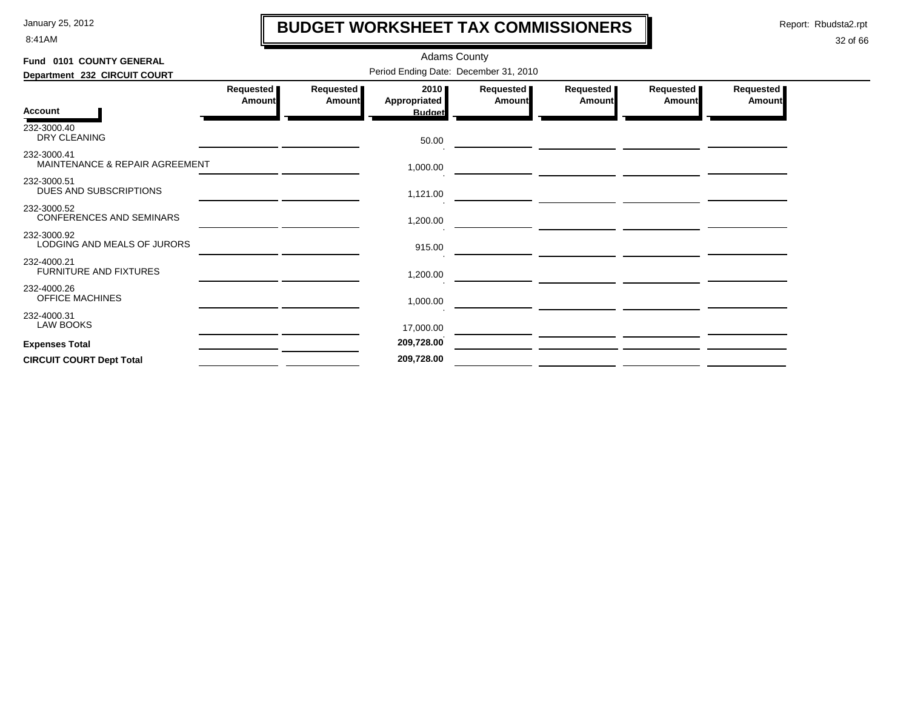8:41AM

# **BUDGET WORKSHEET TAX COMMISSIONERS**

Report: Rbudsta2.rpt

 $\mathbf I$ 

| Fund 0101 COUNTY GENERAL                       |                                       |                     | <b>Adams County</b>                   |                            |                     |                       |                       |  |  |  |  |
|------------------------------------------------|---------------------------------------|---------------------|---------------------------------------|----------------------------|---------------------|-----------------------|-----------------------|--|--|--|--|
| Department 232 CIRCUIT COURT                   | Period Ending Date: December 31, 2010 |                     |                                       |                            |                     |                       |                       |  |  |  |  |
| Account                                        | Requested<br>Amount                   | Requested<br>Amount | 2010<br>Appropriated<br><b>Budget</b> | Requested<br><b>Amount</b> | Requested<br>Amount | Requested  <br>Amount | Requested  <br>Amount |  |  |  |  |
| 232-3000.40<br>DRY CLEANING                    |                                       |                     | 50.00                                 |                            |                     |                       |                       |  |  |  |  |
| 232-3000.41<br>MAINTENANCE & REPAIR AGREEMENT  |                                       |                     | 1,000.00                              |                            |                     |                       |                       |  |  |  |  |
| 232-3000.51<br>DUES AND SUBSCRIPTIONS          |                                       |                     | 1,121.00                              |                            |                     |                       |                       |  |  |  |  |
| 232-3000.52<br><b>CONFERENCES AND SEMINARS</b> |                                       |                     | 1,200.00                              |                            |                     |                       |                       |  |  |  |  |
| 232-3000.92<br>LODGING AND MEALS OF JURORS     |                                       |                     | 915.00                                |                            |                     |                       |                       |  |  |  |  |
| 232-4000.21<br><b>FURNITURE AND FIXTURES</b>   |                                       |                     | 1,200.00                              |                            |                     |                       |                       |  |  |  |  |
| 232-4000.26<br>OFFICE MACHINES                 |                                       |                     | 1,000.00                              |                            |                     |                       |                       |  |  |  |  |
| 232-4000.31<br><b>LAW BOOKS</b>                |                                       |                     | 17,000.00                             |                            |                     |                       |                       |  |  |  |  |
| <b>Expenses Total</b>                          |                                       |                     | 209,728.00                            |                            |                     |                       |                       |  |  |  |  |
| <b>CIRCUIT COURT Dept Total</b>                |                                       |                     | 209,728.00                            |                            |                     |                       |                       |  |  |  |  |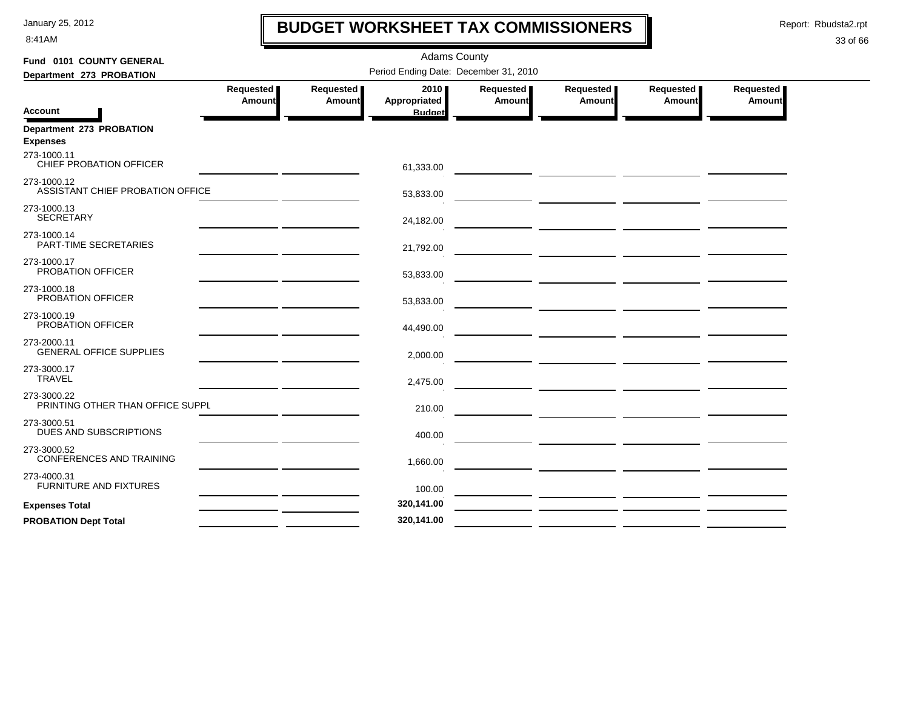8:41AM

# **BUDGET WORKSHEET TAX COMMISSIONERS**

Report: Rbudsta2.rpt

 $\mathbf l$ 

| Fund 0101 COUNTY GENERAL                        | <b>Adams County</b> |                     |                                              |                     |                                                                                                                       |                                                                  |                     |  |  |
|-------------------------------------------------|---------------------|---------------------|----------------------------------------------|---------------------|-----------------------------------------------------------------------------------------------------------------------|------------------------------------------------------------------|---------------------|--|--|
| Department 273 PROBATION                        |                     |                     | Period Ending Date: December 31, 2010        |                     |                                                                                                                       |                                                                  |                     |  |  |
| <b>Account</b>                                  | Requested<br>Amount | Requested<br>Amount | 2010<br><b>Appropriated</b><br><b>Budget</b> | Requested<br>Amount | Requested  <br>Amount                                                                                                 | Requested<br>Amount                                              | Requested<br>Amount |  |  |
| Department 273 PROBATION<br><b>Expenses</b>     |                     |                     |                                              |                     |                                                                                                                       |                                                                  |                     |  |  |
| 273-1000.11<br>CHIEF PROBATION OFFICER          |                     |                     | 61,333.00                                    |                     |                                                                                                                       |                                                                  |                     |  |  |
| 273-1000.12<br>ASSISTANT CHIEF PROBATION OFFICE |                     |                     | 53,833.00                                    |                     |                                                                                                                       |                                                                  |                     |  |  |
| 273-1000.13<br><b>SECRETARY</b>                 |                     |                     | 24,182.00                                    |                     |                                                                                                                       |                                                                  |                     |  |  |
| 273-1000.14<br>PART-TIME SECRETARIES            |                     |                     | 21,792.00                                    |                     |                                                                                                                       |                                                                  |                     |  |  |
| 273-1000.17<br>PROBATION OFFICER                |                     |                     | 53,833.00                                    |                     |                                                                                                                       |                                                                  |                     |  |  |
| 273-1000.18<br>PROBATION OFFICER                |                     |                     | 53,833.00                                    |                     |                                                                                                                       |                                                                  |                     |  |  |
| 273-1000.19<br>PROBATION OFFICER                |                     |                     | 44,490.00                                    |                     |                                                                                                                       |                                                                  |                     |  |  |
| 273-2000.11<br><b>GENERAL OFFICE SUPPLIES</b>   |                     |                     | 2,000.00                                     |                     |                                                                                                                       |                                                                  |                     |  |  |
| 273-3000.17<br><b>TRAVEL</b>                    |                     |                     | 2,475.00                                     |                     |                                                                                                                       |                                                                  |                     |  |  |
| 273-3000.22<br>PRINTING OTHER THAN OFFICE SUPPL |                     |                     | 210.00                                       |                     |                                                                                                                       |                                                                  |                     |  |  |
| 273-3000.51<br>DUES AND SUBSCRIPTIONS           |                     |                     | 400.00                                       |                     |                                                                                                                       | <u> 1989 - Johann John Stone, mars eta industrial (h. 1989).</u> |                     |  |  |
| 273-3000.52<br><b>CONFERENCES AND TRAINING</b>  |                     |                     | 1,660.00                                     |                     | <u> 1999 - Johann Harry Harry Harry Harry Harry Harry Harry Harry Harry Harry Harry Harry Harry Harry Harry Harry</u> |                                                                  |                     |  |  |
| 273-4000.31<br>FURNITURE AND FIXTURES           |                     |                     | 100.00                                       |                     |                                                                                                                       |                                                                  |                     |  |  |
| <b>Expenses Total</b>                           |                     |                     | 320,141.00                                   |                     |                                                                                                                       |                                                                  |                     |  |  |
| <b>PROBATION Dept Total</b>                     |                     |                     | 320,141.00                                   |                     |                                                                                                                       |                                                                  |                     |  |  |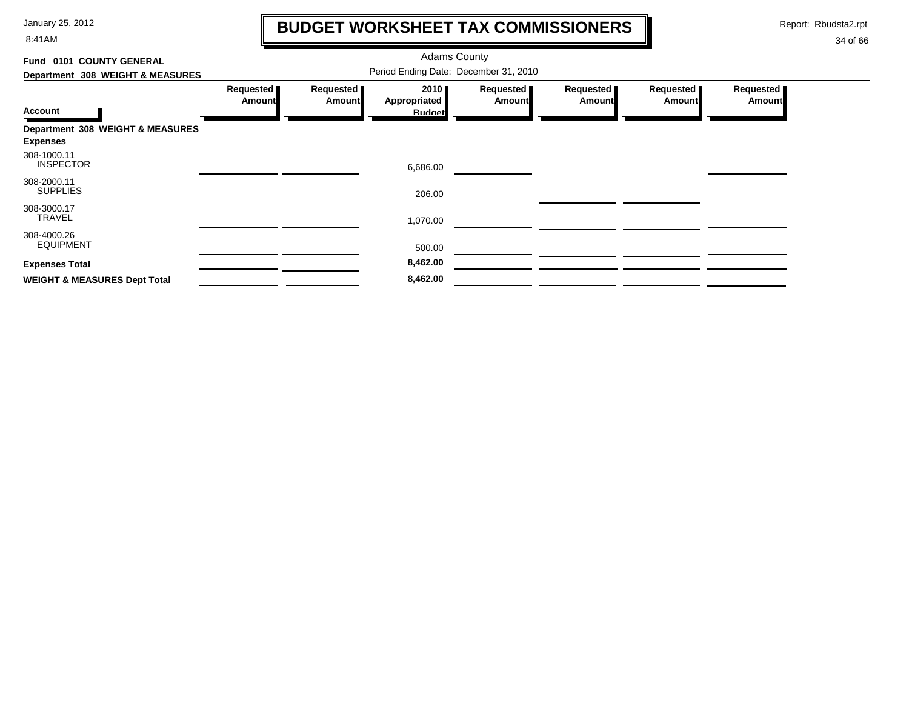8:41AM

# **BUDGET WORKSHEET TAX COMMISSIONERS**

Report: Rbudsta2.rpt

 $\mathbf l$ 

| Fund 0101 COUNTY GENERAL                |                     |                              |                                       |                            |                     |                     |                     |
|-----------------------------------------|---------------------|------------------------------|---------------------------------------|----------------------------|---------------------|---------------------|---------------------|
| Department 308 WEIGHT & MEASURES        |                     |                              |                                       |                            |                     |                     |                     |
| <b>Account</b>                          | Requested<br>Amount | Requested  <br><b>Amount</b> | 2010<br>Appropriated<br><b>Budget</b> | Requested<br><b>Amount</b> | Requested<br>Amount | Requested<br>Amount | Requested<br>Amount |
| Department 308 WEIGHT & MEASURES        |                     |                              |                                       |                            |                     |                     |                     |
| <b>Expenses</b>                         |                     |                              |                                       |                            |                     |                     |                     |
| 308-1000.11<br><b>INSPECTOR</b>         |                     |                              | 6,686.00                              |                            |                     |                     |                     |
| 308-2000.11<br><b>SUPPLIES</b>          |                     |                              | 206.00                                |                            |                     |                     |                     |
| 308-3000.17<br><b>TRAVEL</b>            |                     |                              | 1,070.00                              |                            |                     |                     |                     |
| 308-4000.26<br><b>EQUIPMENT</b>         |                     |                              | 500.00                                |                            |                     |                     |                     |
| <b>Expenses Total</b>                   |                     |                              | 8,462.00                              |                            |                     |                     |                     |
| <b>WEIGHT &amp; MEASURES Dept Total</b> |                     |                              | 8,462.00                              |                            |                     |                     |                     |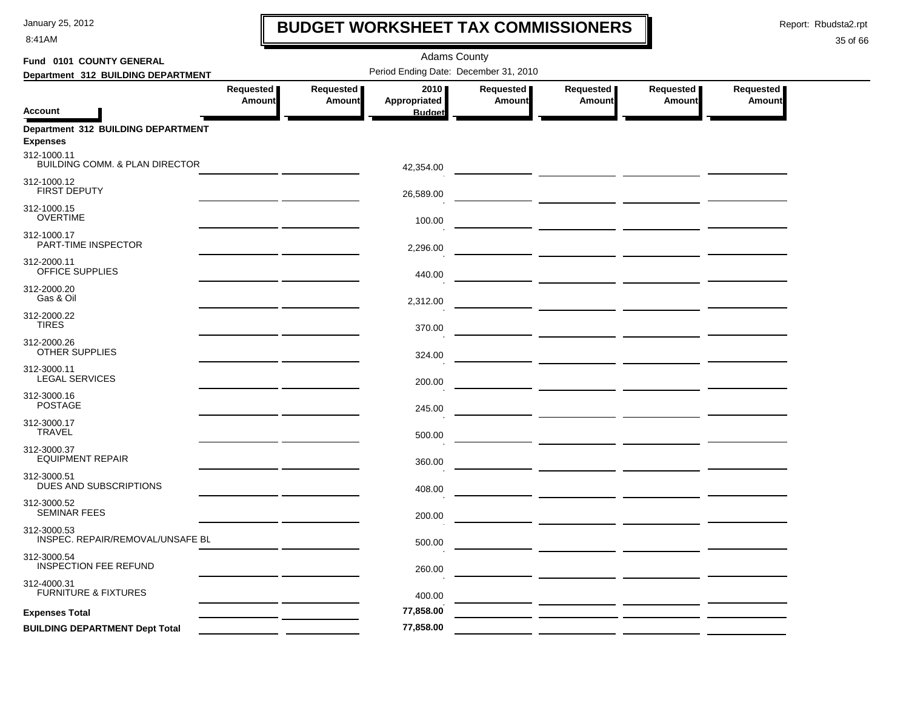8:41AM

### **BUDGET WORKSHEET TAX COMMISSIONERS**

Report: Rbudsta2.rpt

 $\mathbf l$ 

| Fund 0101 COUNTY GENERAL                                 | <b>Adams County</b> |               |                                       |               |               |           |               |  |  |  |
|----------------------------------------------------------|---------------------|---------------|---------------------------------------|---------------|---------------|-----------|---------------|--|--|--|
| Department 312 BUILDING DEPARTMENT                       |                     |               | Period Ending Date: December 31, 2010 |               |               |           |               |  |  |  |
|                                                          | Requested           | Requested     | 2010                                  | Requested     | Requested     | Requested | Requested     |  |  |  |
| <b>Account</b>                                           | <b>Amount</b>       | <b>Amount</b> | Appropriated<br><b>Budget</b>         | <b>Amount</b> | <b>Amount</b> | Amount    | <b>Amount</b> |  |  |  |
| Department 312 BUILDING DEPARTMENT<br><b>Expenses</b>    |                     |               |                                       |               |               |           |               |  |  |  |
| 312-1000.11<br><b>BUILDING COMM. &amp; PLAN DIRECTOR</b> |                     |               | 42,354.00                             |               |               |           |               |  |  |  |
| 312-1000.12<br>FIRST DEPUTY                              |                     |               | 26,589.00                             |               |               |           |               |  |  |  |
| 312-1000.15<br><b>OVERTIME</b>                           |                     |               | 100.00                                |               |               |           |               |  |  |  |
| 312-1000.17<br>PART-TIME INSPECTOR                       |                     |               | 2,296.00                              |               |               |           |               |  |  |  |
| 312-2000.11<br>OFFICE SUPPLIES                           |                     |               | 440.00                                |               |               |           |               |  |  |  |
| 312-2000.20<br>Gas & Oil                                 |                     |               | 2,312.00                              |               |               |           |               |  |  |  |
| 312-2000.22<br><b>TIRES</b>                              |                     |               | 370.00                                |               |               |           |               |  |  |  |
| 312-2000.26<br><b>OTHER SUPPLIES</b>                     |                     |               | 324.00                                |               |               |           |               |  |  |  |
| 312-3000.11<br><b>LEGAL SERVICES</b>                     |                     |               | 200.00                                |               |               |           |               |  |  |  |
| 312-3000.16<br><b>POSTAGE</b>                            |                     |               | 245.00                                |               |               |           |               |  |  |  |
| 312-3000.17<br><b>TRAVEL</b>                             |                     |               | 500.00                                |               |               |           |               |  |  |  |
| 312-3000.37<br><b>EQUIPMENT REPAIR</b>                   |                     |               | 360.00                                |               |               |           |               |  |  |  |
| 312-3000.51<br>DUES AND SUBSCRIPTIONS                    |                     |               | 408.00                                |               |               |           |               |  |  |  |
| 312-3000.52<br><b>SEMINAR FEES</b>                       |                     |               | 200.00                                |               |               |           |               |  |  |  |
| 312-3000.53<br>INSPEC. REPAIR/REMOVAL/UNSAFE BL          |                     |               | 500.00                                |               |               |           |               |  |  |  |
| 312-3000.54<br><b>INSPECTION FEE REFUND</b>              |                     |               | 260.00                                |               |               |           |               |  |  |  |
| 312-4000.31                                              |                     |               |                                       |               |               |           |               |  |  |  |
| <b>FURNITURE &amp; FIXTURES</b>                          |                     |               | 400.00                                |               |               |           |               |  |  |  |
| <b>Expenses Total</b>                                    |                     |               | 77,858.00                             |               |               |           |               |  |  |  |
| <b>BUILDING DEPARTMENT Dept Total</b>                    |                     |               | 77,858.00                             |               |               |           |               |  |  |  |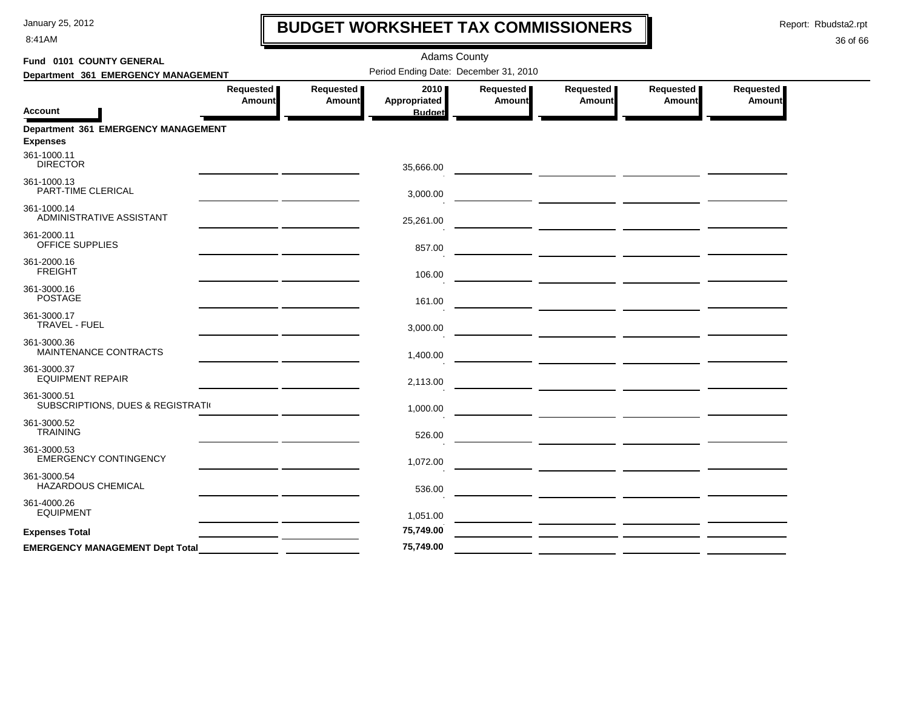8:41AM

### **BUDGET WORKSHEET TAX COMMISSIONERS**

Report: Rbudsta2.rpt

 $\mathbf l$ 

| Fund 0101 COUNTY GENERAL                               | <b>Adams County</b>        |                            |                                              |                     |                            |                            |                            |  |  |  |  |
|--------------------------------------------------------|----------------------------|----------------------------|----------------------------------------------|---------------------|----------------------------|----------------------------|----------------------------|--|--|--|--|
| Department 361 EMERGENCY MANAGEMENT                    |                            |                            | Period Ending Date: December 31, 2010        |                     |                            |                            |                            |  |  |  |  |
| <b>Account</b>                                         | Requested<br><b>Amount</b> | Requested<br><b>Amount</b> | 2010<br><b>Appropriated</b><br><b>Budget</b> | Requested<br>Amount | Requested<br><b>Amount</b> | Requested<br><b>Amount</b> | Requested<br><b>Amount</b> |  |  |  |  |
| Department 361 EMERGENCY MANAGEMENT<br><b>Expenses</b> |                            |                            |                                              |                     |                            |                            |                            |  |  |  |  |
| 361-1000.11<br><b>DIRECTOR</b>                         |                            |                            | 35,666.00                                    |                     |                            |                            |                            |  |  |  |  |
| 361-1000.13<br>PART-TIME CLERICAL                      |                            |                            | 3,000.00                                     |                     |                            |                            |                            |  |  |  |  |
| 361-1000.14<br>ADMINISTRATIVE ASSISTANT                |                            |                            | 25,261.00                                    |                     |                            |                            |                            |  |  |  |  |
| 361-2000.11<br>OFFICE SUPPLIES                         |                            |                            | 857.00                                       |                     |                            |                            |                            |  |  |  |  |
| 361-2000.16<br><b>FREIGHT</b>                          |                            |                            | 106.00                                       |                     |                            |                            |                            |  |  |  |  |
| 361-3000.16<br><b>POSTAGE</b>                          |                            |                            | 161.00                                       |                     |                            |                            |                            |  |  |  |  |
| 361-3000.17<br>TRAVEL - FUEL                           |                            |                            | 3,000.00                                     |                     |                            |                            |                            |  |  |  |  |
| 361-3000.36<br>MAINTENANCE CONTRACTS                   |                            |                            | 1,400.00                                     |                     |                            |                            |                            |  |  |  |  |
| 361-3000.37<br><b>EQUIPMENT REPAIR</b>                 |                            |                            | 2,113.00                                     |                     |                            |                            |                            |  |  |  |  |
| 361-3000.51<br>SUBSCRIPTIONS, DUES & REGISTRATI        |                            |                            | 1,000.00                                     |                     |                            |                            |                            |  |  |  |  |
| 361-3000.52<br><b>TRAINING</b>                         |                            |                            | 526.00                                       |                     |                            |                            |                            |  |  |  |  |
| 361-3000.53<br><b>EMERGENCY CONTINGENCY</b>            |                            |                            | 1,072.00                                     |                     |                            |                            |                            |  |  |  |  |
| 361-3000.54<br>HAZARDOUS CHEMICAL                      |                            |                            | 536.00                                       |                     |                            |                            |                            |  |  |  |  |
| 361-4000.26<br><b>EQUIPMENT</b>                        |                            |                            | 1,051.00                                     |                     |                            |                            |                            |  |  |  |  |
| <b>Expenses Total</b>                                  |                            |                            | 75,749.00                                    |                     |                            |                            |                            |  |  |  |  |
| <b>EMERGENCY MANAGEMENT Dept Total</b>                 |                            |                            | 75,749.00                                    |                     |                            |                            |                            |  |  |  |  |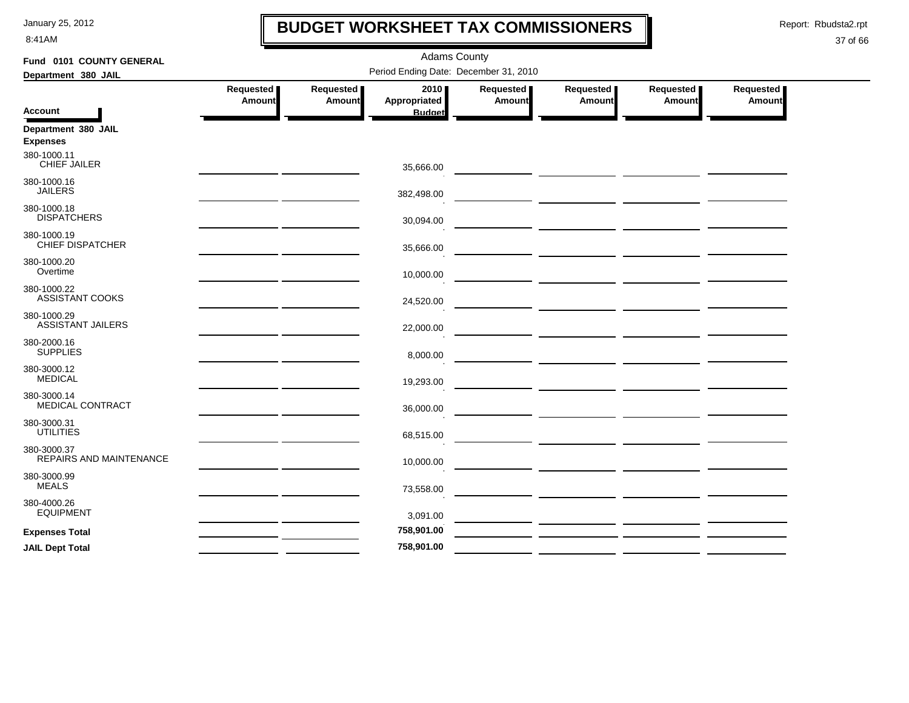8:41AM

### **BUDGET WORKSHEET TAX COMMISSIONERS**

Report: Rbudsta2.rpt

 $\mathbf l$ 

| Fund 0101 COUNTY GENERAL                |                            |                            | <b>Adams County</b>                   |                       |                                                         |                            |                     |
|-----------------------------------------|----------------------------|----------------------------|---------------------------------------|-----------------------|---------------------------------------------------------|----------------------------|---------------------|
| Department 380 JAIL                     |                            |                            | Period Ending Date: December 31, 2010 |                       |                                                         |                            |                     |
|                                         | Requested<br><b>Amount</b> | Requested<br><b>Amount</b> | 2010<br>Appropriated                  | Requested  <br>Amount | Requested<br><b>Amount</b>                              | Requested<br><b>Amount</b> | Requested<br>Amount |
| <b>Account</b>                          |                            |                            | <b>Budget</b>                         |                       |                                                         |                            |                     |
| Department 380 JAIL<br><b>Expenses</b>  |                            |                            |                                       |                       |                                                         |                            |                     |
| 380-1000.11<br><b>CHIEF JAILER</b>      |                            |                            | 35,666.00                             |                       |                                                         |                            |                     |
| 380-1000.16<br><b>JAILERS</b>           |                            |                            | 382,498.00                            |                       |                                                         |                            |                     |
| 380-1000.18<br><b>DISPATCHERS</b>       |                            |                            | 30,094.00                             |                       |                                                         |                            |                     |
| 380-1000.19<br>CHIEF DISPATCHER         |                            |                            | 35,666.00                             |                       |                                                         |                            |                     |
| 380-1000.20<br>Overtime                 |                            |                            | 10,000.00                             |                       |                                                         |                            |                     |
| 380-1000.22<br><b>ASSISTANT COOKS</b>   |                            |                            | 24,520.00                             |                       |                                                         |                            |                     |
| 380-1000.29<br><b>ASSISTANT JAILERS</b> |                            |                            | 22,000.00                             |                       |                                                         |                            |                     |
| 380-2000.16<br><b>SUPPLIES</b>          |                            |                            | 8,000.00                              |                       |                                                         |                            |                     |
| 380-3000.12<br><b>MEDICAL</b>           |                            |                            | 19,293.00                             |                       |                                                         |                            |                     |
| 380-3000.14<br><b>MEDICAL CONTRACT</b>  |                            |                            | 36,000.00                             |                       |                                                         |                            |                     |
| 380-3000.31<br><b>UTILITIES</b>         |                            |                            | 68,515.00                             |                       | <u> 1989 - Johann Barbara, martxa eta inperioaren 1</u> |                            |                     |
| 380-3000.37<br>REPAIRS AND MAINTENANCE  |                            |                            | 10,000.00                             |                       | <u> 1989 - Johann John Stein, mars et al. (</u>         |                            |                     |
| 380-3000.99<br><b>MEALS</b>             |                            |                            | 73,558.00                             |                       |                                                         |                            |                     |
| 380-4000.26<br><b>EQUIPMENT</b>         |                            |                            | 3,091.00                              |                       |                                                         |                            |                     |
| <b>Expenses Total</b>                   |                            |                            | 758,901.00                            |                       | <u> 1990 - Johann Stoff, fransk politik (d. 1980)</u>   |                            |                     |
| <b>JAIL Dept Total</b>                  |                            |                            | 758,901.00                            |                       |                                                         |                            |                     |
|                                         |                            |                            |                                       |                       |                                                         |                            |                     |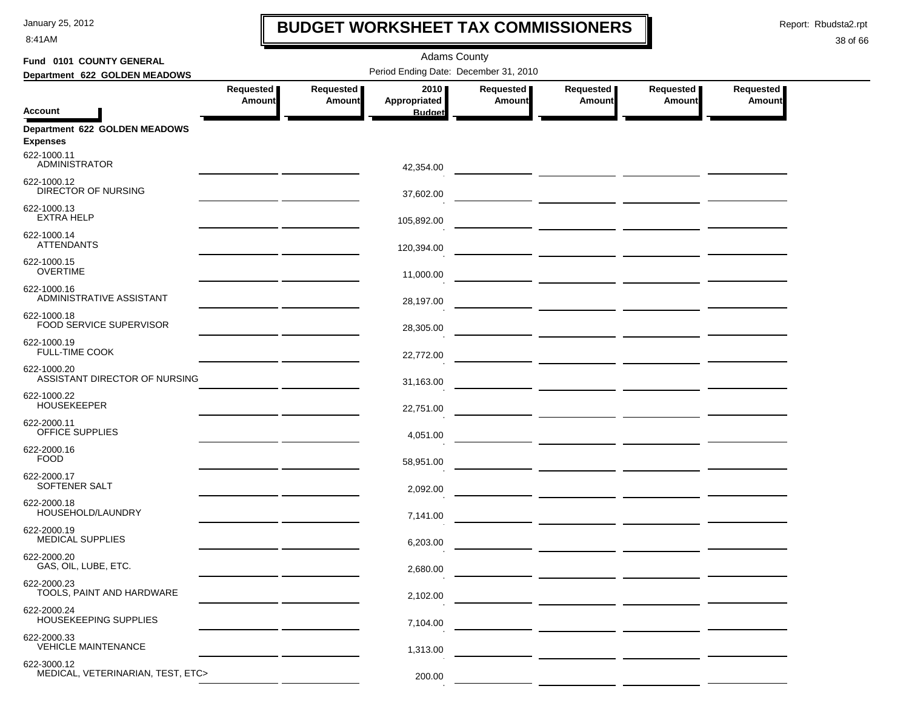8:41AM

# **BUDGET WORKSHEET TAX COMMISSIONERS**

Report: Rbudsta2.rpt

 $\mathbf I$ 

| Fund 0101 COUNTY GENERAL                         | <b>Adams County</b>                                                                                                 |                            |                                       |                            |                     |                                       |                            |  |  |  |
|--------------------------------------------------|---------------------------------------------------------------------------------------------------------------------|----------------------------|---------------------------------------|----------------------------|---------------------|---------------------------------------|----------------------------|--|--|--|
| Department 622 GOLDEN MEADOWS                    |                                                                                                                     |                            | Period Ending Date: December 31, 2010 |                            |                     |                                       |                            |  |  |  |
|                                                  | Requested<br><b>Amount</b>                                                                                          | Requested<br><b>Amount</b> | 2010<br>Appropriated                  | Requested<br><b>Amount</b> | Requested<br>Amount | Requested<br><b>Amount</b>            | Requested<br><b>Amount</b> |  |  |  |
| <b>Account</b>                                   |                                                                                                                     |                            | <b>Budget</b>                         |                            |                     |                                       |                            |  |  |  |
| Department 622 GOLDEN MEADOWS<br><b>Expenses</b> |                                                                                                                     |                            |                                       |                            |                     |                                       |                            |  |  |  |
| 622-1000.11<br><b>ADMINISTRATOR</b>              |                                                                                                                     |                            | 42,354.00                             |                            |                     |                                       |                            |  |  |  |
| 622-1000.12<br><b>DIRECTOR OF NURSING</b>        |                                                                                                                     |                            | 37,602.00                             |                            |                     |                                       |                            |  |  |  |
| 622-1000.13<br><b>EXTRA HELP</b>                 |                                                                                                                     |                            | 105,892.00                            |                            |                     |                                       |                            |  |  |  |
| 622-1000.14<br><b>ATTENDANTS</b>                 |                                                                                                                     |                            | 120,394.00                            |                            |                     |                                       |                            |  |  |  |
| 622-1000.15<br><b>OVERTIME</b>                   |                                                                                                                     |                            | 11,000.00                             |                            |                     |                                       |                            |  |  |  |
| 622-1000.16<br>ADMINISTRATIVE ASSISTANT          |                                                                                                                     |                            | 28,197.00                             |                            |                     |                                       |                            |  |  |  |
| 622-1000.18<br>FOOD SERVICE SUPERVISOR           |                                                                                                                     |                            | 28,305.00                             |                            |                     |                                       |                            |  |  |  |
| 622-1000.19<br><b>FULL-TIME COOK</b>             | <u> 1990 - John Harry Harry Harry Harry Harry Harry Harry Harry Harry Harry Harry Harry Harry Harry Harry Harry</u> |                            | 22,772.00                             |                            |                     | — <u>— —————</u> <u>——————</u> —————— |                            |  |  |  |
| 622-1000.20<br>ASSISTANT DIRECTOR OF NURSING     |                                                                                                                     |                            | 31,163.00                             |                            |                     |                                       |                            |  |  |  |
| 622-1000.22<br><b>HOUSEKEEPER</b>                |                                                                                                                     |                            | 22,751.00                             |                            |                     |                                       |                            |  |  |  |
| 622-2000.11<br>OFFICE SUPPLIES                   |                                                                                                                     |                            | 4,051.00                              |                            |                     |                                       |                            |  |  |  |
| 622-2000.16<br><b>FOOD</b>                       |                                                                                                                     |                            | 58,951.00                             |                            |                     |                                       |                            |  |  |  |
| 622-2000.17<br>SOFTENER SALT                     |                                                                                                                     |                            | 2,092.00                              |                            |                     |                                       |                            |  |  |  |
| 622-2000.18<br>HOUSEHOLD/LAUNDRY                 |                                                                                                                     |                            | 7,141.00                              |                            |                     |                                       |                            |  |  |  |
| 622-2000.19<br>MEDICAL SUPPLIES                  |                                                                                                                     |                            | 6,203.00                              |                            |                     |                                       |                            |  |  |  |
| 622-2000.20<br>GAS, OIL, LUBE, ETC.              |                                                                                                                     |                            | 2,680.00                              |                            |                     |                                       |                            |  |  |  |
| 622-2000.23<br>TOOLS, PAINT AND HARDWARE         |                                                                                                                     |                            | 2,102.00                              |                            |                     |                                       |                            |  |  |  |
| 622-2000.24<br>HOUSEKEEPING SUPPLIES             |                                                                                                                     |                            | 7,104.00                              |                            |                     |                                       |                            |  |  |  |
| 622-2000.33<br><b>VEHICLE MAINTENANCE</b>        |                                                                                                                     |                            | 1,313.00                              |                            |                     |                                       |                            |  |  |  |
| 622-3000.12<br>MEDICAL, VETERINARIAN, TEST, ETC> |                                                                                                                     |                            | 200.00                                |                            |                     |                                       |                            |  |  |  |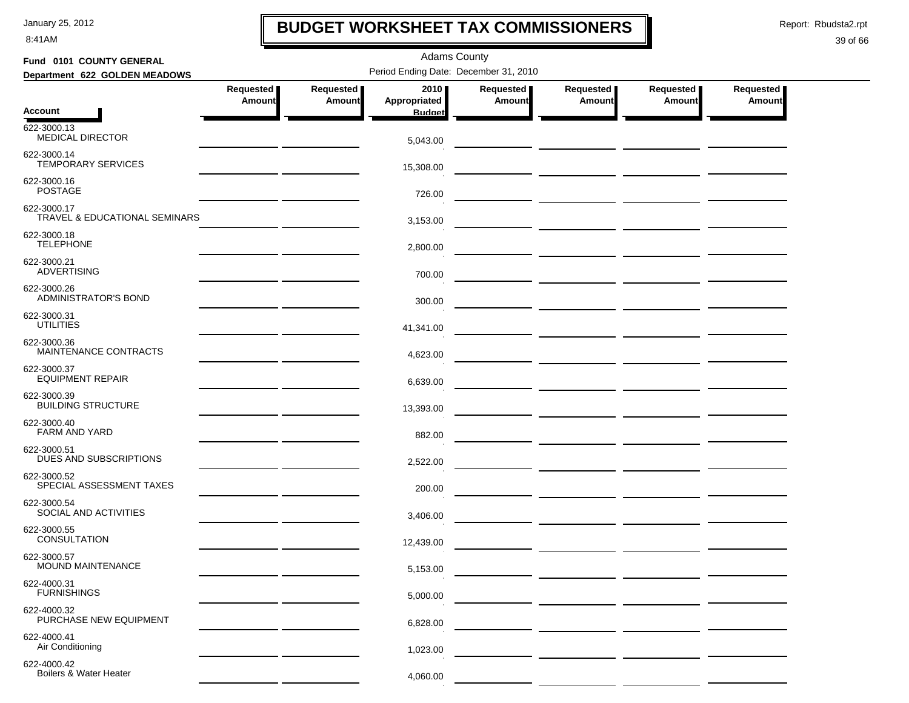8:41AM

# **BUDGET WORKSHEET TAX COMMISSIONERS**

Report: Rbudsta2.rpt

 $\mathbf I$ 

| Fund 0101 COUNTY GENERAL                         | <b>Adams County</b>                                                                                                   |                            |                      |                            |                            |                       |                            |  |  |
|--------------------------------------------------|-----------------------------------------------------------------------------------------------------------------------|----------------------------|----------------------|----------------------------|----------------------------|-----------------------|----------------------------|--|--|
| Department 622 GOLDEN MEADOWS                    | Period Ending Date: December 31, 2010                                                                                 |                            |                      |                            |                            |                       |                            |  |  |
|                                                  | Requested<br><b>Amount</b>                                                                                            | Requested<br><b>Amount</b> | 2010<br>Appropriated | Requested<br><b>Amount</b> | Requested<br><b>Amount</b> | Requested  <br>Amount | Requested<br><b>Amount</b> |  |  |
| <b>Account</b><br>622-3000.13                    |                                                                                                                       |                            | <b>Budget</b>        |                            |                            |                       |                            |  |  |
| <b>MEDICAL DIRECTOR</b>                          |                                                                                                                       |                            | 5,043.00             |                            |                            |                       |                            |  |  |
| 622-3000.14<br><b>TEMPORARY SERVICES</b>         |                                                                                                                       |                            | 15,308.00            |                            |                            |                       |                            |  |  |
| 622-3000.16<br><b>POSTAGE</b>                    |                                                                                                                       |                            | 726.00               |                            |                            |                       |                            |  |  |
| 622-3000.17<br>TRAVEL & EDUCATIONAL SEMINARS     |                                                                                                                       |                            | 3,153.00             |                            |                            |                       |                            |  |  |
| 622-3000.18<br><b>TELEPHONE</b>                  |                                                                                                                       |                            | 2,800.00             |                            |                            |                       |                            |  |  |
| 622-3000.21<br><b>ADVERTISING</b>                |                                                                                                                       |                            | 700.00               |                            |                            |                       |                            |  |  |
| 622-3000.26<br><b>ADMINISTRATOR'S BOND</b>       |                                                                                                                       |                            | 300.00               |                            |                            |                       |                            |  |  |
| 622-3000.31<br><b>UTILITIES</b>                  | <u> 1989 - Johann Harry Harry Harry Harry Harry Harry Harry Harry Harry Harry Harry Harry Harry Harry Harry Harry</u> |                            | 41,341.00            |                            |                            |                       |                            |  |  |
| 622-3000.36<br>MAINTENANCE CONTRACTS             |                                                                                                                       |                            | 4,623.00             |                            |                            |                       |                            |  |  |
| 622-3000.37<br><b>EQUIPMENT REPAIR</b>           | the contract of the contract of the contract of                                                                       |                            | 6,639.00             |                            |                            |                       |                            |  |  |
| 622-3000.39<br><b>BUILDING STRUCTURE</b>         |                                                                                                                       |                            | 13,393.00            |                            |                            |                       |                            |  |  |
| 622-3000.40<br>FARM AND YARD                     |                                                                                                                       |                            | 882.00               |                            |                            |                       |                            |  |  |
| 622-3000.51<br>DUES AND SUBSCRIPTIONS            |                                                                                                                       |                            | 2,522.00             |                            |                            |                       |                            |  |  |
| 622-3000.52<br>SPECIAL ASSESSMENT TAXES          |                                                                                                                       |                            | 200.00               |                            |                            |                       |                            |  |  |
| 622-3000.54<br>SOCIAL AND ACTIVITIES             |                                                                                                                       |                            | 3,406.00             |                            |                            |                       |                            |  |  |
| 622-3000.55<br>CONSULTATION                      |                                                                                                                       |                            | 12,439.00            |                            |                            |                       |                            |  |  |
| 622-3000.57<br>MOUND MAINTENANCE                 |                                                                                                                       |                            | 5,153.00             |                            |                            |                       |                            |  |  |
| 622-4000.31<br><b>FURNISHINGS</b>                |                                                                                                                       |                            | 5,000.00             |                            |                            |                       |                            |  |  |
| 622-4000.32<br>PURCHASE NEW EQUIPMENT            |                                                                                                                       |                            | 6,828.00             |                            |                            |                       |                            |  |  |
| 622-4000.41<br>Air Conditioning                  |                                                                                                                       |                            | 1,023.00             |                            |                            |                       |                            |  |  |
| 622-4000.42<br><b>Boilers &amp; Water Heater</b> |                                                                                                                       |                            | 4,060.00             |                            |                            |                       |                            |  |  |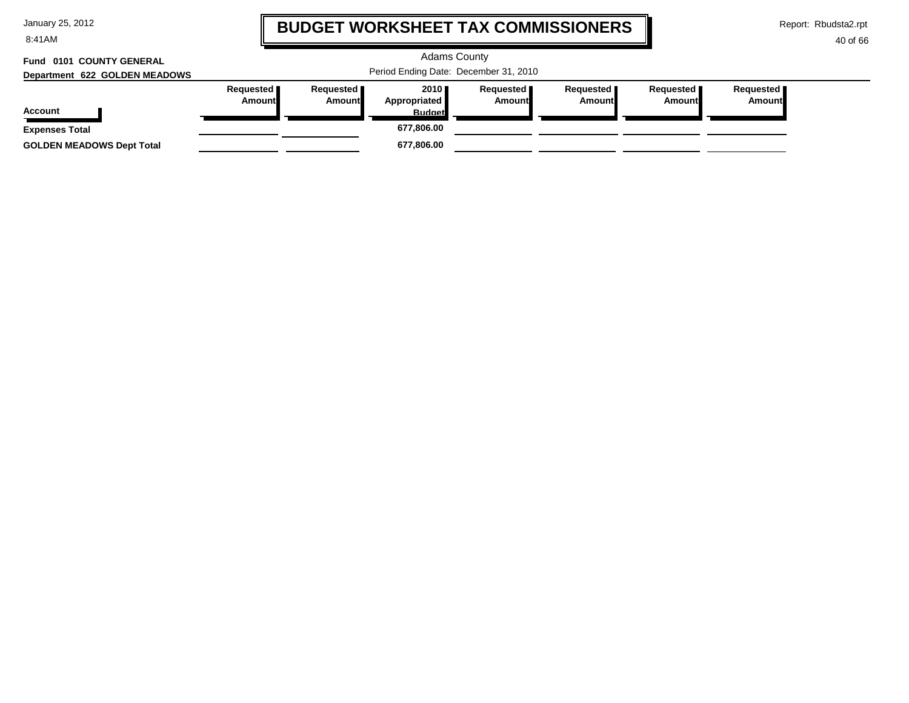8:41AM

# **BUDGET WORKSHEET TAX COMMISSIONERS**

Report: Rbudsta2.rpt

 $\mathbf \mathbf I$ 

| Fund 0101 COUNTY GENERAL<br>Department 622 GOLDEN MEADOWS |                              |                       | <b>Adams County</b><br>Period Ending Date: December 31, 2010 |                              |                        |                              |                                     |
|-----------------------------------------------------------|------------------------------|-----------------------|--------------------------------------------------------------|------------------------------|------------------------|------------------------------|-------------------------------------|
| <b>Account</b>                                            | Requested <b>I</b><br>Amount | Requested l<br>Amount | 2010 <sub>I</sub><br>Appropriated<br><b>Budget</b>           | Requested <b>I</b><br>Amount | Requested   <br>Amount | Requested <b>I</b><br>Amount | <b>Requested I</b><br><b>Amount</b> |
| <b>Expenses Total</b><br><b>GOLDEN MEADOWS Dept Total</b> |                              |                       | 677.806.00<br>677,806.00                                     |                              |                        |                              |                                     |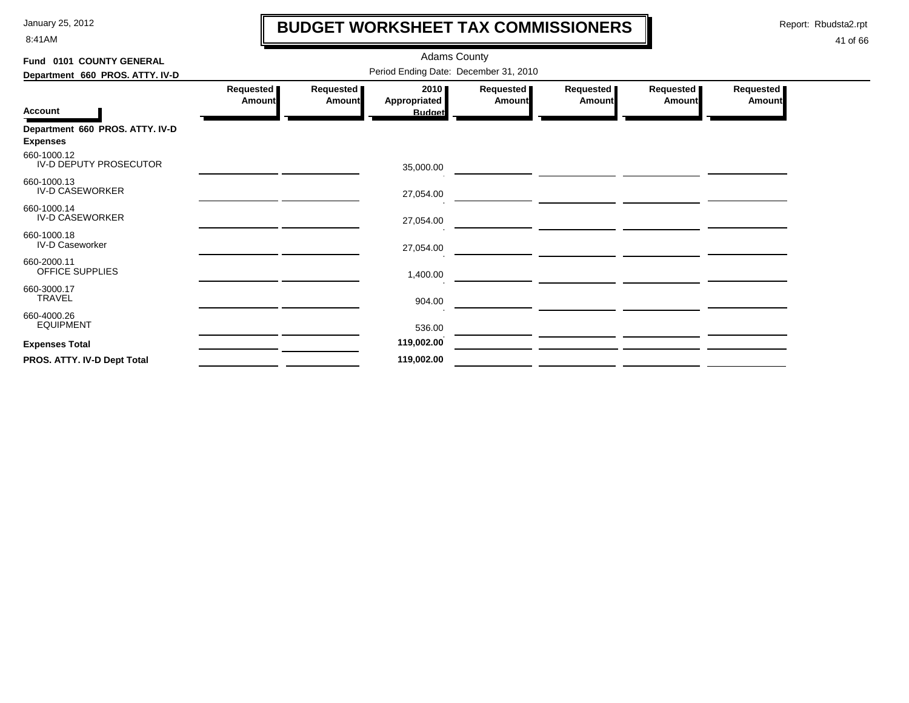8:41AM

# **BUDGET WORKSHEET TAX COMMISSIONERS**

Report: Rbudsta2.rpt

 $\mathbf \mathbf I$ 

| Fund 0101 COUNTY GENERAL                           |                                       | <b>Adams County</b> |                                       |                            |                            |                            |                            |  |  |  |  |
|----------------------------------------------------|---------------------------------------|---------------------|---------------------------------------|----------------------------|----------------------------|----------------------------|----------------------------|--|--|--|--|
| Department 660 PROS. ATTY. IV-D                    | Period Ending Date: December 31, 2010 |                     |                                       |                            |                            |                            |                            |  |  |  |  |
| <b>Account</b>                                     | Requested<br><b>Amount</b>            | Requested<br>Amount | 2010<br>Appropriated<br><b>Budget</b> | Requested<br><b>Amount</b> | Requested<br><b>Amount</b> | Requested<br><b>Amount</b> | Requested<br><b>Amount</b> |  |  |  |  |
| Department 660 PROS. ATTY. IV-D<br><b>Expenses</b> |                                       |                     |                                       |                            |                            |                            |                            |  |  |  |  |
| 660-1000.12<br>IV-D DEPUTY PROSECUTOR              |                                       |                     | 35,000.00                             |                            |                            |                            |                            |  |  |  |  |
| 660-1000.13<br><b>IV-D CASEWORKER</b>              |                                       |                     | 27,054.00                             |                            |                            |                            |                            |  |  |  |  |
| 660-1000.14<br><b>IV-D CASEWORKER</b>              |                                       |                     | 27,054.00                             |                            |                            |                            |                            |  |  |  |  |
| 660-1000.18<br><b>IV-D Caseworker</b>              |                                       |                     | 27,054.00                             |                            |                            |                            |                            |  |  |  |  |
| 660-2000.11<br>OFFICE SUPPLIES                     |                                       |                     | 1,400.00                              |                            |                            |                            |                            |  |  |  |  |
| 660-3000.17<br>TRAVEL                              |                                       |                     | 904.00                                |                            |                            |                            |                            |  |  |  |  |
| 660-4000.26<br><b>EQUIPMENT</b>                    |                                       |                     | 536.00                                |                            |                            |                            |                            |  |  |  |  |
| <b>Expenses Total</b>                              |                                       |                     | 119,002.00                            |                            |                            |                            |                            |  |  |  |  |
| PROS. ATTY. IV-D Dept Total                        |                                       |                     | 119,002.00                            |                            |                            |                            |                            |  |  |  |  |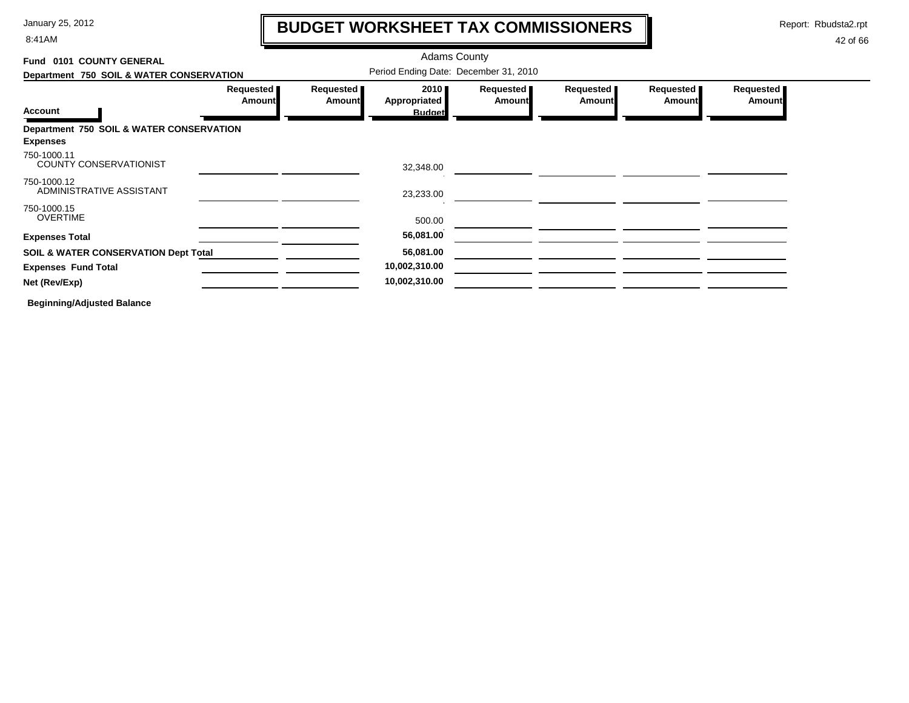8:41AM

# **BUDGET WORKSHEET TAX COMMISSIONERS**

Report: Rbudsta2.rpt

 $\mathbf l$ 

### 42 of 66

| Fund 0101 COUNTY GENERAL                                    |                            |                     | <b>Adams County</b>                   |                     |                              |                            |                            |
|-------------------------------------------------------------|----------------------------|---------------------|---------------------------------------|---------------------|------------------------------|----------------------------|----------------------------|
| Department 750 SOIL & WATER CONSERVATION                    |                            |                     | Period Ending Date: December 31, 2010 |                     |                              |                            |                            |
|                                                             | Requested<br><b>Amount</b> | Requested<br>Amount | 2010<br>Appropriated                  | Requested<br>Amount | Requested  <br><b>Amount</b> | Requested<br><b>Amount</b> | Requested<br><b>Amount</b> |
| <b>Account</b>                                              |                            |                     | <b>Budget</b>                         |                     |                              |                            |                            |
| Department 750 SOIL & WATER CONSERVATION<br><b>Expenses</b> |                            |                     |                                       |                     |                              |                            |                            |
| 750-1000.11<br><b>COUNTY CONSERVATIONIST</b>                |                            |                     | 32,348.00                             |                     |                              |                            |                            |
| 750-1000.12<br>ADMINISTRATIVE ASSISTANT                     |                            |                     | 23,233.00                             |                     |                              |                            |                            |
| 750-1000.15<br><b>OVERTIME</b>                              |                            |                     | 500.00                                |                     |                              |                            |                            |
| <b>Expenses Total</b>                                       |                            |                     | 56,081.00                             |                     |                              |                            |                            |
| <b>SOIL &amp; WATER CONSERVATION Dept Total</b>             |                            |                     | 56,081.00                             |                     |                              |                            |                            |
| <b>Expenses Fund Total</b>                                  |                            |                     | 10,002,310.00                         |                     |                              |                            |                            |
| Net (Rev/Exp)                                               |                            |                     | 10,002,310.00                         |                     |                              |                            |                            |
|                                                             |                            |                     |                                       |                     |                              |                            |                            |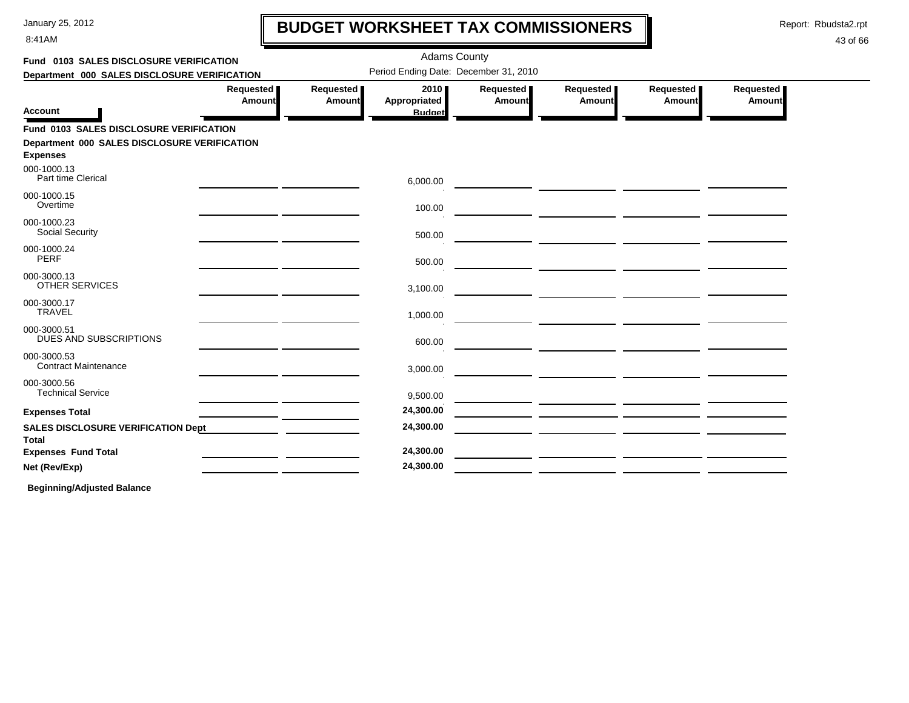8:41AM

# **BUDGET WORKSHEET TAX COMMISSIONERS**

Report: Rbudsta2.rpt

 $\mathbf l$ 

### 43 of 66

| Fund 0103 SALES DISCLOSURE VERIFICATION                         |                            |                            |                                              | <b>Adams County</b>                   |                                                                                                                                                                                                                                      |                            |                            |  |
|-----------------------------------------------------------------|----------------------------|----------------------------|----------------------------------------------|---------------------------------------|--------------------------------------------------------------------------------------------------------------------------------------------------------------------------------------------------------------------------------------|----------------------------|----------------------------|--|
| Department 000 SALES DISCLOSURE VERIFICATION                    |                            |                            |                                              | Period Ending Date: December 31, 2010 |                                                                                                                                                                                                                                      |                            |                            |  |
| <b>Account</b>                                                  | Requested<br><b>Amount</b> | Requested<br><b>Amount</b> | 2010<br><b>Appropriated</b><br><b>Budget</b> | Requested  <br><b>Amount</b>          | Requested  <br>Amount                                                                                                                                                                                                                | Requested<br><b>Amount</b> | Requested<br><b>Amount</b> |  |
| Fund 0103 SALES DISCLOSURE VERIFICATION                         |                            |                            |                                              |                                       |                                                                                                                                                                                                                                      |                            |                            |  |
| Department 000 SALES DISCLOSURE VERIFICATION<br><b>Expenses</b> |                            |                            |                                              |                                       |                                                                                                                                                                                                                                      |                            |                            |  |
| 000-1000.13<br>Part time Clerical                               |                            |                            | 6,000.00                                     |                                       |                                                                                                                                                                                                                                      |                            |                            |  |
| 000-1000.15<br>Overtime                                         |                            |                            | 100.00                                       |                                       |                                                                                                                                                                                                                                      |                            |                            |  |
| 000-1000.23<br><b>Social Security</b>                           |                            |                            | 500.00                                       |                                       | — <u>— — — — — — — — — — — — —</u>                                                                                                                                                                                                   |                            |                            |  |
| 000-1000.24<br>PERF                                             |                            |                            | 500.00                                       |                                       | <u> The Common State of the Common State of the Common State of the Common State of the Common State of the Common State of the Common State of the Common State of the Common State of the Common State of the Common State of </u> |                            |                            |  |
| 000-3000.13<br><b>OTHER SERVICES</b>                            |                            |                            | 3,100.00                                     |                                       |                                                                                                                                                                                                                                      |                            |                            |  |
| 000-3000.17<br><b>TRAVEL</b>                                    |                            |                            | 1,000.00                                     |                                       |                                                                                                                                                                                                                                      |                            |                            |  |
| 000-3000.51<br>DUES AND SUBSCRIPTIONS                           |                            |                            | 600.00                                       |                                       |                                                                                                                                                                                                                                      |                            |                            |  |
| 000-3000.53<br><b>Contract Maintenance</b>                      |                            |                            | 3,000.00                                     |                                       | <u> 1989 - Johann Marie Barn, mars eta inperiodo</u>                                                                                                                                                                                 |                            |                            |  |
| 000-3000.56<br><b>Technical Service</b>                         |                            |                            | 9,500.00                                     |                                       |                                                                                                                                                                                                                                      |                            |                            |  |
| <b>Expenses Total</b>                                           |                            |                            | 24,300.00                                    |                                       |                                                                                                                                                                                                                                      |                            |                            |  |
| <b>SALES DISCLOSURE VERIFICATION Dept</b><br>Total              |                            |                            | 24,300.00                                    |                                       |                                                                                                                                                                                                                                      |                            |                            |  |
| <b>Expenses Fund Total</b>                                      |                            |                            | 24,300.00                                    |                                       |                                                                                                                                                                                                                                      |                            |                            |  |
| Net (Rev/Exp)                                                   |                            |                            | 24,300.00                                    |                                       |                                                                                                                                                                                                                                      |                            |                            |  |
|                                                                 |                            |                            |                                              |                                       |                                                                                                                                                                                                                                      |                            |                            |  |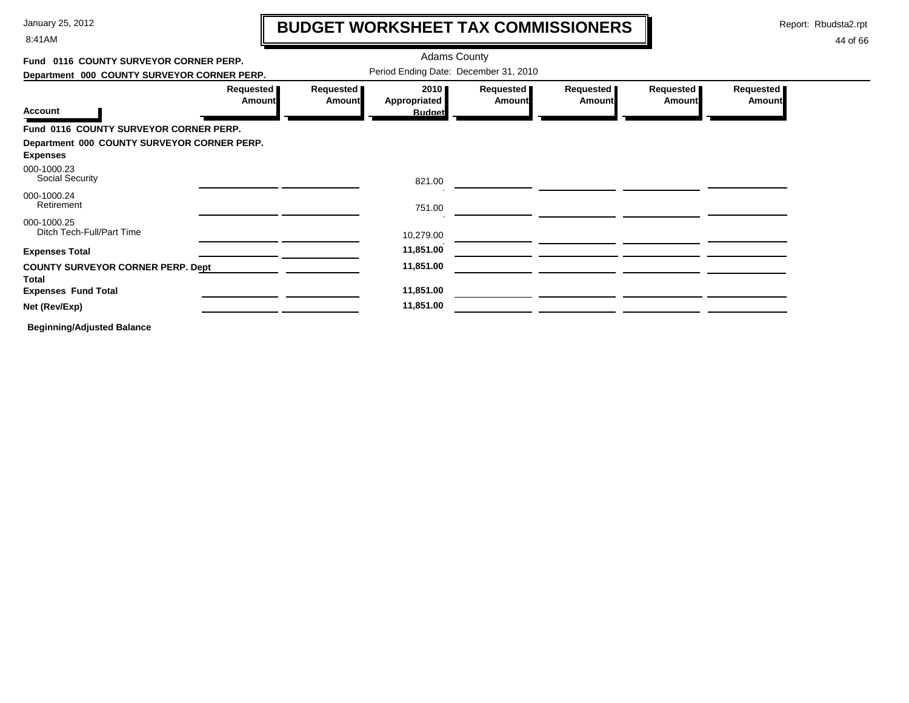8:41AM

# **BUDGET WORKSHEET TAX COMMISSIONERS**

Report: Rbudsta2.rpt

44 of 66

#### Adams County **Fund 0116 COUNTY SURVEYOR CORNER PERP.**Period Ending Date: December 31, 2010 **Department 000 COUNTY SURVEYOR CORNER PERP. Requested Requested Requested Requested Requested Requested 2010 AmountAmountAppropriated AmountAmount Amount Amount Account Budget Fund 0116 COUNTY SURVEYOR CORNER PERP. Department 000 COUNTY SURVEYOR CORNER PERP. Expenses** 000-1000.23Social Security 821.00000-1000.24Retirement 751.00 000-1000.25Ditch Tech-Full/Part Time 10,279.00 <u> Alexandria (Carlos Carlos Carlos Carlos Carlos Carlos Carlos Carlos Carlos Carlos Carlos Carlos Carlos Carlos C</u> **Expenses Total 11,851.00** <u> 1990 - Johann Stoff, fransk politik (d. 1980)</u> **COUNTY SURVEYOR CORNER PERP. Dept 11,851.00 TotalExpenses Fund Total 11,851.00 Net (Rev/Exp) 11,851.00**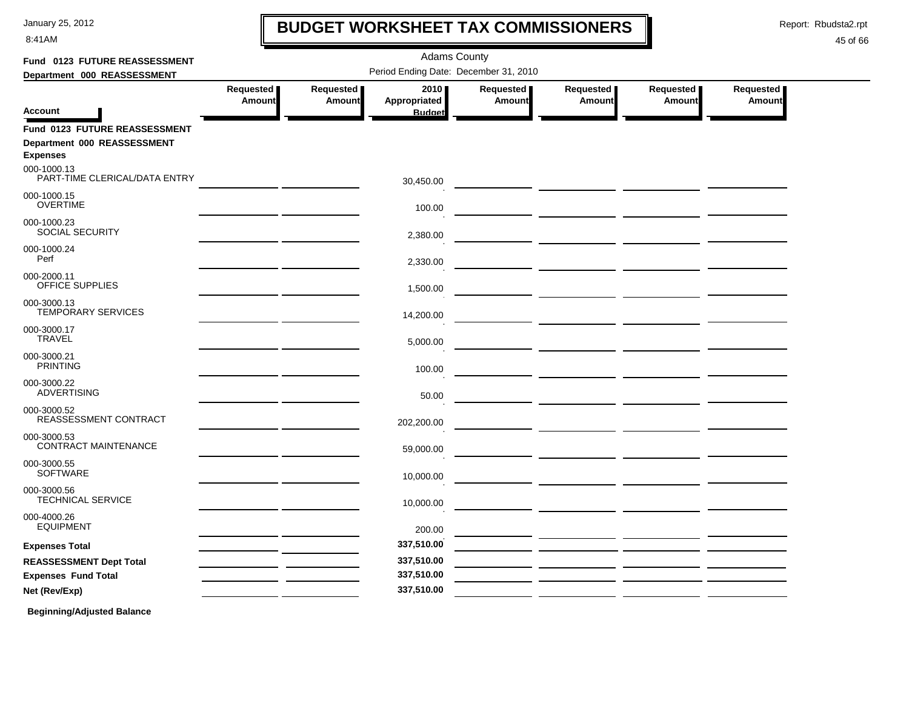8:41AM

# **BUDGET WORKSHEET TAX COMMISSIONERS**

Report: Rbudsta2.rpt

 $\mathbf l$ 

### 45 of 66

| Fund 0123 FUTURE REASSESSMENT                  | <b>Adams County</b><br>Period Ending Date: December 31, 2010 |               |               |           |                                |           |               |  |  |  |
|------------------------------------------------|--------------------------------------------------------------|---------------|---------------|-----------|--------------------------------|-----------|---------------|--|--|--|
| Department 000 REASSESSMENT                    |                                                              |               |               |           |                                |           |               |  |  |  |
|                                                | Requested                                                    | Requested     | 2010          | Requested | Requested                      | Requested | Requested     |  |  |  |
|                                                | <b>Amount</b>                                                | <b>Amount</b> | Appropriated  | Amount    | Amount                         | Amount    | <b>Amount</b> |  |  |  |
| <b>Account</b>                                 |                                                              |               | <b>Budget</b> |           |                                |           |               |  |  |  |
| Fund 0123 FUTURE REASSESSMENT                  |                                                              |               |               |           |                                |           |               |  |  |  |
| Department 000 REASSESSMENT<br><b>Expenses</b> |                                                              |               |               |           |                                |           |               |  |  |  |
| 000-1000.13<br>PART-TIME CLERICAL/DATA ENTRY   |                                                              |               | 30,450.00     |           | — <u>— — — — — — — — — — —</u> |           |               |  |  |  |
| 000-1000.15<br><b>OVERTIME</b>                 |                                                              |               | 100.00        |           |                                |           |               |  |  |  |
| 000-1000.23<br><b>SOCIAL SECURITY</b>          |                                                              |               | 2,380.00      |           |                                |           |               |  |  |  |
| 000-1000.24<br>Perf                            |                                                              |               | 2,330.00      |           |                                |           |               |  |  |  |
| 000-2000.11<br>OFFICE SUPPLIES                 |                                                              |               | 1,500.00      |           |                                |           |               |  |  |  |
| 000-3000.13<br>TEMPORARY SERVICES              |                                                              |               | 14,200.00     |           |                                |           |               |  |  |  |
| 000-3000.17<br><b>TRAVEL</b>                   |                                                              |               | 5,000.00      |           |                                |           |               |  |  |  |
| 000-3000.21<br><b>PRINTING</b>                 |                                                              |               | 100.00        |           |                                |           |               |  |  |  |
| 000-3000.22<br><b>ADVERTISING</b>              |                                                              |               | 50.00         |           |                                |           |               |  |  |  |
| 000-3000.52<br>REASSESSMENT CONTRACT           |                                                              |               | 202,200.00    |           |                                |           |               |  |  |  |
| 000-3000.53<br>CONTRACT MAINTENANCE            |                                                              |               | 59,000.00     |           |                                |           |               |  |  |  |
| 000-3000.55<br><b>SOFTWARE</b>                 |                                                              |               | 10,000.00     |           |                                |           |               |  |  |  |
| 000-3000.56<br><b>TECHNICAL SERVICE</b>        |                                                              |               | 10,000.00     |           |                                |           |               |  |  |  |
| 000-4000.26<br><b>EQUIPMENT</b>                |                                                              |               | 200.00        |           |                                |           |               |  |  |  |
| <b>Expenses Total</b>                          |                                                              |               | 337,510.00    |           |                                |           |               |  |  |  |
| <b>REASSESSMENT Dept Total</b>                 |                                                              |               | 337,510.00    |           |                                |           |               |  |  |  |
| <b>Expenses Fund Total</b>                     |                                                              |               | 337,510.00    |           |                                |           |               |  |  |  |
| Net (Rev/Exp)                                  |                                                              |               | 337,510.00    |           |                                |           |               |  |  |  |
|                                                |                                                              |               |               |           |                                |           |               |  |  |  |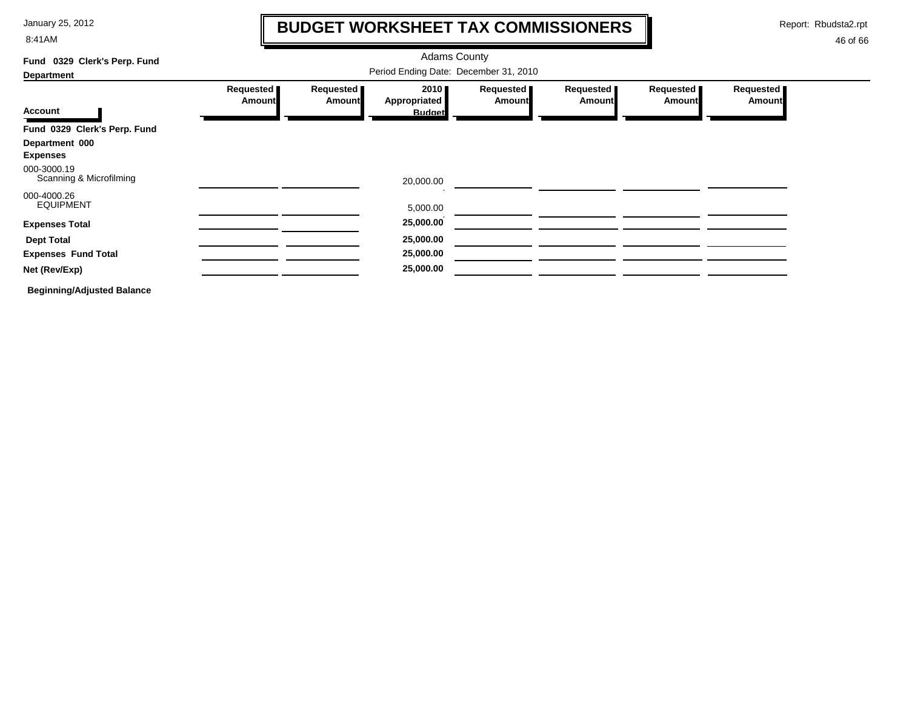8:41AM

# **BUDGET WORKSHEET TAX COMMISSIONERS**

Report: Rbudsta2.rpt

 $\mathbf I$ 

| Fund 0329 Clerk's Perp. Fund           |                            |                                       | <b>Adams County</b>  |                            |                     |                            |                            |  |
|----------------------------------------|----------------------------|---------------------------------------|----------------------|----------------------------|---------------------|----------------------------|----------------------------|--|
| <b>Department</b>                      |                            | Period Ending Date: December 31, 2010 |                      |                            |                     |                            |                            |  |
|                                        | Requested<br><b>Amount</b> | Requested<br>Amount                   | 2010<br>Appropriated | Requested<br><b>Amount</b> | Requested<br>Amount | Requested<br><b>Amount</b> | Requested<br><b>Amount</b> |  |
| <b>Account</b>                         |                            |                                       | <b>Budget</b>        |                            |                     |                            |                            |  |
| Fund 0329 Clerk's Perp. Fund           |                            |                                       |                      |                            |                     |                            |                            |  |
| Department 000<br><b>Expenses</b>      |                            |                                       |                      |                            |                     |                            |                            |  |
| 000-3000.19<br>Scanning & Microfilming |                            |                                       | 20,000.00            |                            |                     |                            |                            |  |
| 000-4000.26<br><b>EQUIPMENT</b>        |                            |                                       | 5,000.00             |                            |                     |                            |                            |  |
| <b>Expenses Total</b>                  |                            |                                       | 25,000.00            |                            |                     |                            |                            |  |
| <b>Dept Total</b>                      |                            |                                       | 25,000.00            |                            |                     |                            |                            |  |
| <b>Expenses Fund Total</b>             |                            |                                       | 25,000.00            |                            |                     |                            |                            |  |
| Net (Rev/Exp)                          |                            |                                       | 25,000.00            |                            |                     |                            |                            |  |
| <b>Beginning/Adjusted Balance</b>      |                            |                                       |                      |                            |                     |                            |                            |  |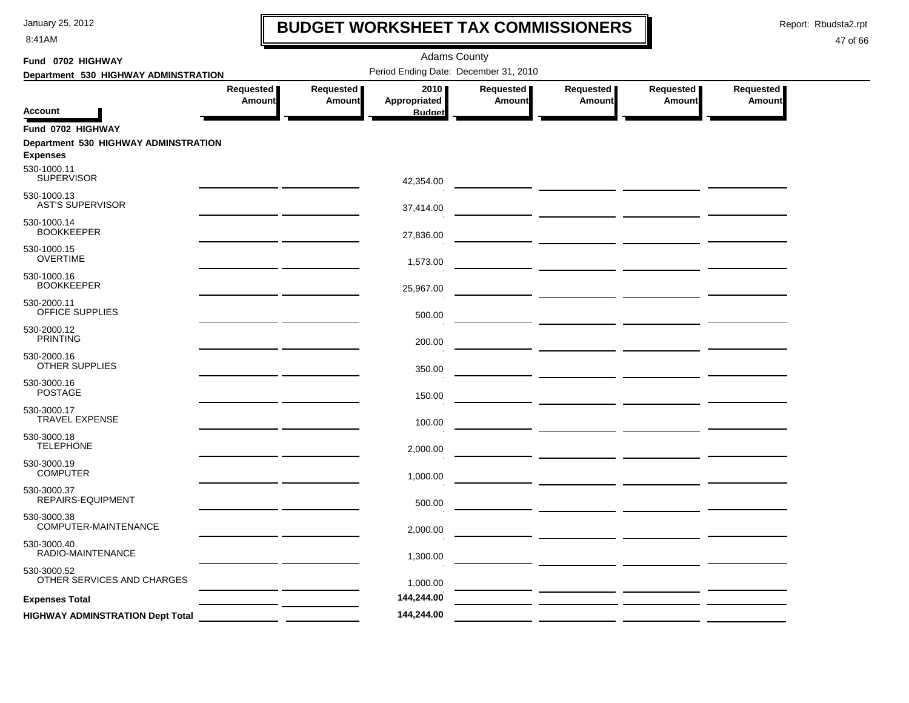8:41AM

# **BUDGET WORKSHEET TAX COMMISSIONERS**

Report: Rbudsta2.rpt

 $\mathbf l$ 

| Fund 0702 HIGHWAY                                       |                     |                                       |                            |                                                                                                                      |                                                                                                                                                                                                                                      |                            |
|---------------------------------------------------------|---------------------|---------------------------------------|----------------------------|----------------------------------------------------------------------------------------------------------------------|--------------------------------------------------------------------------------------------------------------------------------------------------------------------------------------------------------------------------------------|----------------------------|
| Department 530 HIGHWAY ADMINSTRATION                    |                     | Period Ending Date: December 31, 2010 |                            |                                                                                                                      |                                                                                                                                                                                                                                      |                            |
| Requested<br><b>Amount</b><br>Account                   | Requested<br>Amount | 2010<br>Appropriated<br><b>Budget</b> | Requested<br><b>Amount</b> | Requested<br><b>Amount</b>                                                                                           | Requested<br>Amount                                                                                                                                                                                                                  | Requested<br><b>Amount</b> |
| Fund 0702 HIGHWAY                                       |                     |                                       |                            |                                                                                                                      |                                                                                                                                                                                                                                      |                            |
| Department 530 HIGHWAY ADMINSTRATION<br><b>Expenses</b> |                     |                                       |                            |                                                                                                                      |                                                                                                                                                                                                                                      |                            |
| 530-1000.11<br><b>SUPERVISOR</b>                        |                     | 42,354.00                             |                            |                                                                                                                      |                                                                                                                                                                                                                                      |                            |
| 530-1000.13<br><b>AST'S SUPERVISOR</b>                  |                     | 37,414.00                             |                            |                                                                                                                      |                                                                                                                                                                                                                                      |                            |
| 530-1000.14<br><b>BOOKKEEPER</b>                        |                     | 27,836.00                             |                            |                                                                                                                      |                                                                                                                                                                                                                                      |                            |
| 530-1000.15<br><b>OVERTIME</b>                          |                     | 1,573.00                              |                            |                                                                                                                      |                                                                                                                                                                                                                                      |                            |
| 530-1000.16<br><b>BOOKKEEPER</b>                        |                     | 25,967.00                             |                            |                                                                                                                      |                                                                                                                                                                                                                                      |                            |
| 530-2000.11<br>OFFICE SUPPLIES                          |                     | 500.00                                |                            |                                                                                                                      |                                                                                                                                                                                                                                      |                            |
| 530-2000.12<br><b>PRINTING</b>                          |                     | 200.00                                |                            |                                                                                                                      |                                                                                                                                                                                                                                      |                            |
| 530-2000.16<br>OTHER SUPPLIES                           |                     | 350.00                                |                            | <u> 1989 - Johann John Stone, mars eta ingilar</u>                                                                   |                                                                                                                                                                                                                                      |                            |
| 530-3000.16<br><b>POSTAGE</b>                           |                     | 150.00                                |                            |                                                                                                                      |                                                                                                                                                                                                                                      |                            |
| 530-3000.17<br><b>TRAVEL EXPENSE</b>                    |                     | 100.00                                |                            |                                                                                                                      |                                                                                                                                                                                                                                      |                            |
| 530-3000.18<br><b>TELEPHONE</b>                         |                     | 2,000.00                              |                            |                                                                                                                      |                                                                                                                                                                                                                                      |                            |
| 530-3000.19<br><b>COMPUTER</b>                          |                     | 1,000.00                              |                            |                                                                                                                      |                                                                                                                                                                                                                                      |                            |
| 530-3000.37<br>REPAIRS-EQUIPMENT                        |                     | 500.00                                |                            |                                                                                                                      |                                                                                                                                                                                                                                      |                            |
| 530-3000.38<br>COMPUTER-MAINTENANCE                     |                     | 2,000.00                              |                            | <u> 1989 - Johann John Stone, mars et al. 1989 - John Stone Barnett, francouzsky foarmer fan de Fryske komme fan</u> |                                                                                                                                                                                                                                      |                            |
| 530-3000.40<br>RADIO-MAINTENANCE                        |                     | 1,300.00                              |                            |                                                                                                                      |                                                                                                                                                                                                                                      |                            |
| 530-3000.52<br>OTHER SERVICES AND CHARGES               |                     | 1,000.00                              |                            |                                                                                                                      |                                                                                                                                                                                                                                      |                            |
| <b>Expenses Total</b>                                   |                     | 144,244.00                            |                            |                                                                                                                      | <u>and the community of the community of the community of the community of the community of the community of the community of the community of the community of the community of the community of the community of the community</u> |                            |
| <b>HIGHWAY ADMINSTRATION Dept Total</b>                 |                     | 144,244.00                            |                            |                                                                                                                      |                                                                                                                                                                                                                                      |                            |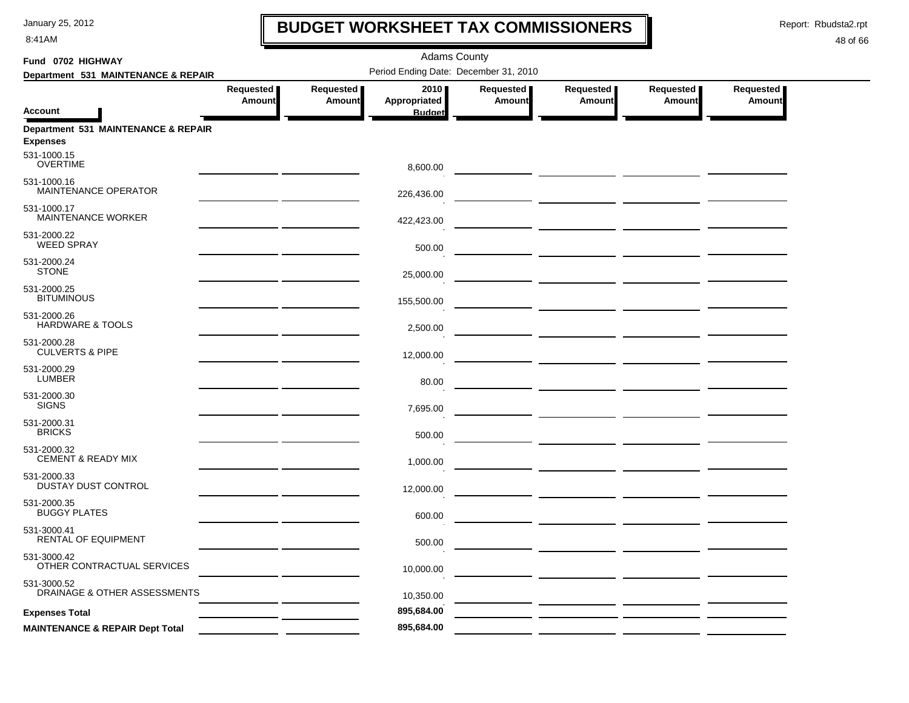8:41AM

### **BUDGET WORKSHEET TAX COMMISSIONERS**

Report: Rbudsta2.rpt

 $\mathbf l$ 

| Fund 0702 HIGHWAY                                      |                                       |                     | <b>Adams County</b>                   |                              |                            |                            |                     |  |  |
|--------------------------------------------------------|---------------------------------------|---------------------|---------------------------------------|------------------------------|----------------------------|----------------------------|---------------------|--|--|
| Department 531 MAINTENANCE & REPAIR                    | Period Ending Date: December 31, 2010 |                     |                                       |                              |                            |                            |                     |  |  |
| <b>Account</b>                                         | Requested<br>Amount                   | Requested<br>Amount | 2010<br>Appropriated<br><b>Budget</b> | Requested  <br><b>Amount</b> | Requested<br><b>Amount</b> | Requested<br><b>Amount</b> | Requested<br>Amount |  |  |
| Department 531 MAINTENANCE & REPAIR<br><b>Expenses</b> |                                       |                     |                                       |                              |                            |                            |                     |  |  |
| 531-1000.15<br><b>OVERTIME</b>                         |                                       |                     | 8,600.00                              |                              |                            |                            |                     |  |  |
| 531-1000.16<br>MAINTENANCE OPERATOR                    |                                       |                     | 226,436.00                            |                              |                            |                            |                     |  |  |
| 531-1000.17<br>MAINTENANCE WORKER                      |                                       |                     | 422,423.00                            |                              |                            |                            |                     |  |  |
| 531-2000.22<br><b>WEED SPRAY</b>                       |                                       |                     | 500.00                                |                              |                            |                            |                     |  |  |
| 531-2000.24<br><b>STONE</b>                            |                                       |                     | 25,000.00                             |                              |                            |                            |                     |  |  |
| 531-2000.25<br><b>BITUMINOUS</b>                       |                                       |                     | 155,500.00                            |                              |                            |                            |                     |  |  |
| 531-2000.26<br><b>HARDWARE &amp; TOOLS</b>             |                                       |                     | 2,500.00                              |                              |                            |                            |                     |  |  |
| 531-2000.28<br><b>CULVERTS &amp; PIPE</b>              |                                       |                     | 12,000.00                             |                              |                            |                            |                     |  |  |
| 531-2000.29<br>LUMBER                                  |                                       |                     | 80.00                                 |                              |                            |                            |                     |  |  |
| 531-2000.30<br><b>SIGNS</b>                            |                                       |                     | 7,695.00                              |                              |                            |                            |                     |  |  |
| 531-2000.31<br><b>BRICKS</b>                           |                                       |                     | 500.00                                |                              |                            |                            |                     |  |  |
| 531-2000.32<br><b>CEMENT &amp; READY MIX</b>           |                                       |                     | 1,000.00                              |                              |                            |                            |                     |  |  |
| 531-2000.33<br><b>DUSTAY DUST CONTROL</b>              |                                       |                     | 12,000.00                             |                              |                            |                            |                     |  |  |
| 531-2000.35<br><b>BUGGY PLATES</b>                     |                                       |                     | 600.00                                |                              |                            |                            |                     |  |  |
| 531-3000.41<br>RENTAL OF EQUIPMENT                     |                                       |                     | 500.00                                |                              |                            |                            |                     |  |  |
| 531-3000.42<br>OTHER CONTRACTUAL SERVICES              |                                       |                     | 10,000.00                             |                              |                            |                            |                     |  |  |
| 531-3000.52<br>DRAINAGE & OTHER ASSESSMENTS            |                                       |                     | 10,350.00                             |                              |                            |                            |                     |  |  |
| <b>Expenses Total</b>                                  |                                       |                     | 895,684.00                            |                              |                            |                            |                     |  |  |
| <b>MAINTENANCE &amp; REPAIR Dept Total</b>             |                                       |                     | 895,684.00                            |                              |                            |                            |                     |  |  |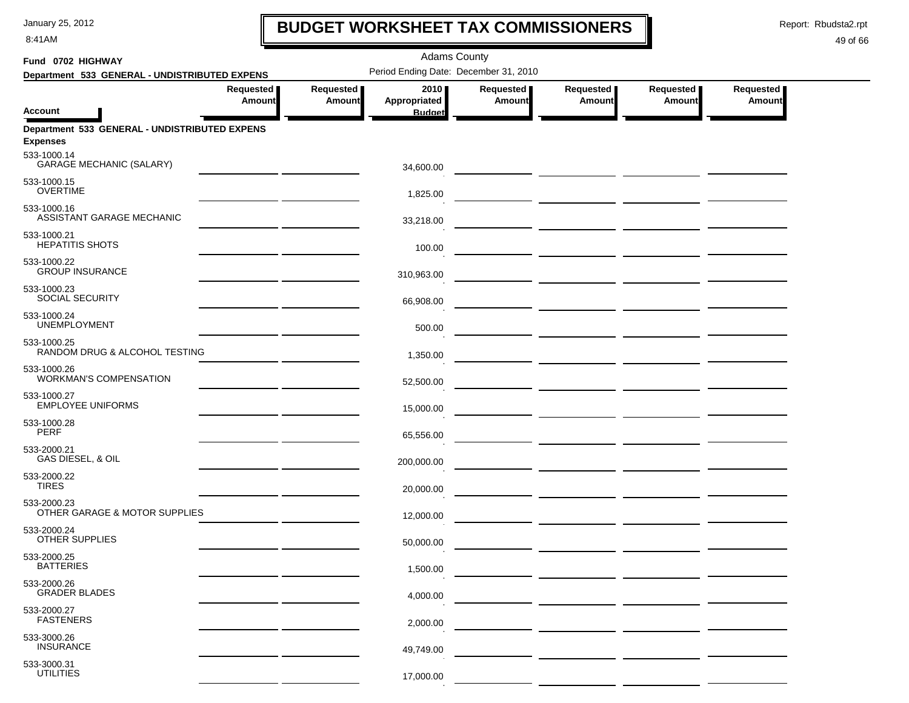8:41AM

# **BUDGET WORKSHEET TAX COMMISSIONERS**

Report: Rbudsta2.rpt

 $\mathbf I$ 

| Fund 0702 HIGHWAY                                                |                     |                            | <b>Adams County</b>                   |                     |                            |                            |                     |
|------------------------------------------------------------------|---------------------|----------------------------|---------------------------------------|---------------------|----------------------------|----------------------------|---------------------|
| Department 533 GENERAL - UNDISTRIBUTED EXPENS                    |                     |                            | Period Ending Date: December 31, 2010 |                     |                            |                            |                     |
|                                                                  | Requested<br>Amount | Requested<br><b>Amount</b> | 2010<br>Appropriated                  | Requested<br>Amount | Requested<br><b>Amount</b> | Requested<br><b>Amount</b> | Requested<br>Amount |
| <b>Account</b>                                                   |                     |                            | <b>Budget</b>                         |                     |                            |                            |                     |
| Department 533 GENERAL - UNDISTRIBUTED EXPENS<br><b>Expenses</b> |                     |                            |                                       |                     |                            |                            |                     |
| 533-1000.14<br><b>GARAGE MECHANIC (SALARY)</b>                   |                     |                            | 34,600.00                             |                     |                            |                            |                     |
| 533-1000.15<br><b>OVERTIME</b>                                   |                     |                            | 1,825.00                              |                     |                            |                            |                     |
| 533-1000.16<br>ASSISTANT GARAGE MECHANIC                         |                     |                            | 33,218.00                             |                     |                            |                            |                     |
| 533-1000.21<br><b>HEPATITIS SHOTS</b>                            |                     |                            | 100.00                                |                     |                            |                            |                     |
| 533-1000.22<br><b>GROUP INSURANCE</b>                            |                     |                            | 310,963.00                            |                     |                            |                            |                     |
| 533-1000.23<br>SOCIAL SECURITY                                   |                     |                            | 66,908.00                             |                     |                            |                            |                     |
| 533-1000.24<br><b>UNEMPLOYMENT</b>                               |                     |                            | 500.00                                |                     |                            |                            |                     |
| 533-1000.25<br>RANDOM DRUG & ALCOHOL TESTING                     |                     |                            | 1,350.00                              |                     |                            |                            |                     |
| 533-1000.26<br><b>WORKMAN'S COMPENSATION</b>                     |                     |                            | 52,500.00                             |                     |                            |                            |                     |
| 533-1000.27<br><b>EMPLOYEE UNIFORMS</b>                          |                     |                            | 15,000.00                             |                     |                            |                            |                     |
| 533-1000.28<br>PERF                                              |                     |                            | 65,556.00                             |                     |                            |                            |                     |
| 533-2000.21<br>GAS DIESEL, & OIL                                 |                     |                            | 200,000.00                            |                     |                            |                            |                     |
| 533-2000.22<br><b>TIRES</b>                                      |                     |                            | 20,000.00                             |                     |                            |                            |                     |
| 533-2000.23<br>OTHER GARAGE & MOTOR SUPPLIES                     |                     |                            | 12,000.00                             |                     |                            |                            |                     |
| 533-2000.24<br>OTHER SUPPLIES                                    |                     |                            | 50,000.00                             |                     |                            |                            |                     |
| 533-2000.25<br><b>BATTERIES</b>                                  |                     |                            | 1,500.00                              |                     |                            |                            |                     |
| 533-2000.26<br><b>GRADER BLADES</b>                              |                     |                            | 4,000.00                              |                     |                            |                            |                     |
| 533-2000.27<br><b>FASTENERS</b>                                  |                     |                            | 2,000.00                              |                     |                            |                            |                     |
| 533-3000.26<br><b>INSURANCE</b>                                  |                     |                            | 49,749.00                             |                     |                            |                            |                     |
| 533-3000.31<br><b>UTILITIES</b>                                  |                     |                            | 17,000.00                             |                     |                            |                            |                     |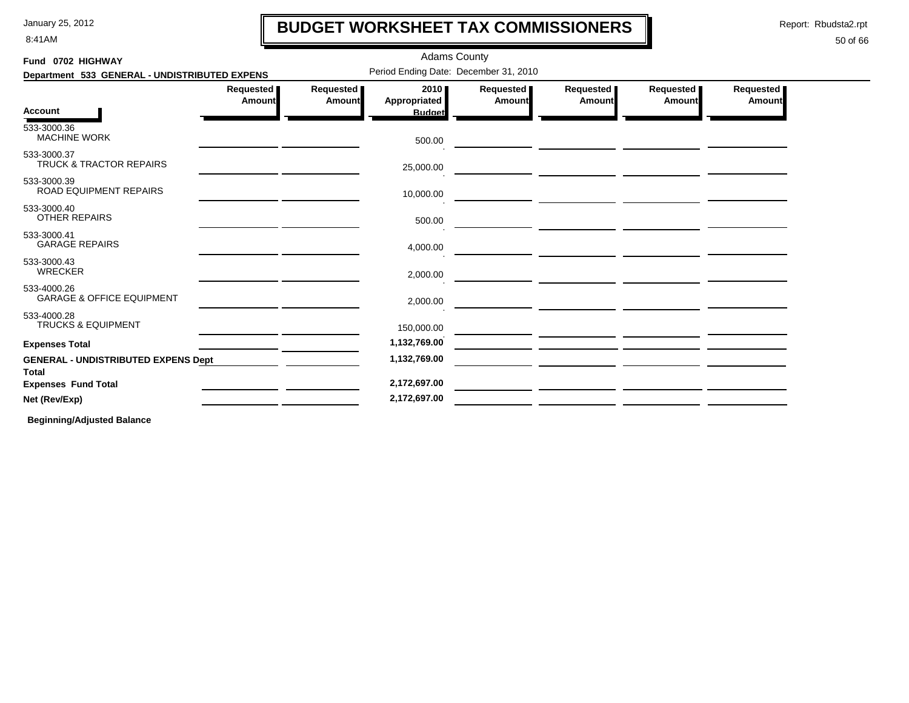8:41AM

# **BUDGET WORKSHEET TAX COMMISSIONERS**

Adams County

Report: Rbudsta2.rpt

### 50 of 66

| Fund 0702 HIGHWAY                                          |                            |                     | <b>Adams County</b>                   |                     |                                                                                                                      |                     |                     |
|------------------------------------------------------------|----------------------------|---------------------|---------------------------------------|---------------------|----------------------------------------------------------------------------------------------------------------------|---------------------|---------------------|
| Department 533 GENERAL - UNDISTRIBUTED EXPENS              |                            |                     | Period Ending Date: December 31, 2010 |                     |                                                                                                                      |                     |                     |
|                                                            | Requested<br><b>Amount</b> | Requested<br>Amount | 2010<br>Appropriated                  | Requested<br>Amount | <b>Requested</b><br><b>Amount</b>                                                                                    | Requested<br>Amount | Requested<br>Amount |
| <b>Account</b>                                             |                            |                     | <b>Budget</b>                         |                     |                                                                                                                      |                     |                     |
| 533-3000.36<br>MACHINE WORK                                |                            |                     | 500.00                                |                     |                                                                                                                      |                     |                     |
| 533-3000.37<br><b>TRUCK &amp; TRACTOR REPAIRS</b>          |                            |                     | 25,000.00                             |                     | <u> Andreas Andreas Andreas Andreas Andreas Andreas Andreas Andreas Andreas Andreas Andreas Andreas Andreas Andr</u> |                     |                     |
| 533-3000.39<br>ROAD EQUIPMENT REPAIRS                      |                            |                     | 10,000.00                             |                     |                                                                                                                      |                     |                     |
| 533-3000.40<br><b>OTHER REPAIRS</b>                        |                            |                     | 500.00                                |                     |                                                                                                                      |                     |                     |
| 533-3000.41<br><b>GARAGE REPAIRS</b>                       |                            |                     | 4,000.00                              |                     |                                                                                                                      |                     |                     |
| 533-3000.43<br><b>WRECKER</b>                              |                            |                     | 2,000.00                              |                     | <u> 1980 - Jan Sterling Sterling (d. 1980)</u>                                                                       |                     |                     |
| 533-4000.26<br><b>GARAGE &amp; OFFICE EQUIPMENT</b>        |                            |                     | 2,000.00                              |                     |                                                                                                                      |                     |                     |
| 533-4000.28<br><b>TRUCKS &amp; EQUIPMENT</b>               |                            |                     | 150,000.00                            |                     |                                                                                                                      |                     |                     |
| <b>Expenses Total</b>                                      |                            |                     | 1,132,769.00                          |                     |                                                                                                                      |                     |                     |
| <b>GENERAL - UNDISTRIBUTED EXPENS Dept</b><br><b>Total</b> |                            |                     | 1,132,769.00                          |                     |                                                                                                                      |                     |                     |
| <b>Expenses Fund Total</b>                                 |                            |                     | 2,172,697.00                          |                     |                                                                                                                      |                     |                     |
| Net (Rev/Exp)                                              |                            |                     | 2,172,697.00                          |                     |                                                                                                                      |                     |                     |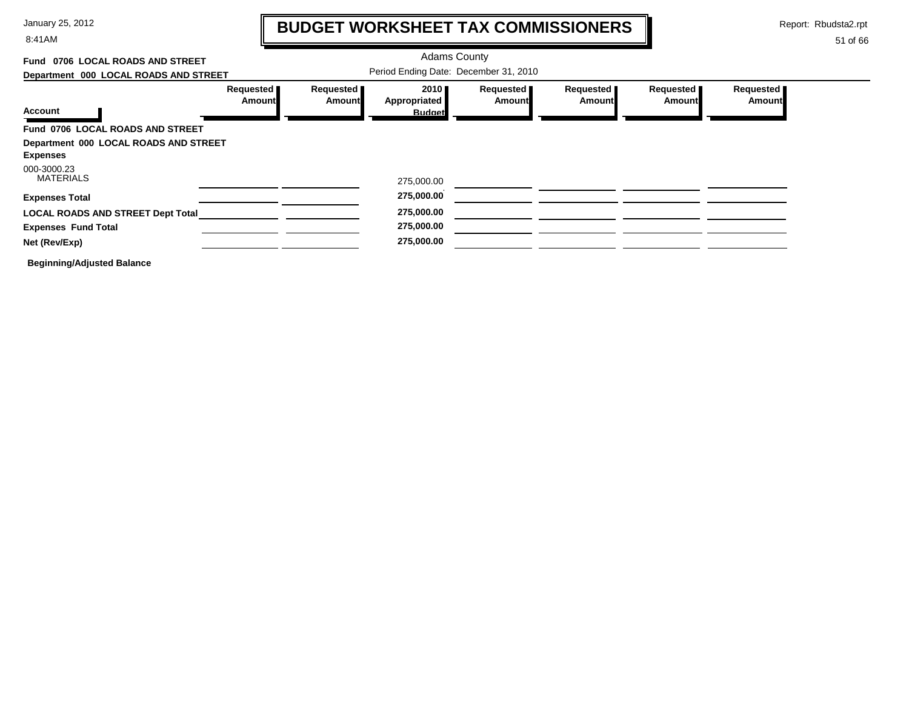8:41AM

# **BUDGET WORKSHEET TAX COMMISSIONERS**

Report: Rbudsta2.rpt

 $\mathbf l$ 

| 0706 LOCAL ROADS AND STREET<br>Fund      |                     |                                       | <b>Adams County</b>  |                            |                     |                     |                     |  |
|------------------------------------------|---------------------|---------------------------------------|----------------------|----------------------------|---------------------|---------------------|---------------------|--|
| Department 000 LOCAL ROADS AND STREET    |                     | Period Ending Date: December 31, 2010 |                      |                            |                     |                     |                     |  |
|                                          | Requested<br>Amount | Requested <b>I</b><br>Amount          | 2010<br>Appropriated | Requested<br><b>Amount</b> | Requested<br>Amount | Requested<br>Amount | Requested<br>Amount |  |
| <b>Account</b>                           |                     |                                       | <b>Budget</b>        |                            |                     |                     |                     |  |
| Fund 0706 LOCAL ROADS AND STREET         |                     |                                       |                      |                            |                     |                     |                     |  |
| Department 000 LOCAL ROADS AND STREET    |                     |                                       |                      |                            |                     |                     |                     |  |
| <b>Expenses</b>                          |                     |                                       |                      |                            |                     |                     |                     |  |
| 000-3000.23                              |                     |                                       |                      |                            |                     |                     |                     |  |
| <b>MATERIALS</b>                         |                     |                                       | 275,000.00           |                            |                     |                     |                     |  |
| <b>Expenses Total</b>                    |                     |                                       | 275,000.00           |                            |                     |                     |                     |  |
| <b>LOCAL ROADS AND STREET Dept Total</b> |                     |                                       | 275,000.00           |                            |                     |                     |                     |  |
| <b>Expenses Fund Total</b>               |                     |                                       | 275,000.00           |                            |                     |                     |                     |  |
| Net (Rev/Exp)                            |                     |                                       | 275,000.00           |                            |                     |                     |                     |  |
| <b>Beginning/Adjusted Balance</b>        |                     |                                       |                      |                            |                     |                     |                     |  |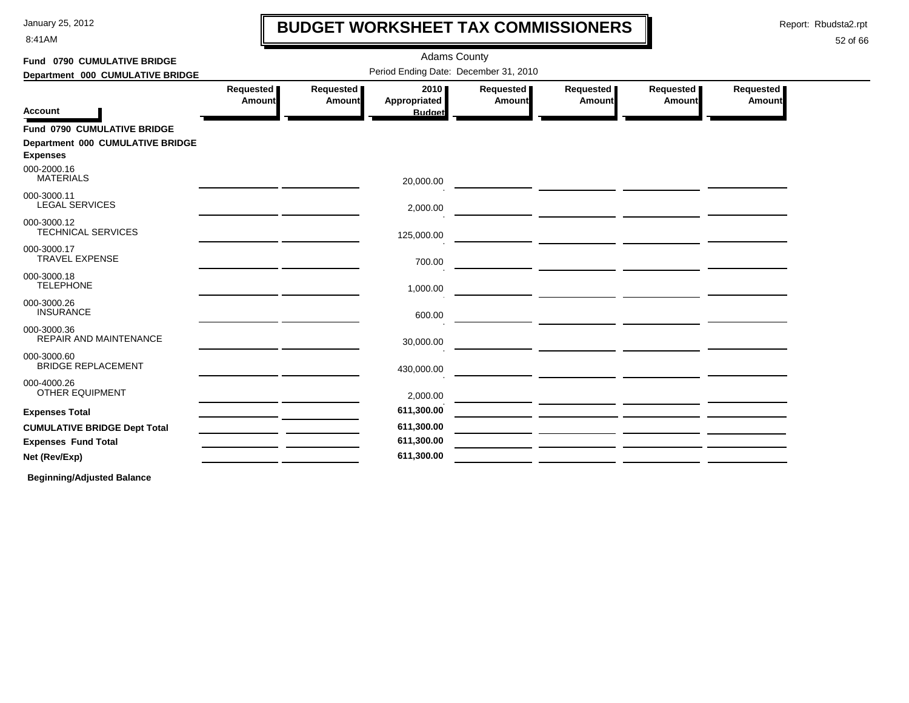8:41AM

# **BUDGET WORKSHEET TAX COMMISSIONERS**

Report: Rbudsta2.rpt

 $\mathbf l$ 

### 52 of 66

| Fund 0790 CUMULATIVE BRIDGE                         | <b>Adams County</b>                   |                            |                             |                            |                                                                                                                   |                            |                              |  |  |  |  |
|-----------------------------------------------------|---------------------------------------|----------------------------|-----------------------------|----------------------------|-------------------------------------------------------------------------------------------------------------------|----------------------------|------------------------------|--|--|--|--|
| Department 000 CUMULATIVE BRIDGE                    | Period Ending Date: December 31, 2010 |                            |                             |                            |                                                                                                                   |                            |                              |  |  |  |  |
|                                                     | Requested<br><b>Amount</b>            | Requested<br><b>Amount</b> | 2010<br><b>Appropriated</b> | Requested<br><b>Amount</b> | Requested<br>Amount                                                                                               | Requested<br><b>Amount</b> | Requested  <br><b>Amount</b> |  |  |  |  |
| <b>Account</b>                                      |                                       |                            | <b>Budget</b>               |                            |                                                                                                                   |                            |                              |  |  |  |  |
| <b>Fund 0790 CUMULATIVE BRIDGE</b>                  |                                       |                            |                             |                            |                                                                                                                   |                            |                              |  |  |  |  |
| Department 000 CUMULATIVE BRIDGE<br><b>Expenses</b> |                                       |                            |                             |                            |                                                                                                                   |                            |                              |  |  |  |  |
| 000-2000.16<br><b>MATERIALS</b>                     |                                       |                            | 20,000.00                   |                            |                                                                                                                   |                            |                              |  |  |  |  |
| 000-3000.11<br><b>LEGAL SERVICES</b>                |                                       |                            | 2,000.00                    |                            | <u> André de la contrada de la contrada de la contrada de la contrada de la contrada de la contrada de la con</u> |                            |                              |  |  |  |  |
| 000-3000.12<br><b>TECHNICAL SERVICES</b>            |                                       |                            | 125,000.00                  |                            |                                                                                                                   |                            |                              |  |  |  |  |
| 000-3000.17<br><b>TRAVEL EXPENSE</b>                |                                       |                            | 700.00                      |                            |                                                                                                                   |                            |                              |  |  |  |  |
| 000-3000.18<br><b>TELEPHONE</b>                     |                                       |                            | 1,000.00                    |                            |                                                                                                                   |                            |                              |  |  |  |  |
| 000-3000.26<br><b>INSURANCE</b>                     |                                       |                            | 600.00                      |                            |                                                                                                                   |                            |                              |  |  |  |  |
| 000-3000.36<br><b>REPAIR AND MAINTENANCE</b>        |                                       |                            | 30,000.00                   |                            |                                                                                                                   |                            |                              |  |  |  |  |
| 000-3000.60<br><b>BRIDGE REPLACEMENT</b>            |                                       |                            | 430,000.00                  |                            |                                                                                                                   |                            |                              |  |  |  |  |
| 000-4000.26<br>OTHER EQUIPMENT                      |                                       |                            | 2,000.00                    |                            |                                                                                                                   |                            |                              |  |  |  |  |
| <b>Expenses Total</b>                               |                                       |                            | 611,300.00                  |                            |                                                                                                                   |                            |                              |  |  |  |  |
| <b>CUMULATIVE BRIDGE Dept Total</b>                 |                                       |                            | 611,300.00                  |                            |                                                                                                                   |                            |                              |  |  |  |  |
| <b>Expenses Fund Total</b>                          |                                       |                            | 611,300.00                  |                            |                                                                                                                   |                            |                              |  |  |  |  |
| Net (Rev/Exp)                                       |                                       |                            | 611,300.00                  |                            |                                                                                                                   |                            |                              |  |  |  |  |
|                                                     |                                       |                            |                             |                            |                                                                                                                   |                            |                              |  |  |  |  |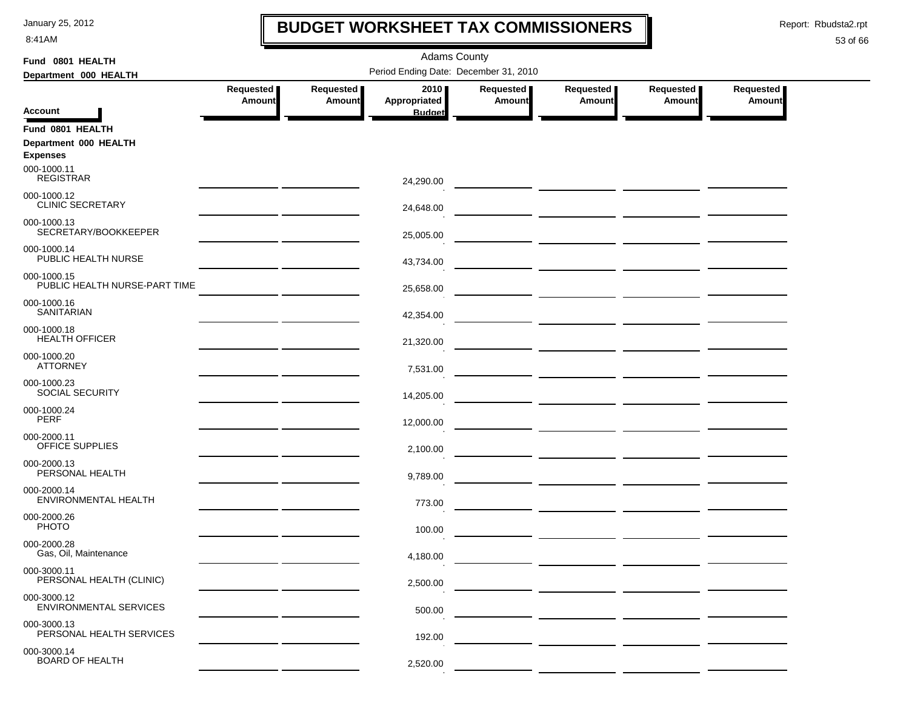8:41AM

### **BUDGET WORKSHEET TAX COMMISSIONERS**

Report: Rbudsta2.rpt

 $\mathbf l$ 

| Fund 0801 HEALTH                             |                                                                                                                        |                     | <b>Adams County</b>  |                     |                     |                     |                     |  |  |
|----------------------------------------------|------------------------------------------------------------------------------------------------------------------------|---------------------|----------------------|---------------------|---------------------|---------------------|---------------------|--|--|
| Department 000 HEALTH                        | Period Ending Date: December 31, 2010                                                                                  |                     |                      |                     |                     |                     |                     |  |  |
|                                              | Requested<br>Amount                                                                                                    | Requested<br>Amount | 2010<br>Appropriated | Requested<br>Amount | Requested<br>Amount | Requested<br>Amount | Requested<br>Amount |  |  |
| <b>Account</b>                               |                                                                                                                        |                     | <b>Budget</b>        |                     |                     |                     |                     |  |  |
| Fund 0801 HEALTH                             |                                                                                                                        |                     |                      |                     |                     |                     |                     |  |  |
| Department 000 HEALTH<br><b>Expenses</b>     |                                                                                                                        |                     |                      |                     |                     |                     |                     |  |  |
| 000-1000.11<br><b>REGISTRAR</b>              |                                                                                                                        |                     | 24,290.00            |                     |                     |                     |                     |  |  |
| 000-1000.12<br><b>CLINIC SECRETARY</b>       | <u> 1989 - Jan James James III, politik politik (</u>                                                                  |                     | 24,648.00            |                     |                     |                     |                     |  |  |
| 000-1000.13<br>SECRETARY/BOOKKEEPER          |                                                                                                                        |                     | 25,005.00            |                     |                     |                     |                     |  |  |
| 000-1000.14<br>PUBLIC HEALTH NURSE           |                                                                                                                        |                     | 43,734.00            |                     |                     |                     |                     |  |  |
| 000-1000.15<br>PUBLIC HEALTH NURSE-PART TIME |                                                                                                                        |                     | 25,658.00            |                     |                     |                     |                     |  |  |
| 000-1000.16<br>SANITARIAN                    | <u> 1989 - Johann Harry Barn, mars an t-</u>                                                                           |                     | 42,354.00            |                     |                     |                     |                     |  |  |
| 000-1000.18<br><b>HEALTH OFFICER</b>         | <u> 1999 - Jan James James Barbara, politik politik (</u>                                                              |                     | 21,320.00            |                     |                     |                     |                     |  |  |
| 000-1000.20<br><b>ATTORNEY</b>               | <u> 1989 - Johann John Stone, mars et al. 1989 - John Stone, mars et al. 1989 - John Stone, mars et al. 1989 - Joh</u> |                     | 7,531.00             |                     |                     |                     |                     |  |  |
| 000-1000.23<br>SOCIAL SECURITY               |                                                                                                                        |                     | 14,205.00            |                     |                     |                     |                     |  |  |
| 000-1000.24<br><b>PERF</b>                   |                                                                                                                        |                     | 12,000.00            |                     |                     |                     |                     |  |  |
| 000-2000.11<br>OFFICE SUPPLIES               |                                                                                                                        |                     | 2,100.00             |                     |                     |                     |                     |  |  |
| 000-2000.13<br>PERSONAL HEALTH               |                                                                                                                        |                     | 9,789.00             |                     |                     |                     |                     |  |  |
| 000-2000.14<br>ENVIRONMENTAL HEALTH          |                                                                                                                        |                     | 773.00               |                     |                     |                     |                     |  |  |
| 000-2000.26<br>PHOTO                         |                                                                                                                        |                     | 100.00               |                     |                     |                     |                     |  |  |
| 000-2000.28<br>Gas, Oil, Maintenance         |                                                                                                                        |                     | 4,180.00             |                     |                     |                     |                     |  |  |
| 000-3000.11<br>PERSONAL HEALTH (CLINIC)      |                                                                                                                        |                     | 2,500.00             |                     |                     |                     |                     |  |  |
| 000-3000.12<br><b>ENVIRONMENTAL SERVICES</b> |                                                                                                                        |                     | 500.00               |                     |                     |                     |                     |  |  |
| 000-3000.13<br>PERSONAL HEALTH SERVICES      |                                                                                                                        |                     | 192.00               |                     |                     |                     |                     |  |  |
| 000-3000.14<br><b>BOARD OF HEALTH</b>        |                                                                                                                        |                     | 2,520.00             |                     |                     |                     |                     |  |  |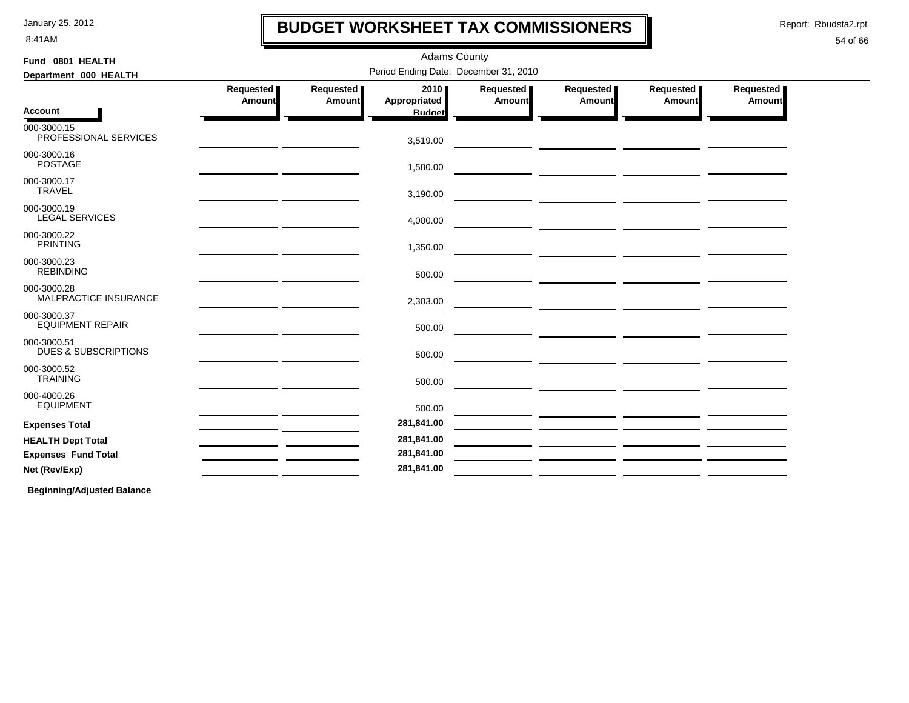8:41AM

### **BUDGET WORKSHEET TAX COMMISSIONERS**

Adams County

Report: Rbudsta2.rpt

 $\blacksquare$ 

### 54 of 66

| Fund 0801 HEALTH                               |                            |                                       | <b>Adams County</b>  |                     |                                                                                                                       |                     |                     |  |  |  |
|------------------------------------------------|----------------------------|---------------------------------------|----------------------|---------------------|-----------------------------------------------------------------------------------------------------------------------|---------------------|---------------------|--|--|--|
| Department 000 HEALTH                          |                            | Period Ending Date: December 31, 2010 |                      |                     |                                                                                                                       |                     |                     |  |  |  |
|                                                | Requested<br><b>Amount</b> | Requested<br>Amount                   | 2010<br>Appropriated | Requested<br>Amount | Requested  <br>Amount                                                                                                 | Requested<br>Amount | Requested<br>Amount |  |  |  |
| <b>Account</b>                                 |                            |                                       | <b>Budget</b>        |                     |                                                                                                                       |                     |                     |  |  |  |
| 000-3000.15<br>PROFESSIONAL SERVICES           |                            |                                       | 3,519.00             |                     |                                                                                                                       |                     |                     |  |  |  |
| 000-3000.16<br><b>POSTAGE</b>                  |                            |                                       | 1,580.00             |                     | <u>and</u> the control of the control of the control of the control of the control of the control of the control of   |                     |                     |  |  |  |
| 000-3000.17<br><b>TRAVEL</b>                   |                            |                                       | 3,190.00             |                     | the control of the control of the control of the control of the control of the control of                             |                     |                     |  |  |  |
| 000-3000.19<br><b>LEGAL SERVICES</b>           |                            |                                       | 4,000.00             |                     |                                                                                                                       |                     |                     |  |  |  |
| 000-3000.22<br><b>PRINTING</b>                 |                            |                                       | 1,350.00             |                     | the contract of the contract of the contract of the contract of the contract of                                       |                     |                     |  |  |  |
| 000-3000.23<br><b>REBINDING</b>                |                            |                                       | 500.00               |                     | <u> Louis Communication de la communication de la communication de la communication de la communication de la com</u> |                     |                     |  |  |  |
| 000-3000.28<br>MALPRACTICE INSURANCE           |                            |                                       | 2,303.00             |                     |                                                                                                                       |                     |                     |  |  |  |
| 000-3000.37<br><b>EQUIPMENT REPAIR</b>         |                            |                                       | 500.00               |                     |                                                                                                                       |                     |                     |  |  |  |
| 000-3000.51<br><b>DUES &amp; SUBSCRIPTIONS</b> |                            |                                       | 500.00               |                     |                                                                                                                       |                     |                     |  |  |  |
| 000-3000.52<br><b>TRAINING</b>                 |                            |                                       | 500.00               |                     |                                                                                                                       |                     |                     |  |  |  |
| 000-4000.26<br><b>EQUIPMENT</b>                |                            |                                       | 500.00               |                     |                                                                                                                       |                     |                     |  |  |  |
| <b>Expenses Total</b>                          |                            |                                       | 281,841.00           |                     |                                                                                                                       |                     |                     |  |  |  |
| <b>HEALTH Dept Total</b>                       |                            |                                       | 281,841.00           |                     |                                                                                                                       |                     |                     |  |  |  |
| <b>Expenses Fund Total</b>                     |                            |                                       | 281,841.00           |                     |                                                                                                                       |                     |                     |  |  |  |
| Net (Rev/Exp)                                  |                            |                                       | 281,841.00           |                     |                                                                                                                       |                     |                     |  |  |  |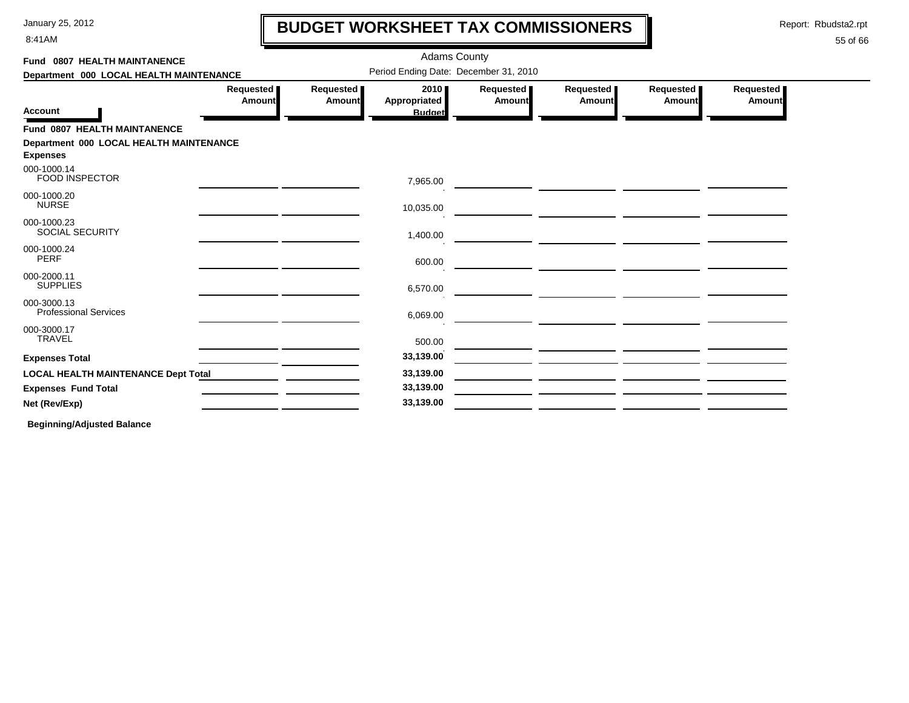8:41AM

# **BUDGET WORKSHEET TAX COMMISSIONERS**

Report: Rbudsta2.rpt

 $\mathbf l$ 

### 55 of 66

| Fund 0807 HEALTH MAINTANENCE                               |                            |                     | <b>Adams County</b>                   |                       |                            |                            |                     |
|------------------------------------------------------------|----------------------------|---------------------|---------------------------------------|-----------------------|----------------------------|----------------------------|---------------------|
| Department 000 LOCAL HEALTH MAINTENANCE                    |                            |                     | Period Ending Date: December 31, 2010 |                       |                            |                            |                     |
| <b>Account</b>                                             | Requested<br><b>Amount</b> | Requested<br>Amount | 2010<br>Appropriated                  | Requested  <br>Amount | Requested<br><b>Amount</b> | Requested<br><b>Amount</b> | Requested<br>Amount |
| Fund 0807 HEALTH MAINTANENCE                               |                            |                     | <b>Budget</b>                         |                       |                            |                            |                     |
| Department 000 LOCAL HEALTH MAINTENANCE<br><b>Expenses</b> |                            |                     |                                       |                       |                            |                            |                     |
| 000-1000.14<br><b>FOOD INSPECTOR</b>                       |                            |                     | 7,965.00                              |                       |                            |                            |                     |
| 000-1000.20<br><b>NURSE</b>                                |                            |                     | 10,035.00                             |                       |                            |                            |                     |
| 000-1000.23<br>SOCIAL SECURITY                             |                            |                     | 1,400.00                              |                       |                            |                            |                     |
| 000-1000.24<br>PERF                                        |                            |                     | 600.00                                |                       |                            |                            |                     |
| 000-2000.11<br><b>SUPPLIES</b>                             |                            |                     | 6,570.00                              |                       |                            |                            |                     |
| 000-3000.13<br><b>Professional Services</b>                |                            |                     | 6,069.00                              |                       |                            |                            |                     |
| 000-3000.17<br><b>TRAVEL</b>                               |                            |                     | 500.00                                |                       |                            |                            |                     |
| <b>Expenses Total</b>                                      |                            |                     | 33,139.00                             |                       |                            |                            |                     |
| <b>LOCAL HEALTH MAINTENANCE Dept Total</b>                 |                            |                     | 33,139.00                             |                       |                            |                            |                     |
| <b>Expenses Fund Total</b>                                 |                            |                     | 33,139.00                             |                       |                            |                            |                     |
| Net (Rev/Exp)                                              |                            |                     | 33,139.00                             |                       |                            |                            |                     |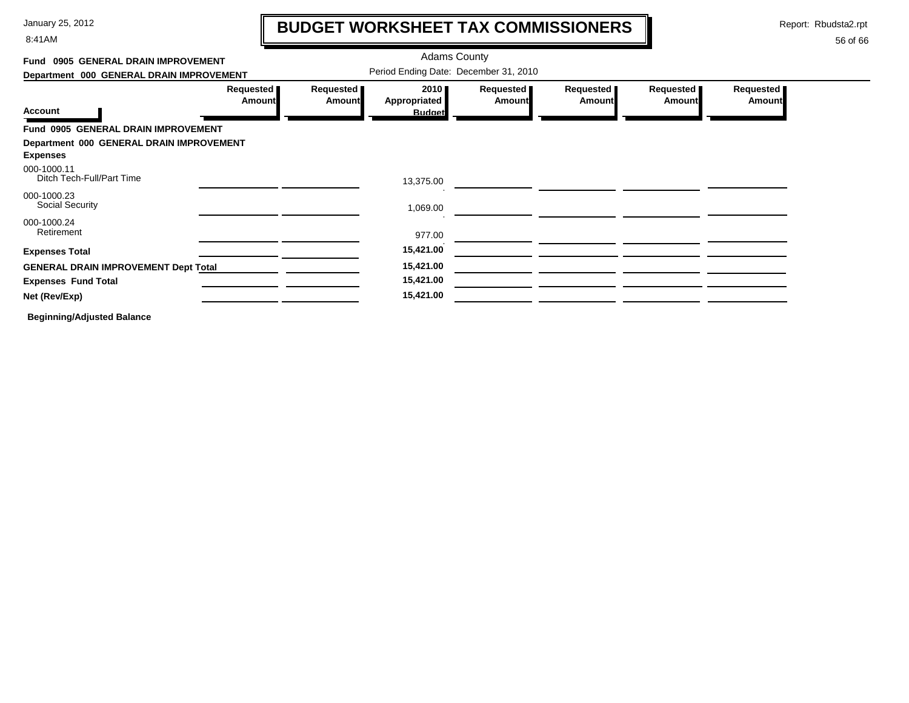8:41AM

# **BUDGET WORKSHEET TAX COMMISSIONERS**

Report: Rbudsta2.rpt

 $\mathbf l$ 

| Fund 0905 GENERAL DRAIN IMPROVEMENT                                        |                            |                                       | <b>Adams County</b>                          |                            |                     |                            |                            |
|----------------------------------------------------------------------------|----------------------------|---------------------------------------|----------------------------------------------|----------------------------|---------------------|----------------------------|----------------------------|
| Department 000 GENERAL DRAIN IMPROVEMENT                                   |                            | Period Ending Date: December 31, 2010 |                                              |                            |                     |                            |                            |
| <b>Account</b>                                                             | Requested<br><b>Amount</b> | Requested<br><b>Amount</b>            | 2010<br><b>Appropriated</b><br><b>Budget</b> | Requested<br><b>Amount</b> | Requested<br>Amount | Requested<br><b>Amount</b> | Requested<br><b>Amount</b> |
| Fund 0905 GENERAL DRAIN IMPROVEMENT                                        |                            |                                       |                                              |                            |                     |                            |                            |
| Department 000 GENERAL DRAIN IMPROVEMENT<br><b>Expenses</b><br>000-1000.11 |                            |                                       |                                              |                            |                     |                            |                            |
| Ditch Tech-Full/Part Time                                                  |                            |                                       | 13,375.00                                    |                            |                     |                            |                            |
| 000-1000.23<br>Social Security                                             |                            |                                       | 1,069.00                                     |                            |                     |                            |                            |
| 000-1000.24<br>Retirement                                                  |                            |                                       | 977.00                                       |                            |                     |                            |                            |
| <b>Expenses Total</b>                                                      |                            |                                       | 15,421.00                                    |                            |                     |                            |                            |
| <b>GENERAL DRAIN IMPROVEMENT Dept Total</b>                                |                            |                                       | 15,421.00                                    |                            |                     |                            |                            |
| <b>Expenses Fund Total</b>                                                 |                            |                                       | 15,421.00                                    |                            |                     |                            |                            |
| Net (Rev/Exp)                                                              |                            |                                       | 15,421.00                                    |                            |                     |                            |                            |
| <b>Beginning/Adjusted Balance</b>                                          |                            |                                       |                                              |                            |                     |                            |                            |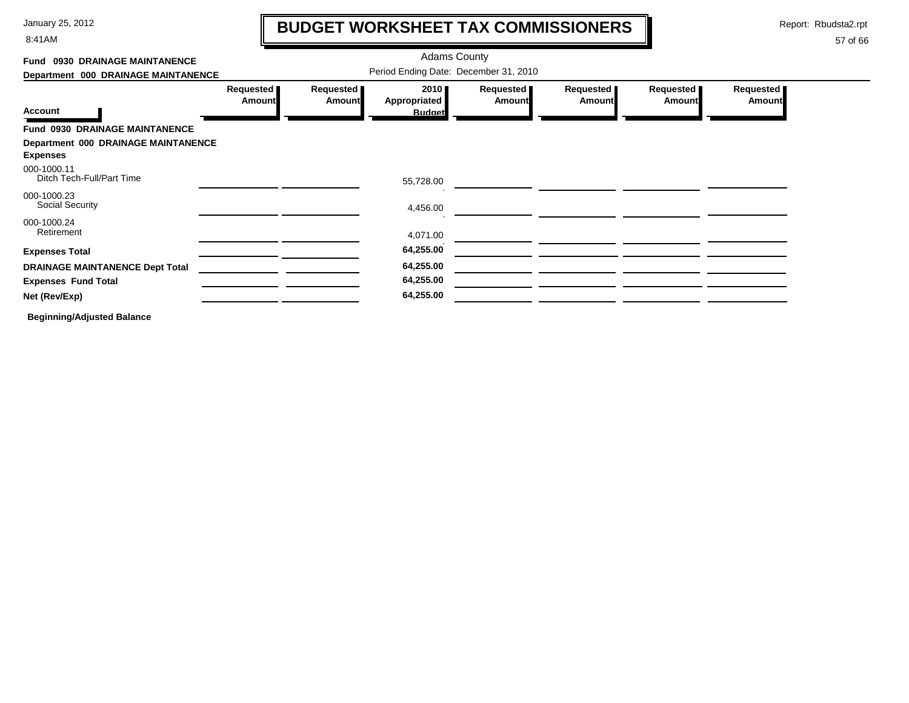8:41AM

# **BUDGET WORKSHEET TAX COMMISSIONERS**

Report: Rbudsta2.rpt

 $\mathbf l$ 

| Fund 0930 DRAINAGE MAINTANENCE                         |                                       |                            |                                       |                            |                            |                            |                            |  |  |  |
|--------------------------------------------------------|---------------------------------------|----------------------------|---------------------------------------|----------------------------|----------------------------|----------------------------|----------------------------|--|--|--|
| Department 000 DRAINAGE MAINTANENCE                    | Period Ending Date: December 31, 2010 |                            |                                       |                            |                            |                            |                            |  |  |  |
| <b>Account</b>                                         | Requested<br><b>Amount</b>            | Requested<br><b>Amount</b> | 2010<br>Appropriated<br><b>Budget</b> | Requested<br><b>Amount</b> | Requested<br><b>Amount</b> | Requested<br><b>Amount</b> | Requested<br><b>Amount</b> |  |  |  |
| Fund 0930 DRAINAGE MAINTANENCE                         |                                       |                            |                                       |                            |                            |                            |                            |  |  |  |
| Department 000 DRAINAGE MAINTANENCE<br><b>Expenses</b> |                                       |                            |                                       |                            |                            |                            |                            |  |  |  |
| 000-1000.11<br>Ditch Tech-Full/Part Time               |                                       |                            | 55,728.00                             |                            |                            |                            |                            |  |  |  |
| 000-1000.23<br><b>Social Security</b>                  |                                       |                            | 4,456.00                              |                            |                            |                            |                            |  |  |  |
| 000-1000.24<br>Retirement                              |                                       |                            | 4,071.00                              |                            |                            |                            |                            |  |  |  |
| <b>Expenses Total</b>                                  |                                       |                            | 64,255.00                             |                            |                            |                            |                            |  |  |  |
| <b>DRAINAGE MAINTANENCE Dept Total</b>                 |                                       |                            | 64,255.00                             |                            |                            |                            |                            |  |  |  |
| <b>Expenses Fund Total</b>                             |                                       |                            | 64,255.00                             |                            |                            |                            |                            |  |  |  |
| Net (Rev/Exp)                                          |                                       |                            | 64,255.00                             |                            |                            |                            |                            |  |  |  |
| <b>Beginning/Adjusted Balance</b>                      |                                       |                            |                                       |                            |                            |                            |                            |  |  |  |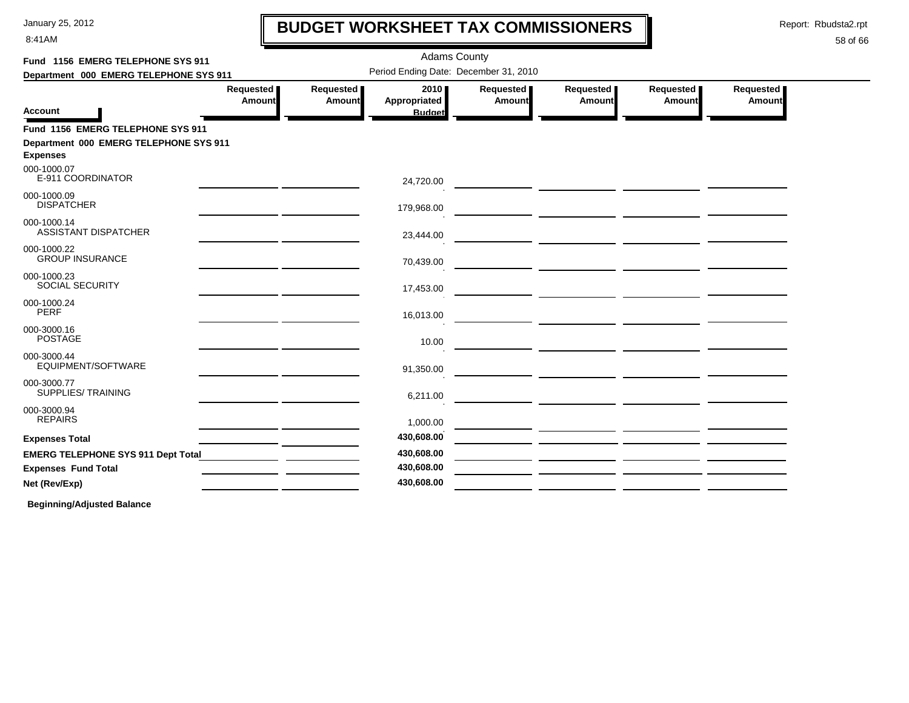8:41AM

# **BUDGET WORKSHEET TAX COMMISSIONERS**

Report: Rbudsta2.rpt

 $\mathbf l$ 

### 58 of 66

| Fund 1156 EMERG TELEPHONE SYS 911                                                              |                                                                                                                      |                     | <b>Adams County</b>                   |                       |                       |                                                                                                                      |                     |  |
|------------------------------------------------------------------------------------------------|----------------------------------------------------------------------------------------------------------------------|---------------------|---------------------------------------|-----------------------|-----------------------|----------------------------------------------------------------------------------------------------------------------|---------------------|--|
| Department 000 EMERG TELEPHONE SYS 911                                                         |                                                                                                                      |                     | Period Ending Date: December 31, 2010 |                       |                       |                                                                                                                      |                     |  |
| Account                                                                                        | Requested  <br>Amount                                                                                                | Requested<br>Amount | 2010<br>Appropriated<br><b>Budget</b> | Requested  <br>Amount | Requested  <br>Amount | Requested  <br><b>Amount</b>                                                                                         | Requested<br>Amount |  |
| Fund 1156 EMERG TELEPHONE SYS 911<br>Department 000 EMERG TELEPHONE SYS 911<br><b>Expenses</b> |                                                                                                                      |                     |                                       |                       |                       |                                                                                                                      |                     |  |
| 000-1000.07<br>E-911 COORDINATOR                                                               |                                                                                                                      |                     | 24,720.00                             |                       |                       |                                                                                                                      |                     |  |
| 000-1000.09<br><b>DISPATCHER</b>                                                               | <u> 1989 - John Harry Barn, mars and de Branch and de Branch and de Branch and de Branch and de Branch and de Br</u> |                     | 179,968.00                            |                       |                       |                                                                                                                      |                     |  |
| 000-1000.14<br><b>ASSISTANT DISPATCHER</b>                                                     | the control of the control of the control of                                                                         |                     | 23,444.00                             |                       |                       |                                                                                                                      |                     |  |
| 000-1000.22<br><b>GROUP INSURANCE</b>                                                          |                                                                                                                      |                     | 70,439.00                             |                       |                       |                                                                                                                      |                     |  |
| 000-1000.23<br><b>SOCIAL SECURITY</b>                                                          |                                                                                                                      |                     | 17,453.00                             |                       |                       |                                                                                                                      |                     |  |
| 000-1000.24<br><b>PERF</b>                                                                     |                                                                                                                      |                     | 16,013.00                             |                       |                       |                                                                                                                      |                     |  |
| 000-3000.16<br><b>POSTAGE</b>                                                                  |                                                                                                                      |                     | 10.00                                 |                       |                       |                                                                                                                      |                     |  |
| 000-3000.44<br>EQUIPMENT/SOFTWARE                                                              |                                                                                                                      |                     | 91,350.00                             |                       |                       |                                                                                                                      |                     |  |
| 000-3000.77<br><b>SUPPLIES/TRAINING</b>                                                        |                                                                                                                      |                     | 6,211.00                              |                       |                       |                                                                                                                      |                     |  |
| 000-3000.94<br><b>REPAIRS</b>                                                                  |                                                                                                                      |                     | 1,000.00                              |                       |                       |                                                                                                                      |                     |  |
| <b>Expenses Total</b>                                                                          | the contract of the contract of the contract of the contract of the                                                  |                     | 430,608.00                            |                       |                       | <u> 1990 - Jan James James Jan James James James James James James James James James James James James James Jam</u> |                     |  |
| <b>EMERG TELEPHONE SYS 911 Dept Total</b>                                                      |                                                                                                                      |                     | 430,608.00                            |                       |                       |                                                                                                                      |                     |  |
| <b>Expenses Fund Total</b>                                                                     |                                                                                                                      |                     | 430,608.00                            |                       |                       |                                                                                                                      |                     |  |
| Net (Rev/Exp)                                                                                  |                                                                                                                      |                     | 430,608.00                            |                       |                       |                                                                                                                      |                     |  |
|                                                                                                |                                                                                                                      |                     |                                       |                       |                       |                                                                                                                      |                     |  |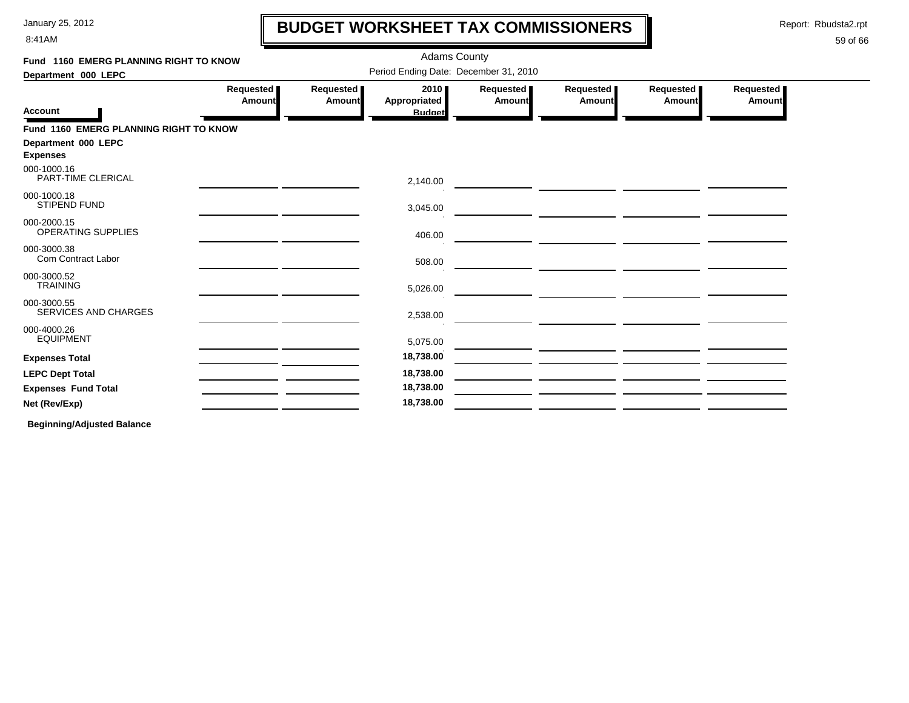8:41AM

# **BUDGET WORKSHEET TAX COMMISSIONERS**

Report: Rbudsta2.rpt

I

### 59 of 66

| Fund 1160 EMERG PLANNING RIGHT TO KNOW     |                     |                            | <b>Adams County</b>                   |                     |                     |                            |                     |  |
|--------------------------------------------|---------------------|----------------------------|---------------------------------------|---------------------|---------------------|----------------------------|---------------------|--|
| Department 000 LEPC                        |                     |                            | Period Ending Date: December 31, 2010 |                     |                     |                            |                     |  |
|                                            | Requested<br>Amount | Requested<br><b>Amount</b> | 2010<br><b>Appropriated</b>           | Requested<br>Amount | Requested<br>Amount | Requested<br><b>Amount</b> | Requested<br>Amount |  |
| <b>Account</b>                             |                     |                            | <b>Budget</b>                         |                     |                     |                            |                     |  |
| Fund 1160 EMERG PLANNING RIGHT TO KNOW     |                     |                            |                                       |                     |                     |                            |                     |  |
| Department 000 LEPC<br><b>Expenses</b>     |                     |                            |                                       |                     |                     |                            |                     |  |
| 000-1000.16<br>PART-TIME CLERICAL          |                     |                            | 2,140.00                              |                     |                     |                            |                     |  |
| 000-1000.18<br>STIPEND FUND                |                     |                            | 3,045.00                              |                     |                     |                            |                     |  |
| 000-2000.15<br>OPERATING SUPPLIES          |                     |                            | 406.00                                |                     |                     |                            |                     |  |
| 000-3000.38<br>Com Contract Labor          |                     |                            | 508.00                                |                     |                     |                            |                     |  |
| 000-3000.52<br><b>TRAINING</b>             |                     |                            | 5,026.00                              |                     |                     |                            |                     |  |
| 000-3000.55<br><b>SERVICES AND CHARGES</b> |                     |                            | 2,538.00                              |                     |                     |                            |                     |  |
| 000-4000.26<br><b>EQUIPMENT</b>            |                     |                            | 5,075.00                              |                     |                     |                            |                     |  |
| <b>Expenses Total</b>                      |                     |                            | 18,738.00                             |                     |                     |                            |                     |  |
| <b>LEPC Dept Total</b>                     |                     |                            | 18,738.00                             |                     |                     |                            |                     |  |
| <b>Expenses Fund Total</b>                 |                     |                            | 18,738.00                             |                     |                     |                            |                     |  |
| Net (Rev/Exp)                              |                     |                            | 18,738.00                             |                     |                     |                            |                     |  |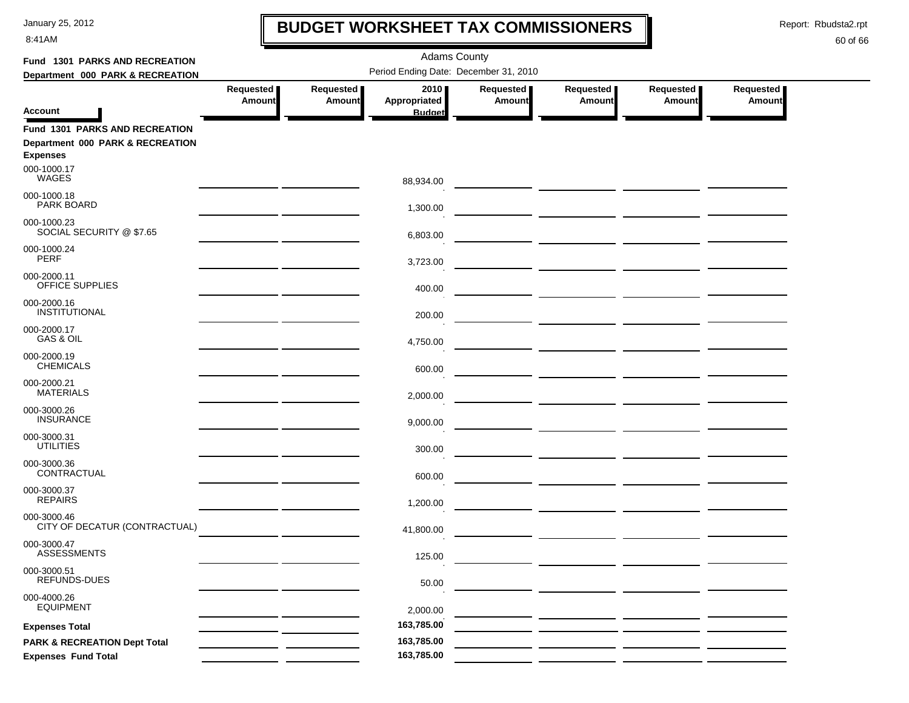8:41AM

# **BUDGET WORKSHEET TAX COMMISSIONERS**

Report: Rbudsta2.rpt

 $\mathbf l$ 

| Fund 1301 PARKS AND RECREATION                                     | <b>Adams County</b>                   |                     |                      |                     |                                                                                                                       |                            |                     |  |  |  |
|--------------------------------------------------------------------|---------------------------------------|---------------------|----------------------|---------------------|-----------------------------------------------------------------------------------------------------------------------|----------------------------|---------------------|--|--|--|
| Department 000 PARK & RECREATION                                   | Period Ending Date: December 31, 2010 |                     |                      |                     |                                                                                                                       |                            |                     |  |  |  |
| <b>Account</b>                                                     | Requested  <br>Amount                 | Requested<br>Amount | 2010<br>Appropriated | Requested<br>Amount | Requested<br><b>Amount</b>                                                                                            | Requested<br><b>Amount</b> | Requested<br>Amount |  |  |  |
|                                                                    |                                       |                     | <b>Budget</b>        |                     |                                                                                                                       |                            |                     |  |  |  |
| Fund 1301 PARKS AND RECREATION<br>Department 000 PARK & RECREATION |                                       |                     |                      |                     |                                                                                                                       |                            |                     |  |  |  |
| <b>Expenses</b>                                                    |                                       |                     |                      |                     |                                                                                                                       |                            |                     |  |  |  |
| 000-1000.17                                                        |                                       |                     |                      |                     |                                                                                                                       |                            |                     |  |  |  |
| <b>WAGES</b>                                                       |                                       |                     | 88,934.00            |                     |                                                                                                                       |                            |                     |  |  |  |
| 000-1000.18<br>PARK BOARD                                          |                                       |                     | 1,300.00             |                     |                                                                                                                       |                            |                     |  |  |  |
| 000-1000.23<br>SOCIAL SECURITY @ \$7.65                            |                                       |                     | 6,803.00             |                     | <u> Andreas Andreas and Andreas Andreas and Andreas and Andreas and Andreas and Andreas and Andreas and Andreas A</u> |                            |                     |  |  |  |
| 000-1000.24                                                        |                                       |                     |                      |                     |                                                                                                                       |                            |                     |  |  |  |
| <b>PERF</b>                                                        |                                       |                     | 3,723.00             |                     | <u> 1989 - Andrea Andrew Maria (b. 1989)</u>                                                                          |                            |                     |  |  |  |
| 000-2000.11<br>OFFICE SUPPLIES                                     |                                       |                     | 400.00               |                     | <u> Listen de la construcción de la construcción de la construcción de la construcción de la construcción de la c</u> |                            |                     |  |  |  |
| 000-2000.16<br><b>INSTITUTIONAL</b>                                |                                       |                     | 200.00               |                     | <u> 1990 - Johann Barbara, politik eta politikar</u>                                                                  |                            |                     |  |  |  |
| 000-2000.17<br>GAS & OIL                                           |                                       |                     | 4,750.00             |                     | <u> 1990 - Johann John Harry Harry Harry Harry Harry Harry Harry Harry Harry Harry Harry Harry Harry Harry Harry</u>  |                            |                     |  |  |  |
| 000-2000.19<br><b>CHEMICALS</b>                                    |                                       |                     | 600.00               |                     |                                                                                                                       |                            |                     |  |  |  |
| 000-2000.21<br><b>MATERIALS</b>                                    |                                       |                     |                      |                     |                                                                                                                       |                            |                     |  |  |  |
| 000-3000.26                                                        |                                       |                     | 2,000.00             |                     |                                                                                                                       |                            |                     |  |  |  |
| <b>INSURANCE</b>                                                   |                                       |                     | 9,000.00             |                     | <u> 1990 - Johann John Stone, mars et al. 1990 - John Stone (f. 1980)</u>                                             |                            |                     |  |  |  |
| 000-3000.31<br><b>UTILITIES</b>                                    |                                       |                     | 300.00               |                     |                                                                                                                       |                            |                     |  |  |  |
| 000-3000.36                                                        |                                       |                     |                      |                     |                                                                                                                       |                            |                     |  |  |  |
| CONTRACTUAL                                                        |                                       |                     | 600.00               |                     |                                                                                                                       |                            |                     |  |  |  |
| 000-3000.37<br><b>REPAIRS</b>                                      |                                       |                     | 1,200.00             |                     |                                                                                                                       |                            |                     |  |  |  |
| 000-3000.46                                                        |                                       |                     |                      |                     |                                                                                                                       |                            |                     |  |  |  |
| CITY OF DECATUR (CONTRACTUAL)                                      |                                       |                     | 41,800.00            |                     |                                                                                                                       |                            |                     |  |  |  |
| 000-3000.47<br><b>ASSESSMENTS</b>                                  |                                       |                     | 125.00               |                     |                                                                                                                       |                            |                     |  |  |  |
| 000-3000.51<br>REFUNDS-DUES                                        |                                       |                     | 50.00                |                     |                                                                                                                       |                            |                     |  |  |  |
| 000-4000.26<br><b>EQUIPMENT</b>                                    |                                       |                     | 2,000.00             |                     |                                                                                                                       |                            |                     |  |  |  |
| <b>Expenses Total</b>                                              |                                       |                     | 163,785.00           |                     |                                                                                                                       |                            |                     |  |  |  |
| <b>PARK &amp; RECREATION Dept Total</b>                            |                                       |                     | 163,785.00           |                     |                                                                                                                       |                            |                     |  |  |  |
| <b>Expenses Fund Total</b>                                         |                                       |                     | 163,785.00           |                     |                                                                                                                       |                            |                     |  |  |  |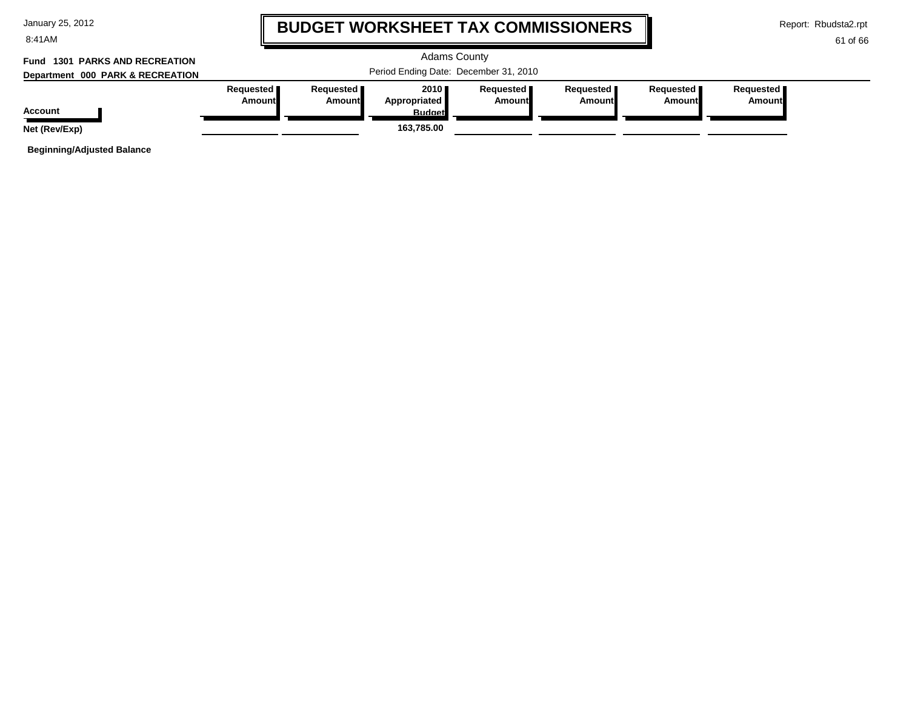| January 25, 2012 |  |  |  |
|------------------|--|--|--|
|------------------|--|--|--|

8:41AM

# **BUDGET WORKSHEET TAX COMMISSIONERS**

Report: Rbudsta2.rpt

61 of 66

#### Adams County Period Ending Date: December 31, 2010 **Account Department 000 PARK & RECREATION Fund 1301 PARKS AND RECREATIONRequested Amount Requested Amount 2010 Appropriated Budget Requested Amount Requested Amount Requested Amount Requested Amount Net (Rev/Exp) 163,785.00**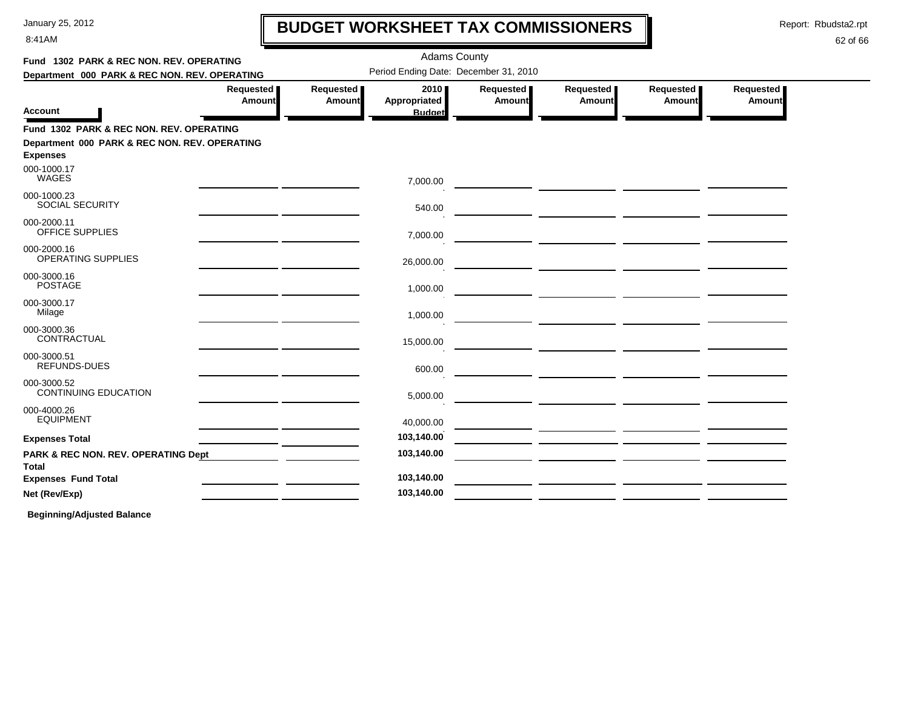8:41AM

# **BUDGET WORKSHEET TAX COMMISSIONERS**

Report: Rbudsta2.rpt

#### 62 of 66

| Fund 1302 PARK & REC NON. REV. OPERATING                         |                              |                     | <b>Adams County</b>                   |                     |                                                                                                                       |                     |                     |  |
|------------------------------------------------------------------|------------------------------|---------------------|---------------------------------------|---------------------|-----------------------------------------------------------------------------------------------------------------------|---------------------|---------------------|--|
| Department 000 PARK & REC NON. REV. OPERATING                    |                              |                     | Period Ending Date: December 31, 2010 |                     |                                                                                                                       |                     |                     |  |
| <b>Account</b>                                                   | <b>Requested</b> ∎<br>Amount | Requested<br>Amount | 2010<br>Appropriated<br><b>Budget</b> | Requested<br>Amount | Requested<br><b>Amount</b>                                                                                            | Requested<br>Amount | Requested<br>Amount |  |
| Fund 1302 PARK & REC NON. REV. OPERATING                         |                              |                     |                                       |                     |                                                                                                                       |                     |                     |  |
| Department 000 PARK & REC NON. REV. OPERATING<br><b>Expenses</b> |                              |                     |                                       |                     |                                                                                                                       |                     |                     |  |
| 000-1000.17<br>WAGES                                             |                              |                     | 7,000.00                              |                     |                                                                                                                       |                     |                     |  |
| 000-1000.23<br>SOCIAL SECURITY                                   |                              |                     | 540.00                                |                     |                                                                                                                       |                     |                     |  |
| 000-2000.11<br><b>OFFICE SUPPLIES</b>                            |                              |                     | 7,000.00                              |                     |                                                                                                                       |                     |                     |  |
| 000-2000.16<br>OPERATING SUPPLIES                                |                              |                     | 26,000.00                             |                     | <u> Alexandria (Alexandria Alexandria Alexandria Alexandria Alexandria Alexandria Alexandria Alexandria Alexandri</u> |                     |                     |  |
| 000-3000.16<br><b>POSTAGE</b>                                    |                              |                     | 1,000.00                              |                     |                                                                                                                       |                     |                     |  |
| 000-3000.17<br>Milage                                            |                              |                     | 1,000.00                              |                     |                                                                                                                       |                     |                     |  |
| 000-3000.36<br>CONTRACTUAL                                       |                              |                     | 15,000.00                             |                     |                                                                                                                       |                     |                     |  |
| 000-3000.51<br>REFUNDS-DUES                                      |                              |                     | 600.00                                |                     |                                                                                                                       |                     |                     |  |
| 000-3000.52<br><b>CONTINUING EDUCATION</b>                       |                              |                     | 5,000.00                              |                     |                                                                                                                       |                     |                     |  |
| 000-4000.26<br><b>EQUIPMENT</b>                                  |                              |                     | 40,000.00                             |                     |                                                                                                                       |                     |                     |  |
| <b>Expenses Total</b>                                            |                              |                     | 103,140.00                            |                     |                                                                                                                       |                     |                     |  |
| PARK & REC NON. REV. OPERATING Dept<br>Total                     |                              |                     | 103,140.00                            |                     |                                                                                                                       |                     |                     |  |
| <b>Expenses Fund Total</b>                                       |                              |                     | 103,140.00                            |                     |                                                                                                                       |                     |                     |  |
| Net (Rev/Exp)                                                    |                              |                     | 103,140.00                            |                     |                                                                                                                       |                     |                     |  |
|                                                                  |                              |                     |                                       |                     |                                                                                                                       |                     |                     |  |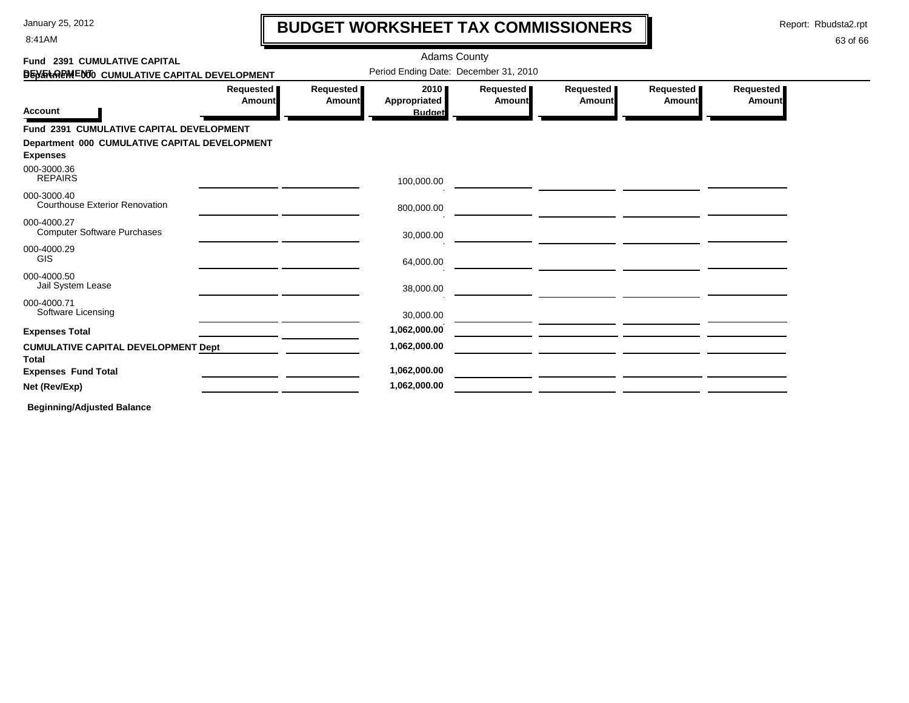8:41AM

# **BUDGET WORKSHEET TAX COMMISSIONERS**

Report: Rbudsta2.rpt

 $\mathbf l$ 

### 63 of 66

| Fund 2391 CUMULATIVE CAPITAL                                     |                            |                            | <b>Adams County</b>                   |                            |                     |                              |                            |
|------------------------------------------------------------------|----------------------------|----------------------------|---------------------------------------|----------------------------|---------------------|------------------------------|----------------------------|
| DEYELMEMENTO CUMULATIVE CAPITAL DEVELOPMENT                      |                            |                            | Period Ending Date: December 31, 2010 |                            |                     |                              |                            |
| <b>Account</b>                                                   | Requested<br><b>Amount</b> | Requested<br><b>Amount</b> | 2010<br>Appropriated<br><b>Budget</b> | Requested<br><b>Amount</b> | Requested<br>Amount | Requested  <br><b>Amount</b> | Requested<br><b>Amount</b> |
| Fund 2391 CUMULATIVE CAPITAL DEVELOPMENT                         |                            |                            |                                       |                            |                     |                              |                            |
| Department 000 CUMULATIVE CAPITAL DEVELOPMENT<br><b>Expenses</b> |                            |                            |                                       |                            |                     |                              |                            |
| 000-3000.36<br><b>REPAIRS</b>                                    |                            |                            | 100,000.00                            |                            |                     |                              |                            |
| 000-3000.40<br><b>Courthouse Exterior Renovation</b>             |                            |                            | 800,000.00                            |                            |                     |                              |                            |
| 000-4000.27<br><b>Computer Software Purchases</b>                |                            |                            | 30,000.00                             |                            |                     |                              |                            |
| 000-4000.29<br><b>GIS</b>                                        |                            |                            | 64,000.00                             |                            |                     |                              |                            |
| 000-4000.50<br>Jail System Lease                                 |                            |                            | 38,000.00                             |                            |                     |                              |                            |
| 000-4000.71<br>Software Licensing                                |                            |                            | 30,000.00                             |                            |                     |                              |                            |
| <b>Expenses Total</b>                                            |                            |                            | 1,062,000.00                          |                            |                     |                              |                            |
| <b>CUMULATIVE CAPITAL DEVELOPMENT Dept</b><br><b>Total</b>       |                            |                            | 1,062,000.00                          |                            |                     |                              |                            |
| <b>Expenses Fund Total</b>                                       |                            |                            | 1,062,000.00                          |                            |                     |                              |                            |
| Net (Rev/Exp)                                                    |                            |                            | 1,062,000.00                          |                            |                     |                              |                            |
|                                                                  |                            |                            |                                       |                            |                     |                              |                            |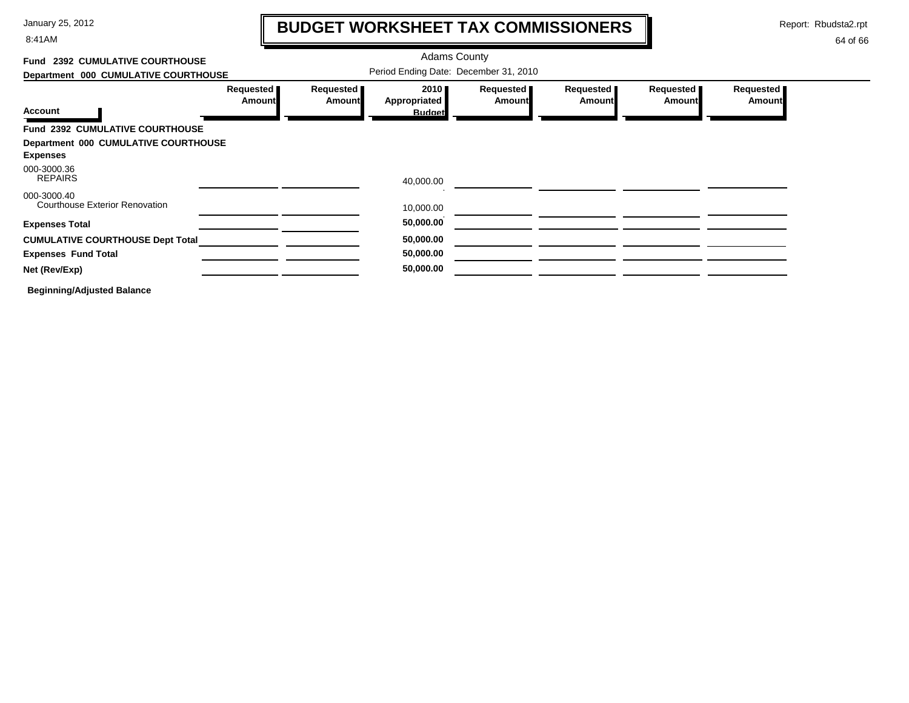8:41AM

# **BUDGET WORKSHEET TAX COMMISSIONERS**

Report: Rbudsta2.rpt

 $\mathbf l$ 

| Fund 2392 CUMULATIVE COURTHOUSE                      |                            |                            | <b>Adams County</b>                   |                            |                            |                            |                            |
|------------------------------------------------------|----------------------------|----------------------------|---------------------------------------|----------------------------|----------------------------|----------------------------|----------------------------|
| Department 000 CUMULATIVE COURTHOUSE                 |                            |                            | Period Ending Date: December 31, 2010 |                            |                            |                            |                            |
|                                                      | Requested<br><b>Amount</b> | Requested<br><b>Amount</b> | 2010<br>Appropriated                  | Requested<br><b>Amount</b> | Requested<br><b>Amount</b> | Requested<br><b>Amount</b> | Requested<br><b>Amount</b> |
| <b>Account</b>                                       |                            |                            | <b>Budget</b>                         |                            |                            |                            |                            |
| Fund 2392 CUMULATIVE COURTHOUSE                      |                            |                            |                                       |                            |                            |                            |                            |
| Department 000 CUMULATIVE COURTHOUSE                 |                            |                            |                                       |                            |                            |                            |                            |
| <b>Expenses</b>                                      |                            |                            |                                       |                            |                            |                            |                            |
| 000-3000.36<br><b>REPAIRS</b>                        |                            |                            | 40,000.00                             |                            |                            |                            |                            |
| 000-3000.40<br><b>Courthouse Exterior Renovation</b> |                            |                            | 10,000.00                             |                            |                            |                            |                            |
| <b>Expenses Total</b>                                |                            |                            | 50,000.00                             |                            |                            |                            |                            |
| <b>CUMULATIVE COURTHOUSE Dept Total</b>              |                            |                            | 50,000.00                             |                            |                            |                            |                            |
| <b>Expenses Fund Total</b>                           |                            |                            | 50,000.00                             |                            |                            |                            |                            |
| Net (Rev/Exp)                                        |                            |                            | 50,000.00                             |                            |                            |                            |                            |
| <b>Beginning/Adjusted Balance</b>                    |                            |                            |                                       |                            |                            |                            |                            |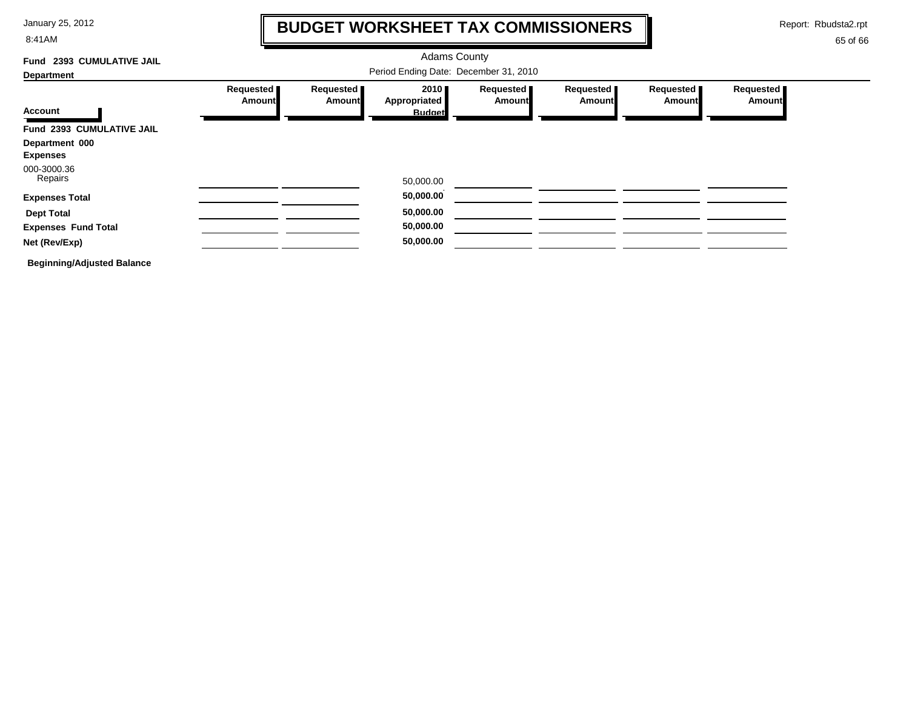8:41AM

### **BUDGET WORKSHEET TAX COMMISSIONERS**

Report: Rbudsta2.rpt

 $\mathbf I$ 

| Fund 2393 CUMULATIVE JAIL           |                            |                       |                                       |                              |                              |                            |                            |
|-------------------------------------|----------------------------|-----------------------|---------------------------------------|------------------------------|------------------------------|----------------------------|----------------------------|
| <b>Department</b><br><b>Account</b> |                            |                       |                                       |                              |                              |                            |                            |
|                                     | Requested<br><b>Amount</b> | Requested  <br>Amount | 2010<br>Appropriated<br><b>Budget</b> | Requested  <br><b>Amount</b> | Requested  <br><b>Amount</b> | Requested<br><b>Amount</b> | Requested<br><b>Amount</b> |
| Fund 2393 CUMULATIVE JAIL           |                            |                       |                                       |                              |                              |                            |                            |
| Department 000                      |                            |                       |                                       |                              |                              |                            |                            |
| <b>Expenses</b>                     |                            |                       |                                       |                              |                              |                            |                            |
| 000-3000.36<br>Repairs              |                            |                       | 50,000.00                             |                              |                              |                            |                            |
| <b>Expenses Total</b>               |                            |                       | 50,000.00                             |                              |                              |                            |                            |
| <b>Dept Total</b>                   |                            |                       | 50,000.00                             |                              |                              |                            |                            |
| <b>Expenses Fund Total</b>          |                            |                       | 50,000.00                             |                              |                              |                            |                            |
| Net (Rev/Exp)                       |                            |                       | 50,000.00                             |                              |                              |                            |                            |
| <b>Beginning/Adjusted Balance</b>   |                            |                       |                                       |                              |                              |                            |                            |